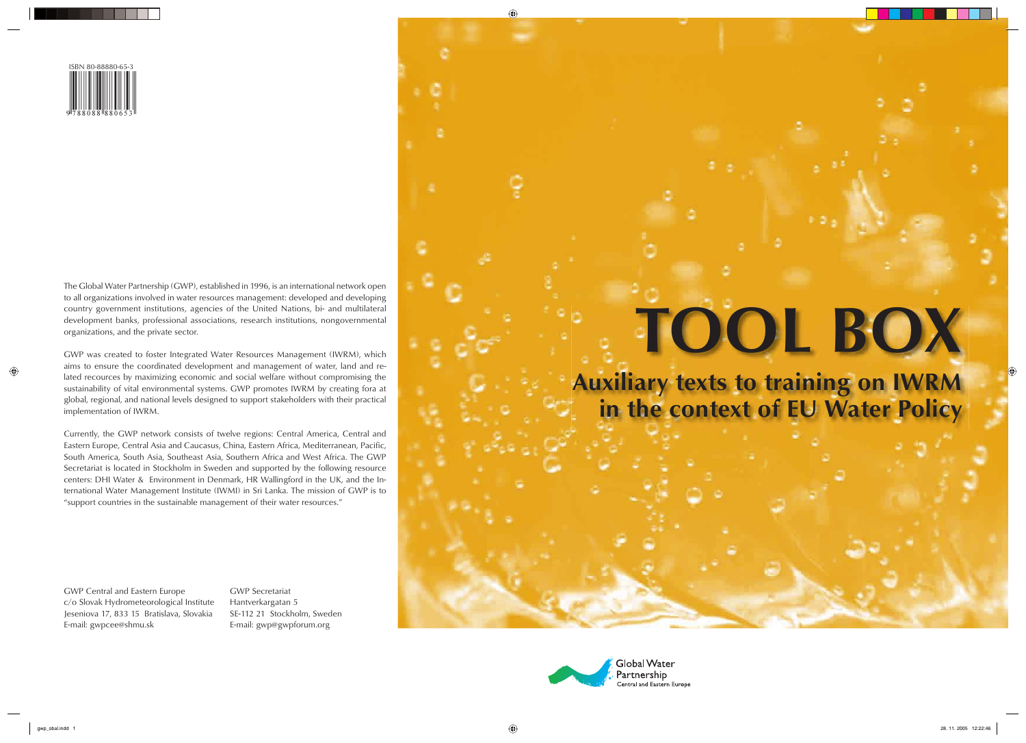# **TOOL BOX Auxiliary texts to training on IWRM in the context of EU Water Policy**



**Global Water** Partnership Central and Eastern Europe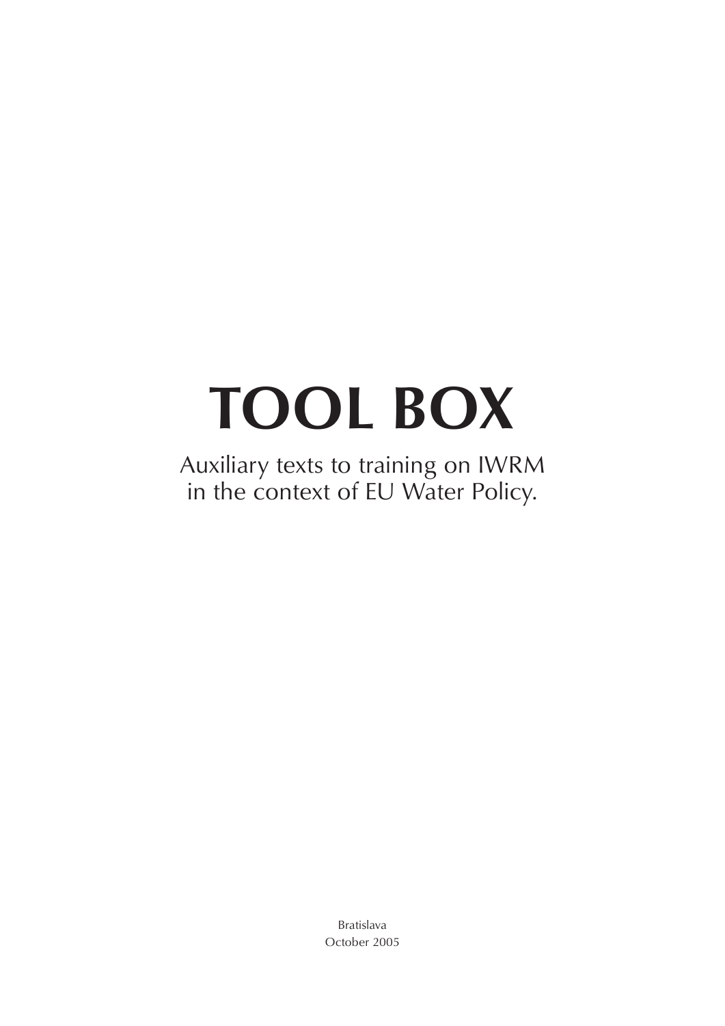# **TOOL BOX**

Auxiliary texts to training on IWRM in the context of EU Water Policy.

> Bratislava October 2005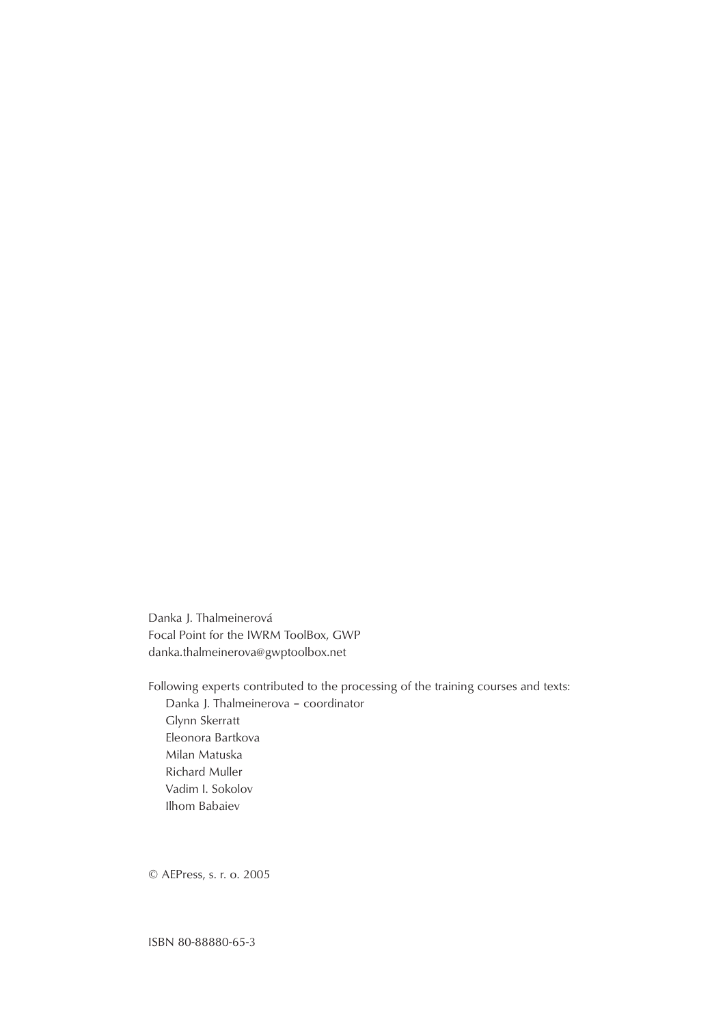Danka J. Thalmeinerová Focal Point for the IWRM ToolBox, GWP danka.thalmeinerova@gwptoolbox.net

Following experts contributed to the processing of the training courses and texts: Danka J. Thalmeinerova – coordinator Glynn Skerratt Eleonora Bartkova Milan Matuska Richard Muller Vadim I. Sokolov Ilhom Babaiev

© AEPress, s. r. o. 2005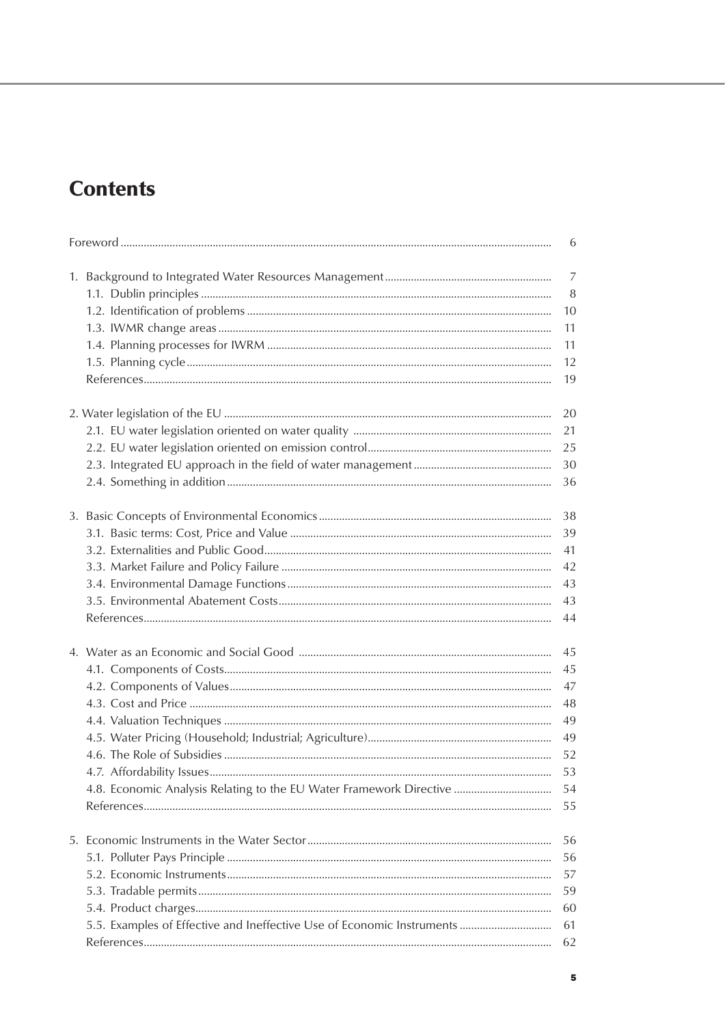# **Contents**

|                                                                     | 6                                                 |
|---------------------------------------------------------------------|---------------------------------------------------|
|                                                                     | $\overline{7}$<br>8<br>10<br>11<br>11<br>12<br>19 |
|                                                                     | 20                                                |
|                                                                     | 21                                                |
|                                                                     | 25                                                |
|                                                                     | 30                                                |
|                                                                     | 36                                                |
|                                                                     |                                                   |
|                                                                     | 38                                                |
|                                                                     | 39                                                |
|                                                                     | 41                                                |
|                                                                     | 42                                                |
|                                                                     | 43                                                |
|                                                                     | 43                                                |
|                                                                     | 44                                                |
|                                                                     | 45                                                |
|                                                                     | 45                                                |
|                                                                     | 47                                                |
|                                                                     | 48                                                |
|                                                                     | 49                                                |
|                                                                     | 49                                                |
|                                                                     | 52                                                |
|                                                                     | 53                                                |
| 4.8. Economic Analysis Relating to the EU Water Framework Directive | 54                                                |
|                                                                     | 55                                                |
|                                                                     |                                                   |
|                                                                     | 56                                                |
|                                                                     | 56                                                |
|                                                                     | 57                                                |
|                                                                     | 59                                                |
|                                                                     | 60                                                |
|                                                                     | 61                                                |
|                                                                     | 62                                                |
|                                                                     |                                                   |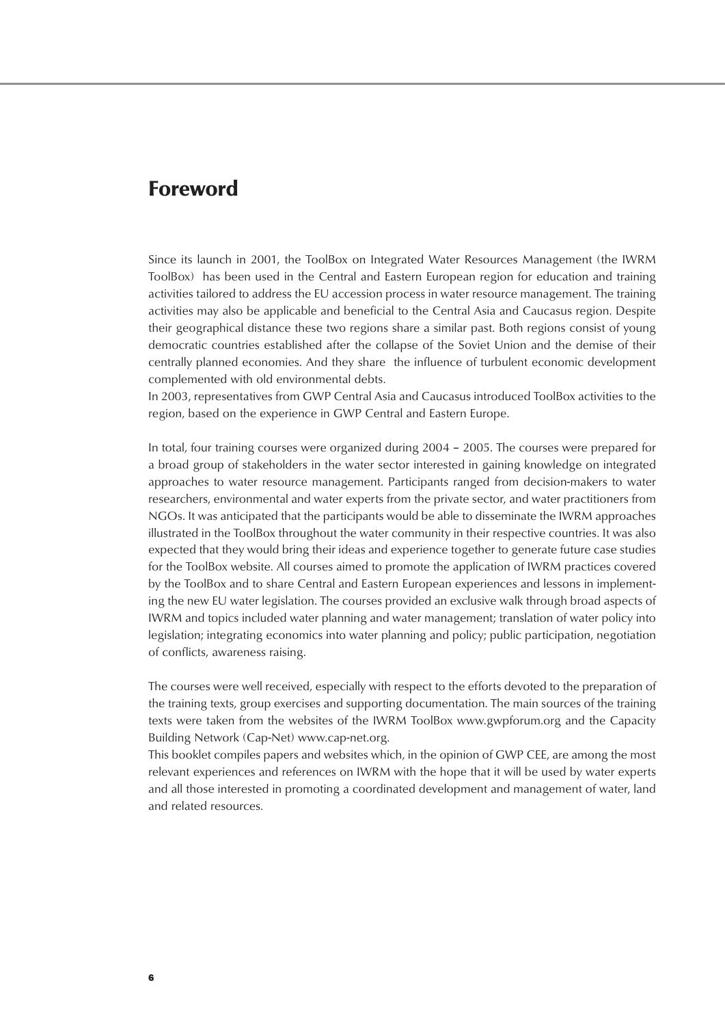# Foreword

Since its launch in 2001, the ToolBox on Integrated Water Resources Management (the IWRM ToolBox) has been used in the Central and Eastern European region for education and training activities tailored to address the EU accession process in water resource management. The training activities may also be applicable and beneficial to the Central Asia and Caucasus region. Despite their geographical distance these two regions share a similar past. Both regions consist of young democratic countries established after the collapse of the Soviet Union and the demise of their centrally planned economies. And they share the influence of turbulent economic development complemented with old environmental debts.

In 2003, representatives from GWP Central Asia and Caucasus introduced ToolBox activities to the region, based on the experience in GWP Central and Eastern Europe.

In total, four training courses were organized during 2004 – 2005. The courses were prepared for a broad group of stakeholders in the water sector interested in gaining knowledge on integrated approaches to water resource management. Participants ranged from decision-makers to water researchers, environmental and water experts from the private sector, and water practitioners from NGOs. It was anticipated that the participants would be able to disseminate the IWRM approaches illustrated in the ToolBox throughout the water community in their respective countries. It was also expected that they would bring their ideas and experience together to generate future case studies for the ToolBox website. All courses aimed to promote the application of IWRM practices covered by the ToolBox and to share Central and Eastern European experiences and lessons in implementing the new EU water legislation. The courses provided an exclusive walk through broad aspects of IWRM and topics included water planning and water management; translation of water policy into legislation; integrating economics into water planning and policy; public participation, negotiation of conflicts, awareness raising.

The courses were well received, especially with respect to the efforts devoted to the preparation of the training texts, group exercises and supporting documentation. The main sources of the training texts were taken from the websites of the IWRM ToolBox www.gwpforum.org and the Capacity Building Network (Cap-Net) www.cap-net.org.

This booklet compiles papers and websites which, in the opinion of GWP CEE, are among the most relevant experiences and references on IWRM with the hope that it will be used by water experts and all those interested in promoting a coordinated development and management of water, land and related resources.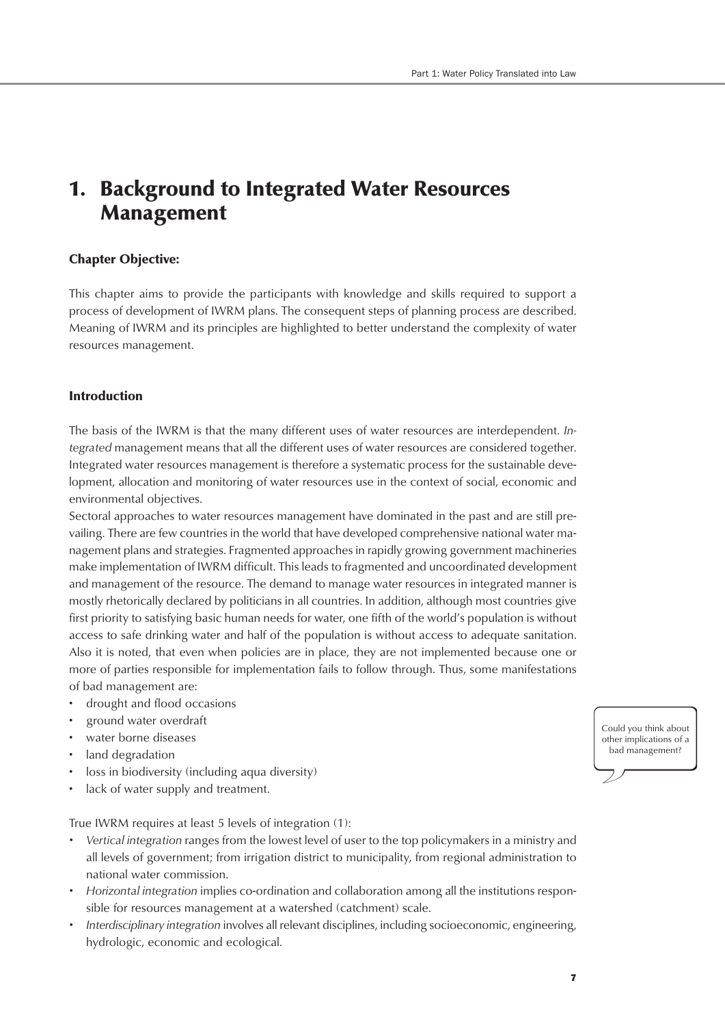# 1. Background to Integrated Water Resources Management

# Chapter Objective:

This chapter aims to provide the participants with knowledge and skills required to support a process of development of IWRM plans. The consequent steps of planning process are described. Meaning of IWRM and its principles are highlighted to better understand the complexity of water resources management.

# Introduction

The basis of the IWRM is that the many different uses of water resources are interdependent. *Integrated* management means that all the different uses of water resources are considered together. Integrated water resources management is therefore a systematic process for the sustainable development, allocation and monitoring of water resources use in the context of social, economic and environmental objectives.

Sectoral approaches to water resources management have dominated in the past and are still prevailing. There are few countries in the world that have developed comprehensive national water management plans and strategies. Fragmented approaches in rapidly growing government machineries make implementation of IWRM difficult. This leads to fragmented and uncoordinated development and management of the resource. The demand to manage water resources in integrated manner is mostly rhetorically declared by politicians in all countries. In addition, although most countries give first priority to satisfying basic human needs for water, one fifth of the world's population is without access to safe drinking water and half of the population is without access to adequate sanitation. Also it is noted, that even when policies are in place, they are not implemented because one or more of parties responsible for implementation fails to follow through. Thus, some manifestations of bad management are:

- drought and flood occasions
- ground water overdraft
- water borne diseases
- land degradation
- loss in biodiversity (including aqua diversity)
- lack of water supply and treatment.

True IWRM requires at least 5 levels of integration (1):

- *Vertical integration* ranges from the lowest level of user to the top policymakers in a ministry and all levels of government; from irrigation district to municipality, from regional administration to national water commission.
- *Horizontal integration* implies co-ordination and collaboration among all the institutions responsible for resources management at a watershed (catchment) scale.
- *Interdisciplinary integration* involves all relevant disciplines, including socioeconomic, engineering, hydrologic, economic and ecological.

Could you think about other implications of a bad management?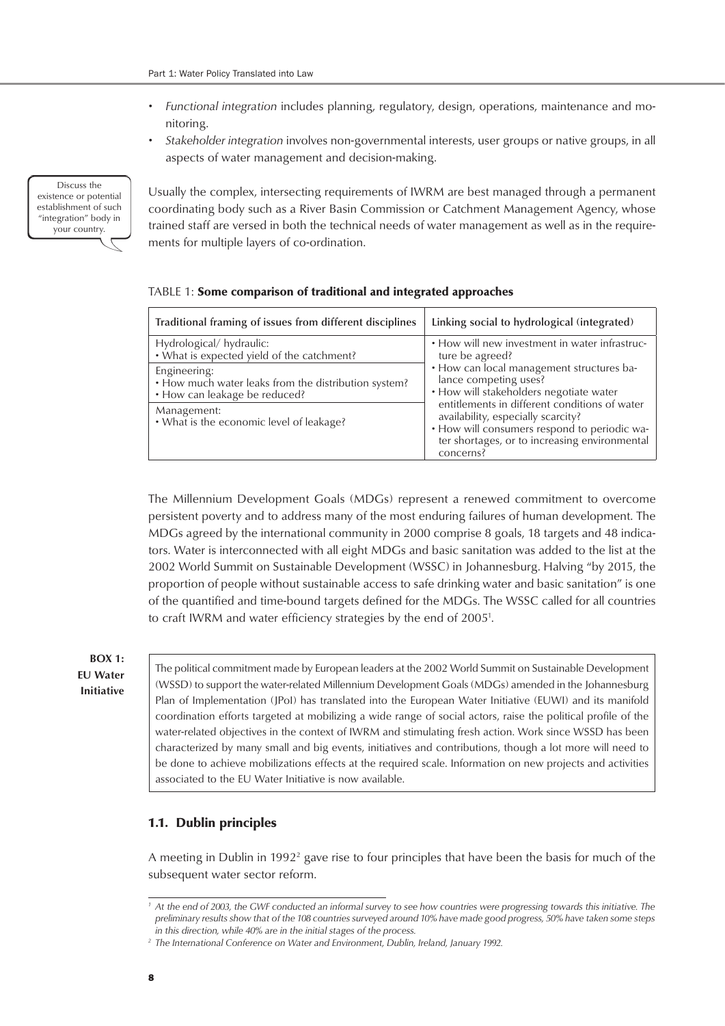- *Functional integration* includes planning, regulatory, design, operations, maintenance and monitoring.
- *Stakeholder integration* involves non-governmental interests, user groups or native groups, in all aspects of water management and decision-making.

Discuss the existence or potential establishment of such "integration" body in your country.

Usually the complex, intersecting requirements of IWRM are best managed through a permanent coordinating body such as a River Basin Commission or Catchment Management Agency, whose trained staff are versed in both the technical needs of water management as well as in the requirements for multiple layers of co-ordination.

# TABLE 1: Some comparison of traditional and integrated approaches

| Traditional framing of issues from different disciplines                                                                                                         | Linking social to hydrological (integrated)                                                                                                                    |  |  |  |
|------------------------------------------------------------------------------------------------------------------------------------------------------------------|----------------------------------------------------------------------------------------------------------------------------------------------------------------|--|--|--|
| Hydrological/hydraulic:<br>. What is expected yield of the catchment?                                                                                            | • How will new investment in water infrastruc-<br>ture be agreed?                                                                                              |  |  |  |
| Engineering:<br>• How much water leaks from the distribution system?<br>• How can leakage be reduced?<br>Management:<br>• What is the economic level of leakage? | • How can local management structures ba-<br>lance competing uses?<br>• How will stakeholders negotiate water<br>entitlements in different conditions of water |  |  |  |
|                                                                                                                                                                  | availability, especially scarcity?<br>• How will consumers respond to periodic wa-<br>ter shortages, or to increasing environmental<br>concerns?               |  |  |  |

The Millennium Development Goals (MDGs) represent a renewed commitment to overcome persistent poverty and to address many of the most enduring failures of human development. The MDGs agreed by the international community in 2000 comprise 8 goals, 18 targets and 48 indicators. Water is interconnected with all eight MDGs and basic sanitation was added to the list at the 2002 World Summit on Sustainable Development (WSSC) in Johannesburg. Halving "by 2015, the proportion of people without sustainable access to safe drinking water and basic sanitation" is one of the quantified and time-bound targets defined for the MDGs. The WSSC called for all countries to craft IWRM and water efficiency strategies by the end of 2005<sup>1</sup>.

**BOX 1: EU Water Initiative** 

The political commitment made by European leaders at the 2002 World Summit on Sustainable Development (WSSD) to support the water-related Millennium Development Goals (MDGs) amended in the Johannesburg Plan of Implementation (JPoI) has translated into the European Water Initiative (EUWI) and its manifold coordination efforts targeted at mobilizing a wide range of social actors, raise the political profile of the water-related objectives in the context of IWRM and stimulating fresh action. Work since WSSD has been characterized by many small and big events, initiatives and contributions, though a lot more will need to be done to achieve mobilizations effects at the required scale. Information on new projects and activities associated to the EU Water Initiative is now available.

# 1.1. Dublin principles

A meeting in Dublin in 1992<sup>2</sup> gave rise to four principles that have been the basis for much of the subsequent water sector reform.

*<sup>1</sup> At the end of 2003, the GWF conducted an informal survey to see how countries were progressing towards this initiative. The preliminary results show that of the 108 countries surveyed around 10% have made good progress, 50% have taken some steps in this direction, while 40% are in the initial stages of the process.*

*<sup>2</sup> The International Conference on Water and Environment, Dublin, Ireland, January 1992.*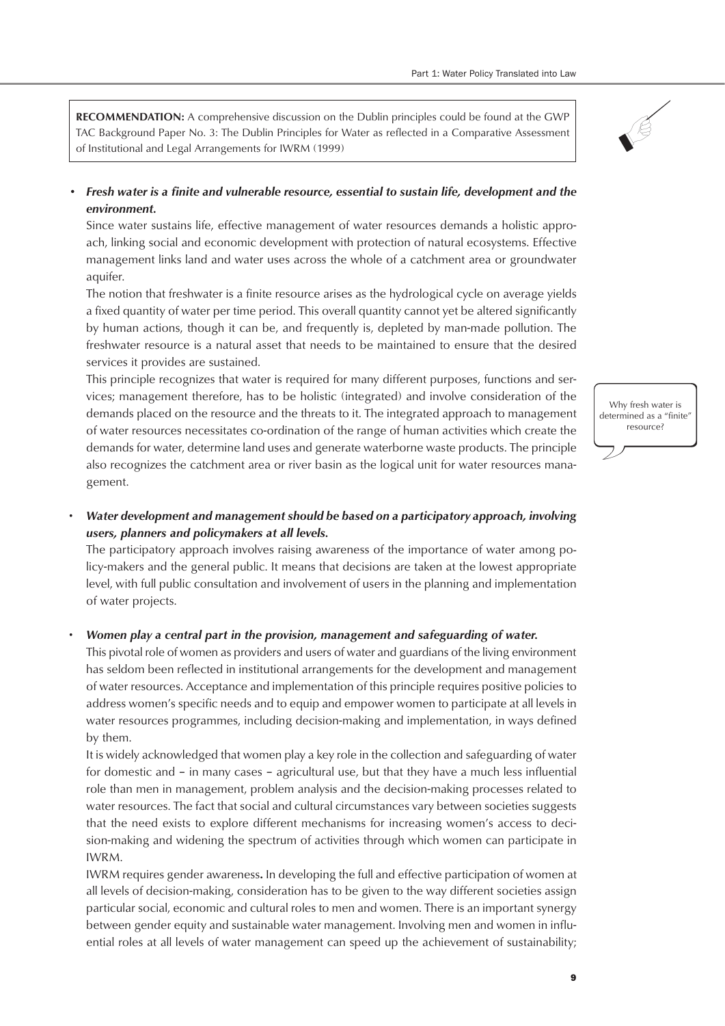**RECOMMENDATION:** A comprehensive discussion on the Dublin principles could be found at the GWP TAC Background Paper No. 3: The Dublin Principles for Water as reflected in a Comparative Assessment of Institutional and Legal Arrangements for IWRM (1999)

# *• Fresh water is a finite and vulnerable resource, essential to sustain life, development and the environment.*

 Since water sustains life, effective management of water resources demands a holistic approach, linking social and economic development with protection of natural ecosystems. Effective management links land and water uses across the whole of a catchment area or groundwater aquifer.

 The notion that freshwater is a finite resource arises as the hydrological cycle on average yields a fixed quantity of water per time period. This overall quantity cannot yet be altered significantly by human actions, though it can be, and frequently is, depleted by man-made pollution. The freshwater resource is a natural asset that needs to be maintained to ensure that the desired services it provides are sustained.

 This principle recognizes that water is required for many different purposes, functions and services; management therefore, has to be holistic (integrated) and involve consideration of the demands placed on the resource and the threats to it. The integrated approach to management of water resources necessitates co-ordination of the range of human activities which create the demands for water, determine land uses and generate waterborne waste products. The principle also recognizes the catchment area or river basin as the logical unit for water resources management.

• *Water development and management should be based on a participatory approach, involving users, planners and policymakers at all levels.*

 The participatory approach involves raising awareness of the importance of water among policy-makers and the general public. It means that decisions are taken at the lowest appropriate level, with full public consultation and involvement of users in the planning and implementation of water projects.

#### • *Women play a central part in the provision, management and safeguarding of water.*

 This pivotal role of women as providers and users of water and guardians of the living environment has seldom been reflected in institutional arrangements for the development and management of water resources. Acceptance and implementation of this principle requires positive policies to address women's specific needs and to equip and empower women to participate at all levels in water resources programmes, including decision-making and implementation, in ways defined by them.

 It is widely acknowledged that women play a key role in the collection and safeguarding of water for domestic and – in many cases – agricultural use, but that they have a much less influential role than men in management, problem analysis and the decision-making processes related to water resources. The fact that social and cultural circumstances vary between societies suggests that the need exists to explore different mechanisms for increasing women's access to decision-making and widening the spectrum of activities through which women can participate in IWRM.

 IWRM requires gender awareness**.** In developing the full and effective participation of women at all levels of decision-making, consideration has to be given to the way different societies assign particular social, economic and cultural roles to men and women. There is an important synergy between gender equity and sustainable water management. Involving men and women in influential roles at all levels of water management can speed up the achievement of sustainability;

Why fresh water is determined as a "finite" resource?

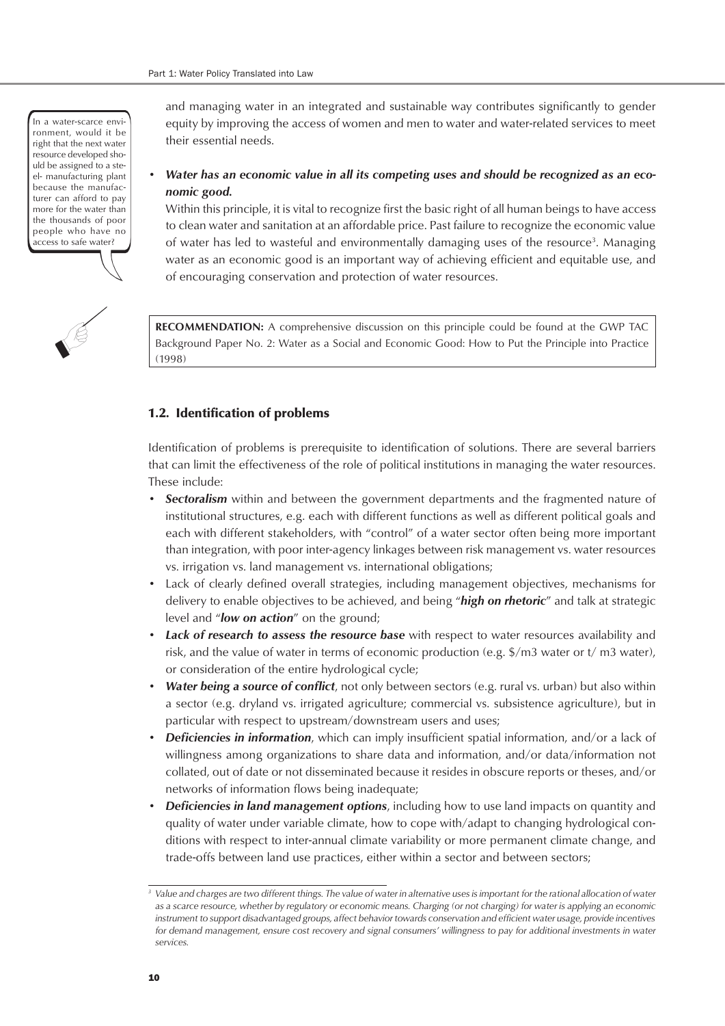In a water-scarce environment, would it be right that the next water resource developed should be assigned to a steel- manufacturing plant because the manufacturer can afford to pay more for the water than the thousands of poor people who have no access to safe water?



and managing water in an integrated and sustainable way contributes significantly to gender equity by improving the access of women and men to water and water-related services to meet their essential needs.

# *• Water has an economic value in all its competing uses and should be recognized as an economic good.*

 Within this principle, it is vital to recognize first the basic right of all human beings to have access to clean water and sanitation at an affordable price. Past failure to recognize the economic value of water has led to wasteful and environmentally damaging uses of the resource<sup>3</sup>. Managing water as an economic good is an important way of achieving efficient and equitable use, and of encouraging conservation and protection of water resources.

**RECOMMENDATION:** A comprehensive discussion on this principle could be found at the GWP TAC Background Paper No. 2: Water as a Social and Economic Good: How to Put the Principle into Practice (1998)

# 1.2. Identification of problems

Identification of problems is prerequisite to identification of solutions. There are several barriers that can limit the effectiveness of the role of political institutions in managing the water resources. These include:

- *Sectoralism* within and between the government departments and the fragmented nature of institutional structures, e.g. each with different functions as well as different political goals and each with different stakeholders, with "control" of a water sector often being more important than integration, with poor inter-agency linkages between risk management vs. water resources vs. irrigation vs. land management vs. international obligations;
- *•* Lack of clearly defined overall strategies, including management objectives, mechanisms for delivery to enable objectives to be achieved, and being "*high on rhetoric*" and talk at strategic level and "*low on action*" on the ground;
- *Lack of research to assess the resource base* with respect to water resources availability and risk, and the value of water in terms of economic production (e.g.  $\frac{1}{2}$ /m3 water or t/m3 water), or consideration of the entire hydrological cycle;
- *Water being a source of conflict*, not only between sectors (e.g. rural vs. urban) but also within a sector (e.g. dryland vs. irrigated agriculture; commercial vs. subsistence agriculture), but in particular with respect to upstream/downstream users and uses;
- *Deficiencies in information*, which can imply insufficient spatial information, and/or a lack of willingness among organizations to share data and information, and/or data/information not collated, out of date or not disseminated because it resides in obscure reports or theses, and/or networks of information flows being inadequate;
- *Deficiencies in land management options*, including how to use land impacts on quantity and quality of water under variable climate, how to cope with/adapt to changing hydrological conditions with respect to inter-annual climate variability or more permanent climate change, and trade-offs between land use practices, either within a sector and between sectors;

*<sup>3</sup> Value and charges are two different things. The value of water in alternative uses is important for the rational allocation of water as a scarce resource, whether by regulatory or economic means. Charging (or not charging) for water is applying an economic instrument to support disadvantaged groups, affect behavior towards conservation and efficient water usage, provide incentives for demand management, ensure cost recovery and signal consumers' willingness to pay for additional investments in water services.*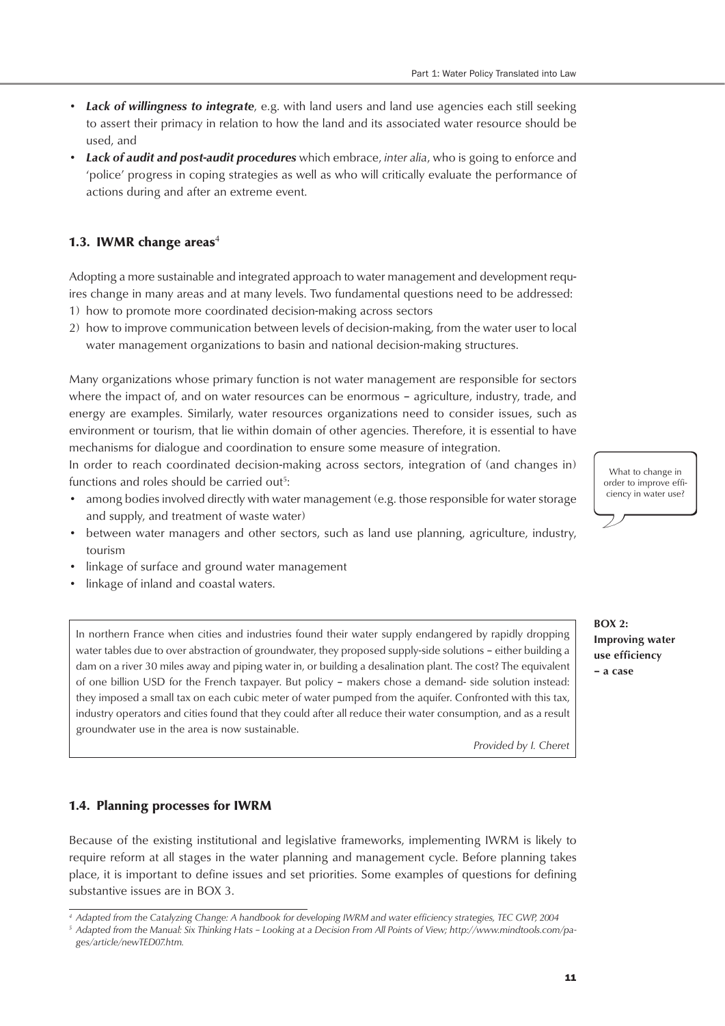11

- *Lack of willingness to integrate*, e.g. with land users and land use agencies each still seeking to assert their primacy in relation to how the land and its associated water resource should be used, and
- *Lack of audit and post-audit procedures* which embrace, *inter alia*, who is going to enforce and 'police' progress in coping strategies as well as who will critically evaluate the performance of actions during and after an extreme event.

# 1.3. IWMR change areas<sup>4</sup>

Adopting a more sustainable and integrated approach to water management and development requires change in many areas and at many levels. Two fundamental questions need to be addressed:

- 1) how to promote more coordinated decision-making across sectors
- 2) how to improve communication between levels of decision-making, from the water user to local water management organizations to basin and national decision-making structures.

Many organizations whose primary function is not water management are responsible for sectors where the impact of, and on water resources can be enormous – agriculture, industry, trade, and energy are examples. Similarly, water resources organizations need to consider issues, such as environment or tourism, that lie within domain of other agencies. Therefore, it is essential to have mechanisms for dialogue and coordination to ensure some measure of integration.

In order to reach coordinated decision-making across sectors, integration of (and changes in) functions and roles should be carried out<sup>5</sup>:

- among bodies involved directly with water management (e.g. those responsible for water storage and supply, and treatment of waste water)
- *•* between water managers and other sectors, such as land use planning, agriculture, industry, tourism
- *•* linkage of surface and ground water management
- *•* linkage of inland and coastal waters.

In northern France when cities and industries found their water supply endangered by rapidly dropping water tables due to over abstraction of groundwater, they proposed supply-side solutions – either building a dam on a river 30 miles away and piping water in, or building a desalination plant. The cost? The equivalent of one billion USD for the French taxpayer. But policy – makers chose a demand- side solution instead: they imposed a small tax on each cubic meter of water pumped from the aquifer. Confronted with this tax, industry operators and cities found that they could after all reduce their water consumption, and as a result groundwater use in the area is now sustainable.

*Provided by I. Cheret*

What to change in order to improve efficiency in water use?

**BOX 2: Improving water use efficiency – a case**

# 1.4. Planning processes for IWRM

Because of the existing institutional and legislative frameworks, implementing IWRM is likely to require reform at all stages in the water planning and management cycle. Before planning takes place, it is important to define issues and set priorities. Some examples of questions for defining substantive issues are in BOX 3.

*<sup>4</sup> Adapted from the Catalyzing Change: A handbook for developing IWRM and water efficiency strategies, TEC GWP, 2004*

*<sup>5</sup> Adapted from the Manual: Six Thinking Hats – Looking at a Decision From All Points of View; http://www.mindtools.com/pages/article/newTED07.htm.*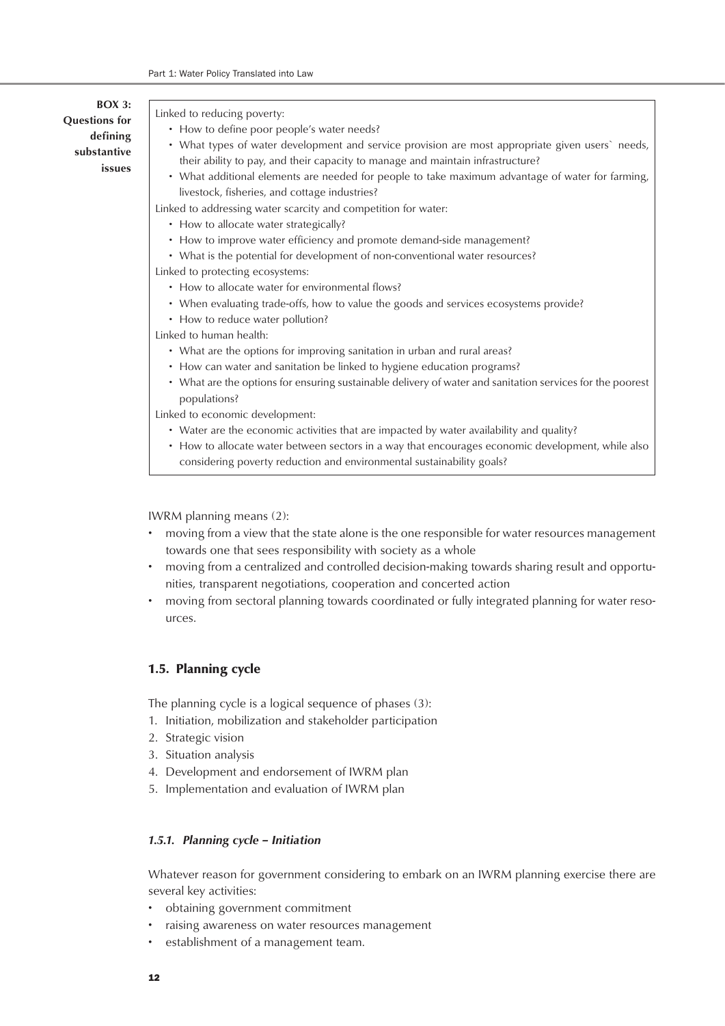| <b>BOX 3:</b>        |                                                                                                                                                                            |
|----------------------|----------------------------------------------------------------------------------------------------------------------------------------------------------------------------|
| <b>Questions for</b> | Linked to reducing poverty:                                                                                                                                                |
| defining             | • How to define poor people's water needs?                                                                                                                                 |
| substantive          | • What types of water development and service provision are most appropriate given users` needs,                                                                           |
|                      | their ability to pay, and their capacity to manage and maintain infrastructure?                                                                                            |
| issues               | • What additional elements are needed for people to take maximum advantage of water for farming,                                                                           |
|                      | livestock, fisheries, and cottage industries?                                                                                                                              |
|                      | Linked to addressing water scarcity and competition for water:                                                                                                             |
|                      | • How to allocate water strategically?                                                                                                                                     |
|                      |                                                                                                                                                                            |
|                      | • How to improve water efficiency and promote demand-side management?                                                                                                      |
|                      | • What is the potential for development of non-conventional water resources?                                                                                               |
|                      | Linked to protecting ecosystems:                                                                                                                                           |
|                      | • How to allocate water for environmental flows?                                                                                                                           |
|                      | • When evaluating trade-offs, how to value the goods and services ecosystems provide?                                                                                      |
|                      | • How to reduce water pollution?                                                                                                                                           |
|                      | Linked to human health:                                                                                                                                                    |
|                      | • What are the options for improving sanitation in urban and rural areas?                                                                                                  |
|                      | • How can water and sanitation be linked to hygiene education programs?                                                                                                    |
|                      | • What are the options for ensuring sustainable delivery of water and sanitation services for the poorest<br>populations?                                                  |
|                      | Linked to economic development:                                                                                                                                            |
|                      | • Water are the economic activities that are impacted by water availability and quality?                                                                                   |
|                      | • How to allocate water between sectors in a way that encourages economic development, while also<br>considering poverty reduction and environmental sustainability goals? |
|                      |                                                                                                                                                                            |

IWRM planning means (2):

- moving from a view that the state alone is the one responsible for water resources management towards one that sees responsibility with society as a whole
- moving from a centralized and controlled decision-making towards sharing result and opportunities, transparent negotiations, cooperation and concerted action
- moving from sectoral planning towards coordinated or fully integrated planning for water resources.

# 1.5. Planning cycle

The planning cycle is a logical sequence of phases (3):

- 1. Initiation, mobilization and stakeholder participation
- 2. Strategic vision
- 3. Situation analysis
- 4. Development and endorsement of IWRM plan
- 5. Implementation and evaluation of IWRM plan

# *1.5.1. Planning cycle – Initiation*

Whatever reason for government considering to embark on an IWRM planning exercise there are several key activities:

- obtaining government commitment
- raising awareness on water resources management
- establishment of a management team.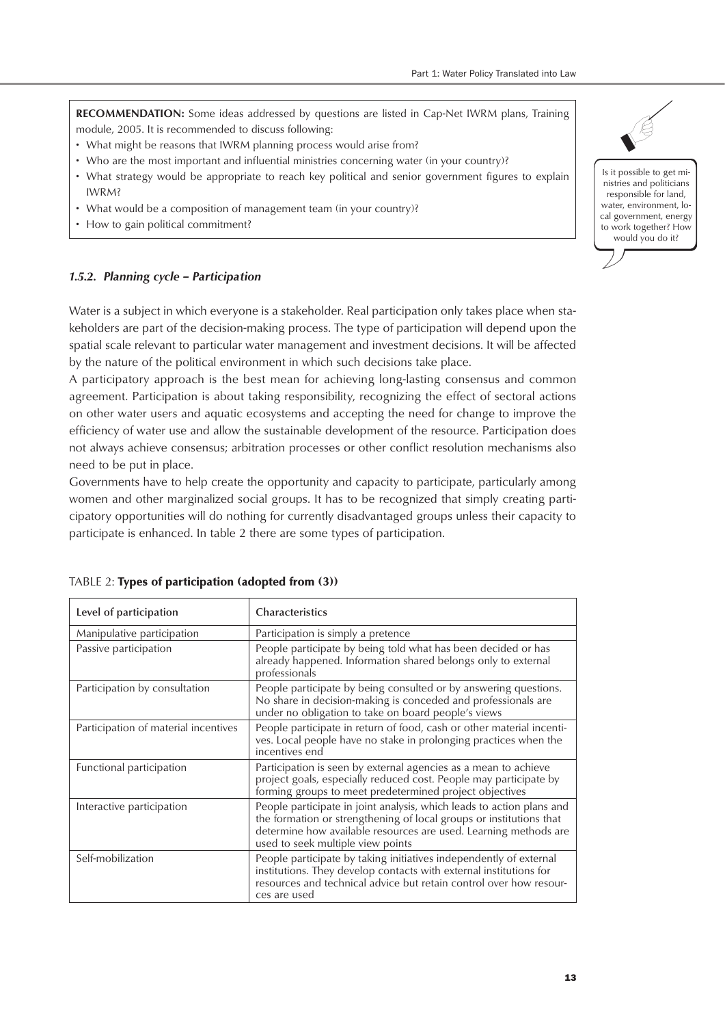**RECOMMENDATION:** Some ideas addressed by questions are listed in Cap-Net IWRM plans, Training module, 2005. It is recommended to discuss following:

- What might be reasons that IWRM planning process would arise from?
- Who are the most important and influential ministries concerning water (in your country)?
- What strategy would be appropriate to reach key political and senior government figures to explain IWRM?
- What would be a composition of management team (in your country)?
- How to gain political commitment?

#### *1.5.2. Planning cycle – Participation*

Water is a subject in which everyone is a stakeholder. Real participation only takes place when stakeholders are part of the decision-making process. The type of participation will depend upon the spatial scale relevant to particular water management and investment decisions. It will be affected by the nature of the political environment in which such decisions take place.

A participatory approach is the best mean for achieving long-lasting consensus and common agreement. Participation is about taking responsibility, recognizing the effect of sectoral actions on other water users and aquatic ecosystems and accepting the need for change to improve the efficiency of water use and allow the sustainable development of the resource. Participation does not always achieve consensus; arbitration processes or other conflict resolution mechanisms also need to be put in place.

Governments have to help create the opportunity and capacity to participate, particularly among women and other marginalized social groups. It has to be recognized that simply creating participatory opportunities will do nothing for currently disadvantaged groups unless their capacity to participate is enhanced. In table 2 there are some types of participation.

| Level of participation               | Characteristics                                                                                                                                                                                                                                       |  |  |  |  |
|--------------------------------------|-------------------------------------------------------------------------------------------------------------------------------------------------------------------------------------------------------------------------------------------------------|--|--|--|--|
| Manipulative participation           | Participation is simply a pretence                                                                                                                                                                                                                    |  |  |  |  |
| Passive participation                | People participate by being told what has been decided or has<br>already happened. Information shared belongs only to external<br>professionals                                                                                                       |  |  |  |  |
| Participation by consultation        | People participate by being consulted or by answering questions.<br>No share in decision-making is conceded and professionals are<br>under no obligation to take on board people's views                                                              |  |  |  |  |
| Participation of material incentives | People participate in return of food, cash or other material incenti-<br>ves. Local people have no stake in prolonging practices when the<br>incentives end                                                                                           |  |  |  |  |
| Functional participation             | Participation is seen by external agencies as a mean to achieve<br>project goals, especially reduced cost. People may participate by<br>forming groups to meet predetermined project objectives                                                       |  |  |  |  |
| Interactive participation            | People participate in joint analysis, which leads to action plans and<br>the formation or strengthening of local groups or institutions that<br>determine how available resources are used. Learning methods are<br>used to seek multiple view points |  |  |  |  |
| Self-mobilization                    | People participate by taking initiatives independently of external<br>institutions. They develop contacts with external institutions for<br>resources and technical advice but retain control over how resour-<br>ces are used                        |  |  |  |  |

# TABLE 2: Types of participation (adopted from (3))



Is it possible to get ministries and politicians responsible for land, water, environment, local government, energy to work together? How would you do it?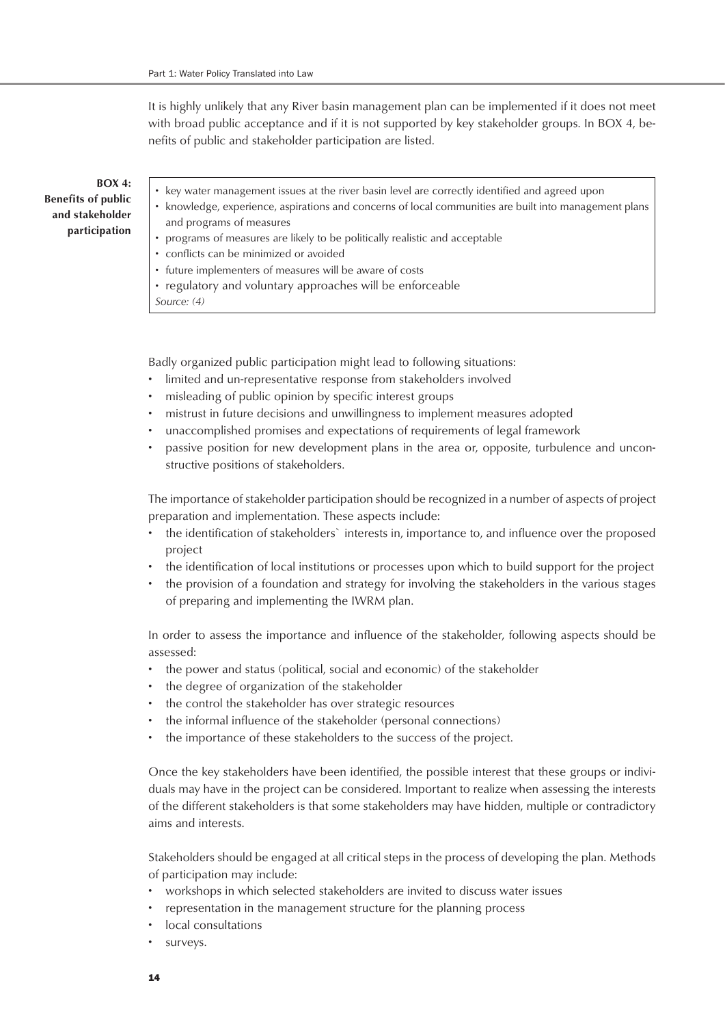It is highly unlikely that any River basin management plan can be implemented if it does not meet with broad public acceptance and if it is not supported by key stakeholder groups. In BOX 4, benefits of public and stakeholder participation are listed.

• key water management issues at the river basin level are correctly identified and agreed upon • knowledge, experience, aspirations and concerns of local communities are built into management plans and programs of measures • programs of measures are likely to be politically realistic and acceptable • conflicts can be minimized or avoided • future implementers of measures will be aware of costs • regulatory and voluntary approaches will be enforceable *Source: (4)* **BOX 4: Benefits of public and stakeholder participation** 

Badly organized public participation might lead to following situations:

- limited and un-representative response from stakeholders involved
- misleading of public opinion by specific interest groups
- mistrust in future decisions and unwillingness to implement measures adopted
- unaccomplished promises and expectations of requirements of legal framework
- passive position for new development plans in the area or, opposite, turbulence and unconstructive positions of stakeholders.

The importance of stakeholder participation should be recognized in a number of aspects of project preparation and implementation. These aspects include:

- the identification of stakeholders` interests in, importance to, and influence over the proposed project
- the identification of local institutions or processes upon which to build support for the project
- the provision of a foundation and strategy for involving the stakeholders in the various stages of preparing and implementing the IWRM plan.

In order to assess the importance and influence of the stakeholder, following aspects should be assessed:

- the power and status (political, social and economic) of the stakeholder
- the degree of organization of the stakeholder
- the control the stakeholder has over strategic resources
- the informal influence of the stakeholder (personal connections)
- the importance of these stakeholders to the success of the project.

Once the key stakeholders have been identified, the possible interest that these groups or individuals may have in the project can be considered. Important to realize when assessing the interests of the different stakeholders is that some stakeholders may have hidden, multiple or contradictory aims and interests.

Stakeholders should be engaged at all critical steps in the process of developing the plan. Methods of participation may include:

- workshops in which selected stakeholders are invited to discuss water issues
- representation in the management structure for the planning process
- local consultations
- surveys.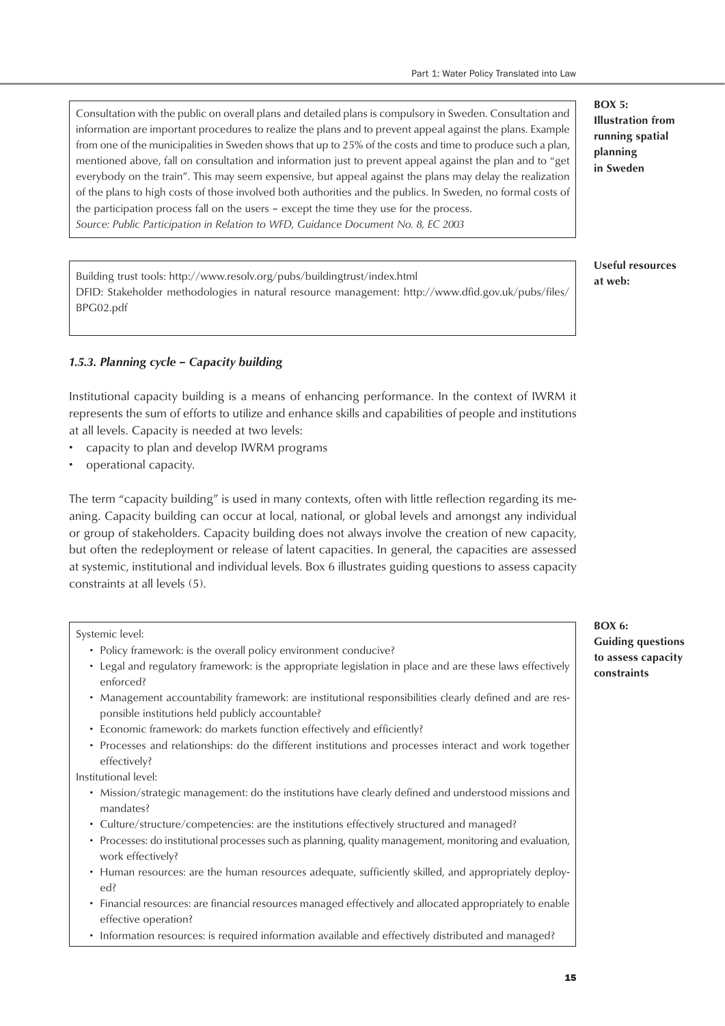Part 1: Water Policy Translated into Law

Consultation with the public on overall plans and detailed plans is compulsory in Sweden. Consultation and information are important procedures to realize the plans and to prevent appeal against the plans. Example from one of the municipalities in Sweden shows that up to 25% of the costs and time to produce such a plan, mentioned above, fall on consultation and information just to prevent appeal against the plan and to "get everybody on the train". This may seem expensive, but appeal against the plans may delay the realization of the plans to high costs of those involved both authorities and the publics. In Sweden, no formal costs of the participation process fall on the users – except the time they use for the process. *Source: Public Participation in Relation to WFD, Guidance Document No. 8, EC 2003*

Building trust tools: http://www.resolv.org/pubs/buildingtrust/index.html DFID: Stakeholder methodologies in natural resource management: http://www.dfid.gov.uk/pubs/files/ BPG02.pdf

# *1.5.3. Planning cycle – Capacity building*

Institutional capacity building is a means of enhancing performance. In the context of IWRM it represents the sum of efforts to utilize and enhance skills and capabilities of people and institutions at all levels. Capacity is needed at two levels:

- capacity to plan and develop IWRM programs
- operational capacity.

The term "capacity building" is used in many contexts, often with little reflection regarding its meaning. Capacity building can occur at local, national, or global levels and amongst any individual or group of stakeholders. Capacity building does not always involve the creation of new capacity, but often the redeployment or release of latent capacities. In general, the capacities are assessed at systemic, institutional and individual levels. Box 6 illustrates guiding questions to assess capacity constraints at all levels (5).

#### Systemic level:

- Policy framework: is the overall policy environment conducive?
- Legal and regulatory framework: is the appropriate legislation in place and are these laws effectively enforced?
- Management accountability framework: are institutional responsibilities clearly defined and are responsible institutions held publicly accountable?
- Economic framework: do markets function effectively and efficiently?
- Processes and relationships: do the different institutions and processes interact and work together effectively?

Institutional level:

- Mission/strategic management: do the institutions have clearly defined and understood missions and mandates?
- Culture/structure/competencies: are the institutions effectively structured and managed?
- Processes: do institutional processes such as planning, quality management, monitoring and evaluation, work effectively?
- Human resources: are the human resources adequate, sufficiently skilled, and appropriately deployed?
- Financial resources: are financial resources managed effectively and allocated appropriately to enable effective operation?
- Information resources: is required information available and effectively distributed and managed?

**BOX 5: Illustration from running spatial planning in Sweden**

**Useful resources at web:**

**BOX 6: Guiding questions to assess capacity constraints**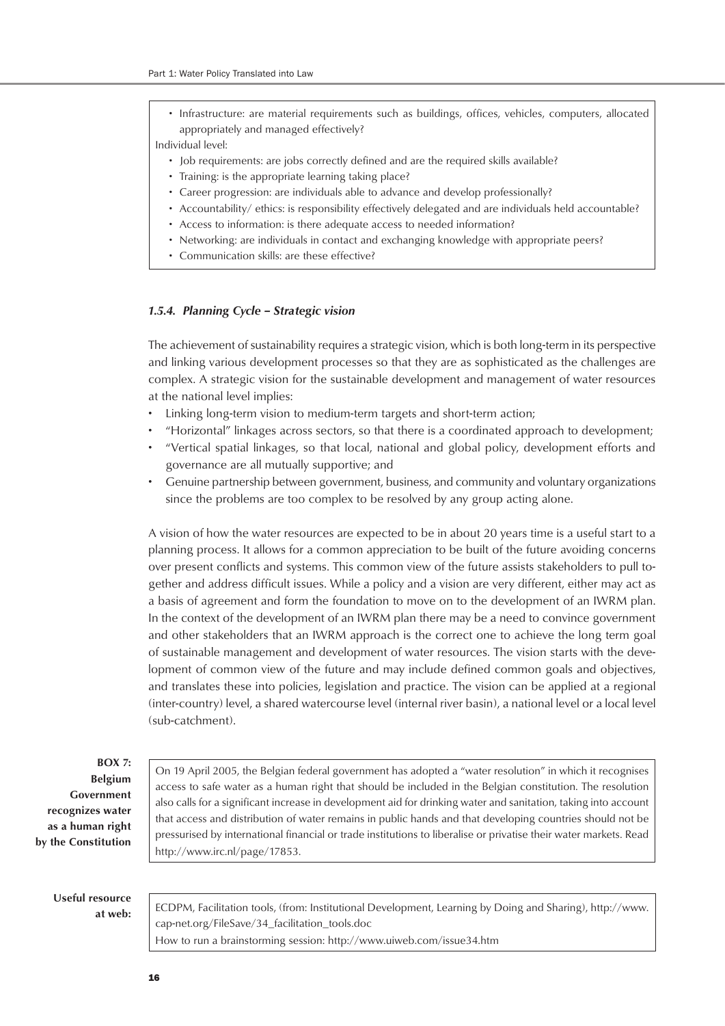• Infrastructure: are material requirements such as buildings, offices, vehicles, computers, allocated appropriately and managed effectively?

Individual level:

- Job requirements: are jobs correctly defined and are the required skills available?
- Training: is the appropriate learning taking place?
- Career progression: are individuals able to advance and develop professionally?
- Accountability/ ethics: is responsibility effectively delegated and are individuals held accountable?
- Access to information: is there adequate access to needed information?
- Networking: are individuals in contact and exchanging knowledge with appropriate peers?
- Communication skills: are these effective?

#### *1.5.4. Planning Cycle – Strategic vision*

The achievement of sustainability requires a strategic vision, which is both long-term in its perspective and linking various development processes so that they are as sophisticated as the challenges are complex. A strategic vision for the sustainable development and management of water resources at the national level implies:

- Linking long-term vision to medium-term targets and short-term action;
- "Horizontal" linkages across sectors, so that there is a coordinated approach to development;
- "Vertical spatial linkages, so that local, national and global policy, development efforts and governance are all mutually supportive; and
- Genuine partnership between government, business, and community and voluntary organizations since the problems are too complex to be resolved by any group acting alone.

A vision of how the water resources are expected to be in about 20 years time is a useful start to a planning process. It allows for a common appreciation to be built of the future avoiding concerns over present conflicts and systems. This common view of the future assists stakeholders to pull together and address difficult issues. While a policy and a vision are very different, either may act as a basis of agreement and form the foundation to move on to the development of an IWRM plan. In the context of the development of an IWRM plan there may be a need to convince government and other stakeholders that an IWRM approach is the correct one to achieve the long term goal of sustainable management and development of water resources. The vision starts with the development of common view of the future and may include defined common goals and objectives, and translates these into policies, legislation and practice. The vision can be applied at a regional (inter-country) level, a shared watercourse level (internal river basin), a national level or a local level (sub-catchment).

**BOX 7: Belgium Government recognizes water as a human right by the Constitution**

On 19 April 2005, the Belgian federal government has adopted a "water resolution" in which it recognises access to safe water as a human right that should be included in the Belgian constitution. The resolution also calls for a significant increase in development aid for drinking water and sanitation, taking into account that access and distribution of water remains in public hands and that developing countries should not be pressurised by international financial or trade institutions to liberalise or privatise their water markets. Read http://www.irc.nl/page/17853.

**Useful resource at web:** 

ECDPM, Facilitation tools, (from: Institutional Development, Learning by Doing and Sharing), http://www. cap-net.org/FileSave/34\_facilitation\_tools.doc How to run a brainstorming session: http://www.uiweb.com/issue34.htm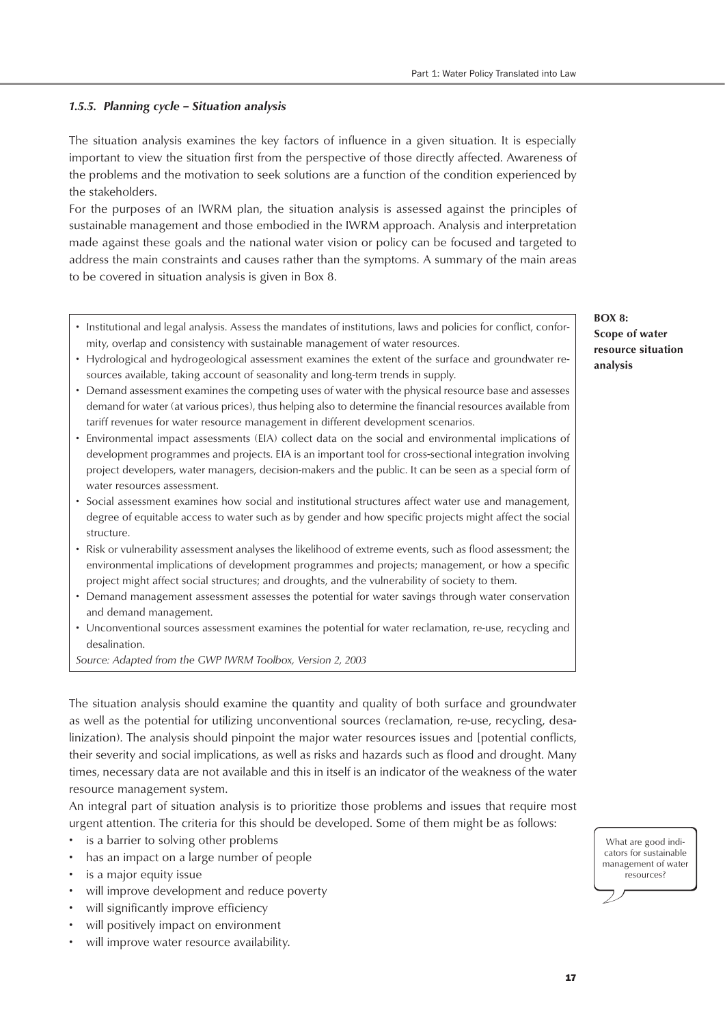#### *1.5.5. Planning cycle – Situation analysis*

The situation analysis examines the key factors of influence in a given situation. It is especially important to view the situation first from the perspective of those directly affected. Awareness of the problems and the motivation to seek solutions are a function of the condition experienced by the stakeholders.

For the purposes of an IWRM plan, the situation analysis is assessed against the principles of sustainable management and those embodied in the IWRM approach. Analysis and interpretation made against these goals and the national water vision or policy can be focused and targeted to address the main constraints and causes rather than the symptoms. A summary of the main areas to be covered in situation analysis is given in Box 8.

- Institutional and legal analysis. Assess the mandates of institutions, laws and policies for conflict, conformity, overlap and consistency with sustainable management of water resources.
- Hydrological and hydrogeological assessment examines the extent of the surface and groundwater resources available, taking account of seasonality and long-term trends in supply.
- Demand assessment examines the competing uses of water with the physical resource base and assesses demand for water (at various prices), thus helping also to determine the financial resources available from tariff revenues for water resource management in different development scenarios.
- Environmental impact assessments (EIA) collect data on the social and environmental implications of development programmes and projects. EIA is an important tool for cross-sectional integration involving project developers, water managers, decision-makers and the public. It can be seen as a special form of water resources assessment.
- Social assessment examines how social and institutional structures affect water use and management, degree of equitable access to water such as by gender and how specific projects might affect the social structure.
- Risk or vulnerability assessment analyses the likelihood of extreme events, such as flood assessment; the environmental implications of development programmes and projects; management, or how a specific project might affect social structures; and droughts, and the vulnerability of society to them.
- Demand management assessment assesses the potential for water savings through water conservation and demand management.
- Unconventional sources assessment examines the potential for water reclamation, re-use, recycling and desalination.

*Source: Adapted from the GWP IWRM Toolbox, Version 2, 2003*

The situation analysis should examine the quantity and quality of both surface and groundwater as well as the potential for utilizing unconventional sources (reclamation, re-use, recycling, desalinization). The analysis should pinpoint the major water resources issues and [potential conflicts, their severity and social implications, as well as risks and hazards such as flood and drought. Many times, necessary data are not available and this in itself is an indicator of the weakness of the water resource management system.

An integral part of situation analysis is to prioritize those problems and issues that require most urgent attention. The criteria for this should be developed. Some of them might be as follows:

- is a barrier to solving other problems
- has an impact on a large number of people
- is a major equity issue
- will improve development and reduce poverty
- will significantly improve efficiency
- will positively impact on environment
- will improve water resource availability.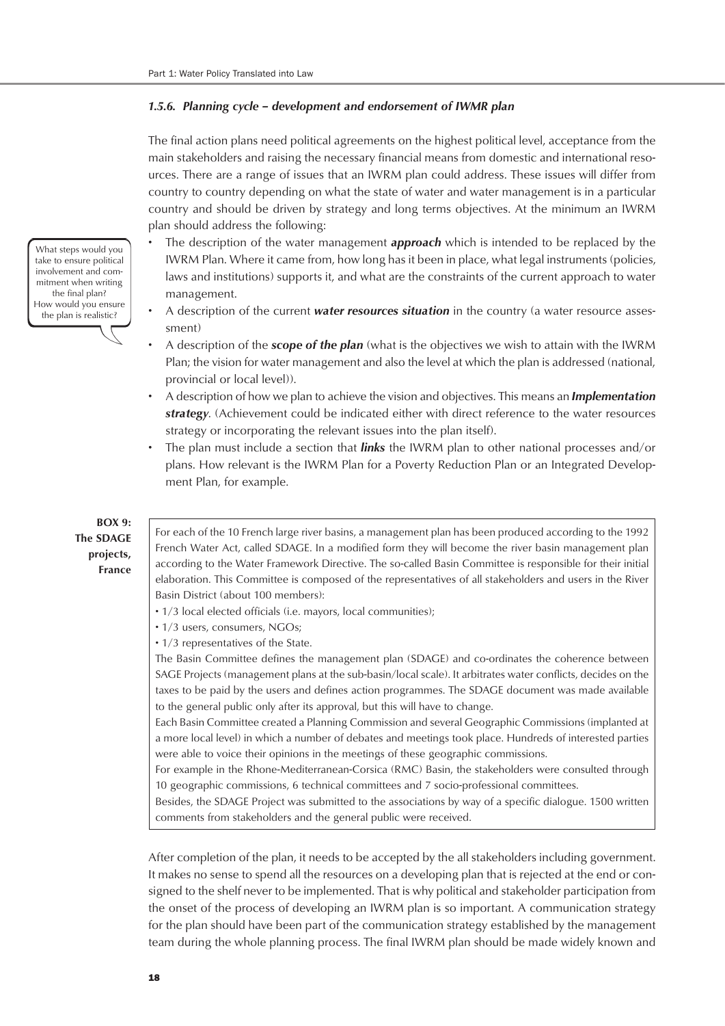# *1.5.6. Planning cycle – development and endorsement of IWMR plan*

The final action plans need political agreements on the highest political level, acceptance from the main stakeholders and raising the necessary financial means from domestic and international resources. There are a range of issues that an IWRM plan could address. These issues will differ from country to country depending on what the state of water and water management is in a particular country and should be driven by strategy and long terms objectives. At the minimum an IWRM plan should address the following:

- The description of the water management *approach* which is intended to be replaced by the IWRM Plan. Where it came from, how long has it been in place, what legal instruments (policies, laws and institutions) supports it, and what are the constraints of the current approach to water management.
- A description of the current *water resources situation* in the country (a water resource assessment)
- A description of the *scope of the plan* (what is the objectives we wish to attain with the IWRM Plan; the vision for water management and also the level at which the plan is addressed (national, provincial or local level)).
- A description of how we plan to achieve the vision and objectives. This means an *Implementation strategy*. (Achievement could be indicated either with direct reference to the water resources strategy or incorporating the relevant issues into the plan itself).
- The plan must include a section that *links* the IWRM plan to other national processes and/or plans. How relevant is the IWRM Plan for a Poverty Reduction Plan or an Integrated Development Plan, for example.

**BOX 9: The SDAGE projects, France**

For each of the 10 French large river basins, a management plan has been produced according to the 1992 French Water Act, called SDAGE. In a modified form they will become the river basin management plan according to the Water Framework Directive. The so-called Basin Committee is responsible for their initial elaboration. This Committee is composed of the representatives of all stakeholders and users in the River Basin District (about 100 members):

- 1/3 local elected officials (i.e. mayors, local communities);
- 1/3 users, consumers, NGOs;
- 1/3 representatives of the State.

The Basin Committee defines the management plan (SDAGE) and co-ordinates the coherence between SAGE Projects (management plans at the sub-basin/local scale). It arbitrates water conflicts, decides on the taxes to be paid by the users and defines action programmes. The SDAGE document was made available to the general public only after its approval, but this will have to change.

Each Basin Committee created a Planning Commission and several Geographic Commissions (implanted at a more local level) in which a number of debates and meetings took place. Hundreds of interested parties were able to voice their opinions in the meetings of these geographic commissions.

For example in the Rhone-Mediterranean-Corsica (RMC) Basin, the stakeholders were consulted through 10 geographic commissions, 6 technical committees and 7 socio-professional committees.

Besides, the SDAGE Project was submitted to the associations by way of a specific dialogue. 1500 written comments from stakeholders and the general public were received.

After completion of the plan, it needs to be accepted by the all stakeholders including government. It makes no sense to spend all the resources on a developing plan that is rejected at the end or consigned to the shelf never to be implemented. That is why political and stakeholder participation from the onset of the process of developing an IWRM plan is so important. A communication strategy for the plan should have been part of the communication strategy established by the management team during the whole planning process. The final IWRM plan should be made widely known and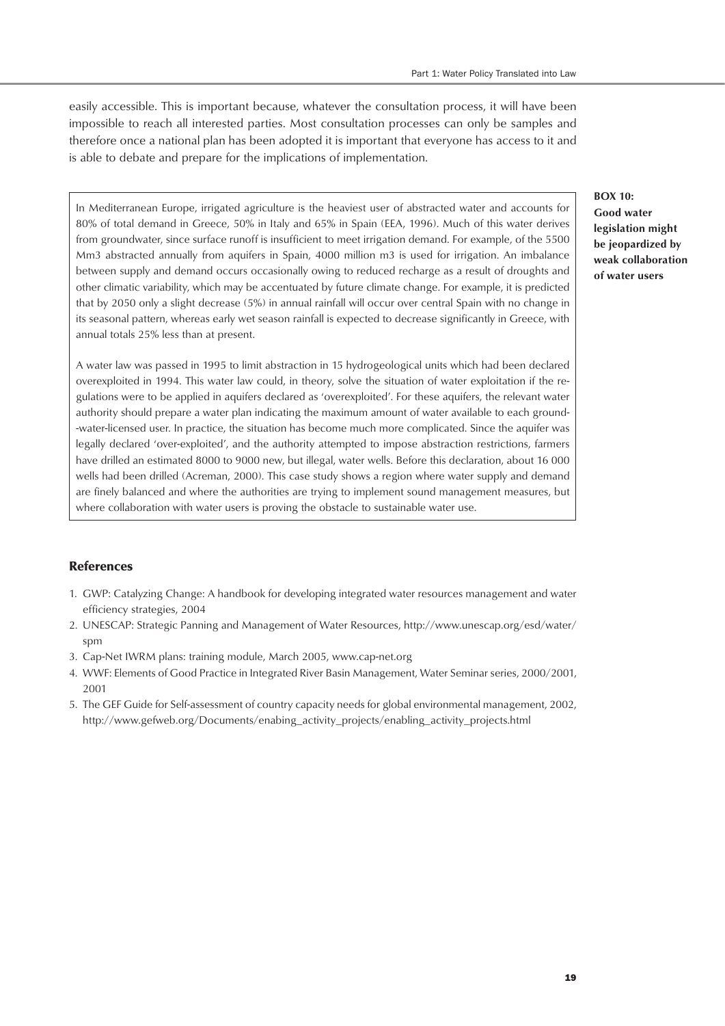easily accessible. This is important because, whatever the consultation process, it will have been impossible to reach all interested parties. Most consultation processes can only be samples and therefore once a national plan has been adopted it is important that everyone has access to it and is able to debate and prepare for the implications of implementation.

In Mediterranean Europe, irrigated agriculture is the heaviest user of abstracted water and accounts for 80% of total demand in Greece, 50% in Italy and 65% in Spain (EEA, 1996). Much of this water derives from groundwater, since surface runoff is insufficient to meet irrigation demand. For example, of the 5500 Mm3 abstracted annually from aquifers in Spain, 4000 million m3 is used for irrigation. An imbalance between supply and demand occurs occasionally owing to reduced recharge as a result of droughts and other climatic variability, which may be accentuated by future climate change. For example, it is predicted that by 2050 only a slight decrease (5%) in annual rainfall will occur over central Spain with no change in its seasonal pattern, whereas early wet season rainfall is expected to decrease significantly in Greece, with annual totals 25% less than at present.

A water law was passed in 1995 to limit abstraction in 15 hydrogeological units which had been declared overexploited in 1994. This water law could, in theory, solve the situation of water exploitation if the regulations were to be applied in aquifers declared as 'overexploited'. For these aquifers, the relevant water authority should prepare a water plan indicating the maximum amount of water available to each ground- -water-licensed user. In practice, the situation has become much more complicated. Since the aquifer was legally declared 'over-exploited', and the authority attempted to impose abstraction restrictions, farmers have drilled an estimated 8000 to 9000 new, but illegal, water wells. Before this declaration, about 16 000 wells had been drilled (Acreman, 2000). This case study shows a region where water supply and demand are finely balanced and where the authorities are trying to implement sound management measures, but where collaboration with water users is proving the obstacle to sustainable water use.

#### References

- 1. GWP: Catalyzing Change: A handbook for developing integrated water resources management and water efficiency strategies, 2004
- 2. UNESCAP: Strategic Panning and Management of Water Resources, http://www.unescap.org/esd/water/ spm
- 3. Cap-Net IWRM plans: training module, March 2005, www.cap-net.org
- 4. WWF: Elements of Good Practice in Integrated River Basin Management, Water Seminar series, 2000/2001, 2001
- 5. The GEF Guide for Self-assessment of country capacity needs for global environmental management, 2002, http://www.gefweb.org/Documents/enabing\_activity\_projects/enabling\_activity\_projects.html

**BOX 10: Good water legislation might be jeopardized by weak collaboration of water users**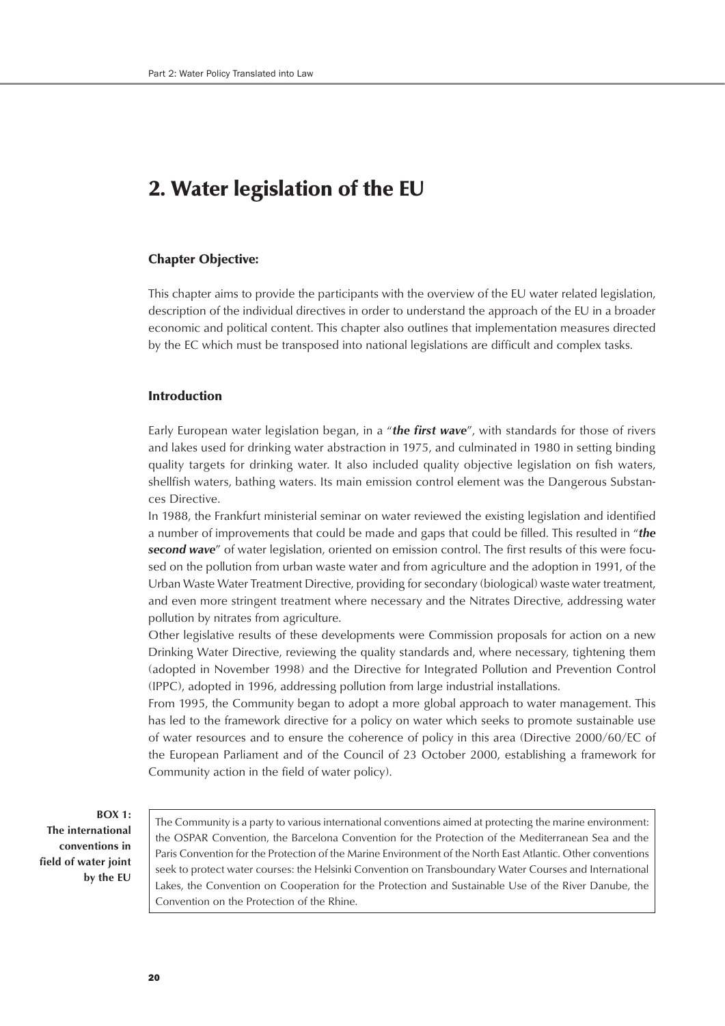# 2. Water legislation of the EU

# Chapter Objective:

This chapter aims to provide the participants with the overview of the EU water related legislation, description of the individual directives in order to understand the approach of the EU in a broader economic and political content. This chapter also outlines that implementation measures directed by the EC which must be transposed into national legislations are difficult and complex tasks.

# Introduction

Early European water legislation began, in a "*the first wave*", with standards for those of rivers and lakes used for drinking water abstraction in 1975, and culminated in 1980 in setting binding quality targets for drinking water. It also included quality objective legislation on fish waters, shellfish waters, bathing waters. Its main emission control element was the Dangerous Substances Directive.

In 1988, the Frankfurt ministerial seminar on water reviewed the existing legislation and identified a number of improvements that could be made and gaps that could be filled. This resulted in "*the second wave*" of water legislation, oriented on emission control. The first results of this were focused on the pollution from urban waste water and from agriculture and the adoption in 1991, of the Urban Waste Water Treatment Directive, providing for secondary (biological) waste water treatment, and even more stringent treatment where necessary and the Nitrates Directive, addressing water pollution by nitrates from agriculture.

Other legislative results of these developments were Commission proposals for action on a new Drinking Water Directive, reviewing the quality standards and, where necessary, tightening them (adopted in November 1998) and the Directive for Integrated Pollution and Prevention Control (IPPC), adopted in 1996, addressing pollution from large industrial installations.

From 1995, the Community began to adopt a more global approach to water management. This has led to the framework directive for a policy on water which seeks to promote sustainable use of water resources and to ensure the coherence of policy in this area (Directive 2000/60/EC of the European Parliament and of the Council of 23 October 2000, establishing a framework for Community action in the field of water policy).

**BOX 1: The international conventions in field of water joint by the EU**

The Community is a party to various international conventions aimed at protecting the marine environment: the OSPAR Convention, the Barcelona Convention for the Protection of the Mediterranean Sea and the Paris Convention for the Protection of the Marine Environment of the North East Atlantic. Other conventions seek to protect water courses: the Helsinki Convention on Transboundary Water Courses and International Lakes, the Convention on Cooperation for the Protection and Sustainable Use of the River Danube, the Convention on the Protection of the Rhine.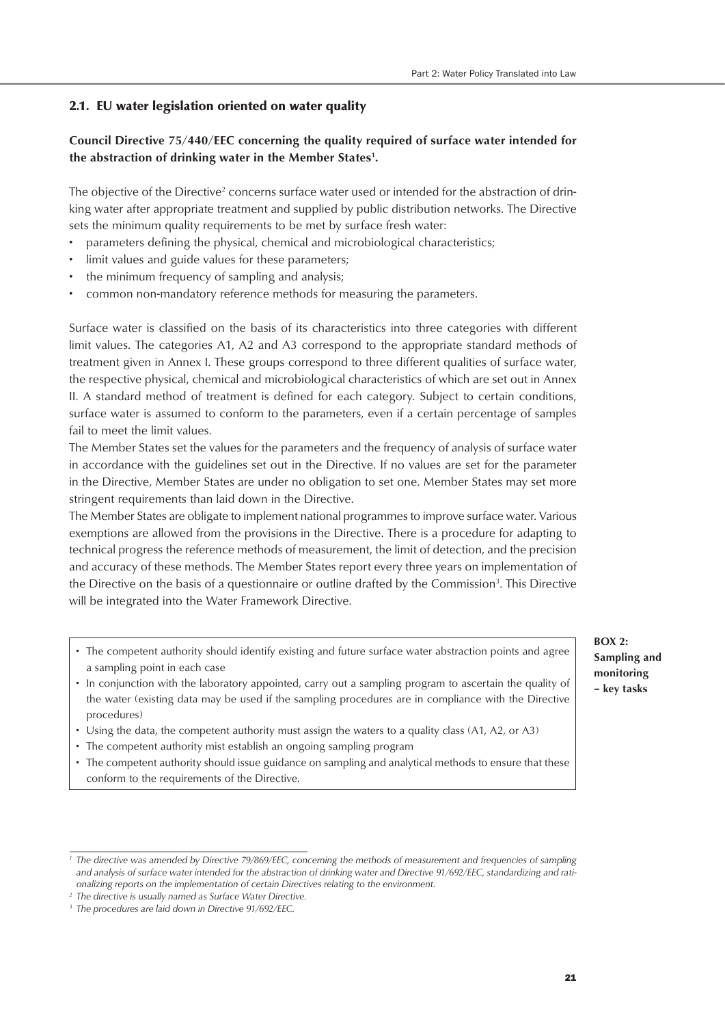# 2.1. EU water legislation oriented on water quality

# **Council Directive 75/440/EEC concerning the quality required of surface water intended for the abstraction of drinking water in the Member States1 .**

The objective of the Directive $^2$  concerns surface water used or intended for the abstraction of drinking water after appropriate treatment and supplied by public distribution networks. The Directive sets the minimum quality requirements to be met by surface fresh water:

- parameters defining the physical, chemical and microbiological characteristics;
- limit values and guide values for these parameters;
- the minimum frequency of sampling and analysis;
- common non-mandatory reference methods for measuring the parameters.

Surface water is classified on the basis of its characteristics into three categories with different limit values. The categories A1, A2 and A3 correspond to the appropriate standard methods of treatment given in Annex I. These groups correspond to three different qualities of surface water, the respective physical, chemical and microbiological characteristics of which are set out in Annex II. A standard method of treatment is defined for each category. Subject to certain conditions, surface water is assumed to conform to the parameters, even if a certain percentage of samples fail to meet the limit values.

The Member States set the values for the parameters and the frequency of analysis of surface water in accordance with the guidelines set out in the Directive. If no values are set for the parameter in the Directive, Member States are under no obligation to set one. Member States may set more stringent requirements than laid down in the Directive.

The Member States are obligate to implement national programmes to improve surface water. Various exemptions are allowed from the provisions in the Directive. There is a procedure for adapting to technical progress the reference methods of measurement, the limit of detection, and the precision and accuracy of these methods. The Member States report every three years on implementation of the Directive on the basis of a questionnaire or outline drafted by the Commission<sup>3</sup>. This Directive will be integrated into the Water Framework Directive.

- The competent authority should identify existing and future surface water abstraction points and agree a sampling point in each case
- In conjunction with the laboratory appointed, carry out a sampling program to ascertain the quality of the water (existing data may be used if the sampling procedures are in compliance with the Directive procedures)
- Using the data, the competent authority must assign the waters to a quality class (A1, A2, or A3)
- The competent authority mist establish an ongoing sampling program
- The competent authority should issue guidance on sampling and analytical methods to ensure that these conform to the requirements of the Directive.

**BOX 2: Sampling and monitoring – key tasks**

*<sup>1</sup> The directive was amended by Directive 79/869/EEC, concerning the methods of measurement and frequencies of sampling and analysis of surface water intended for the abstraction of drinking water and Directive 91/692/EEC, standardizing and rationalizing reports on the implementation of certain Directives relating to the environment.*

*<sup>2</sup> The directive is usually named as Surface Water Directive.*

*<sup>3</sup> The procedures are laid down in Directive 91/692/EEC.*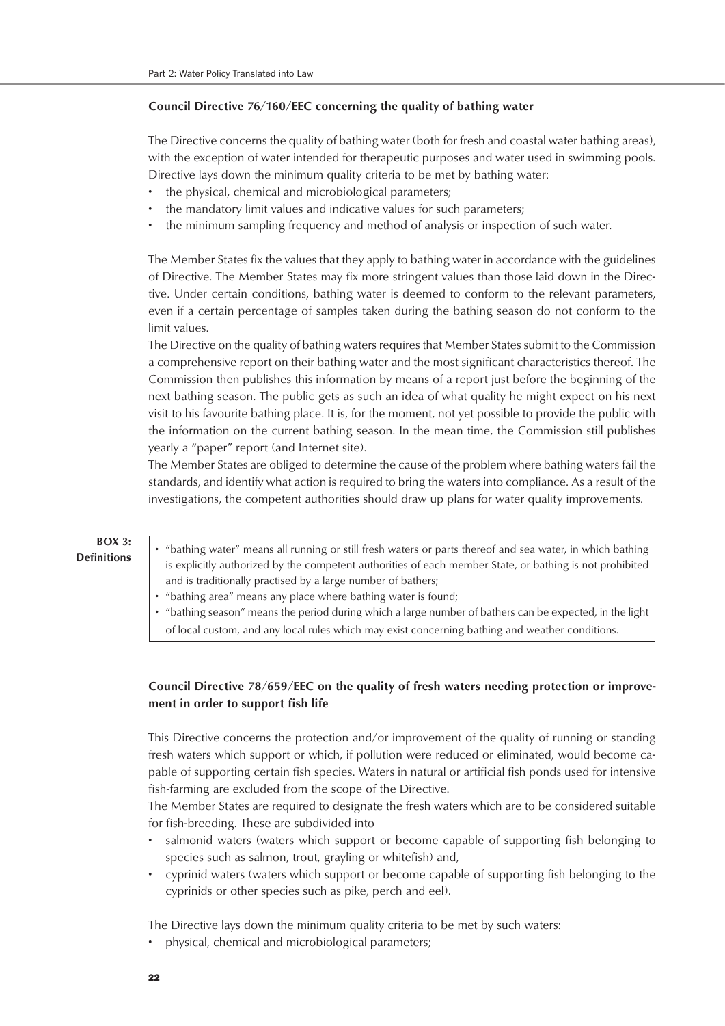# **Council Directive 76/160/EEC concerning the quality of bathing water**

The Directive concerns the quality of bathing water (both for fresh and coastal water bathing areas), with the exception of water intended for therapeutic purposes and water used in swimming pools. Directive lays down the minimum quality criteria to be met by bathing water:

- the physical, chemical and microbiological parameters;
- the mandatory limit values and indicative values for such parameters;
- the minimum sampling frequency and method of analysis or inspection of such water.

The Member States fix the values that they apply to bathing water in accordance with the guidelines of Directive. The Member States may fix more stringent values than those laid down in the Directive. Under certain conditions, bathing water is deemed to conform to the relevant parameters, even if a certain percentage of samples taken during the bathing season do not conform to the limit values.

The Directive on the quality of bathing waters requires that Member States submit to the Commission a comprehensive report on their bathing water and the most significant characteristics thereof. The Commission then publishes this information by means of a report just before the beginning of the next bathing season. The public gets as such an idea of what quality he might expect on his next visit to his favourite bathing place. It is, for the moment, not yet possible to provide the public with the information on the current bathing season. In the mean time, the Commission still publishes yearly a "paper" report (and Internet site).

The Member States are obliged to determine the cause of the problem where bathing waters fail the standards, and identify what action is required to bring the waters into compliance. As a result of the investigations, the competent authorities should draw up plans for water quality improvements.

#### **BOX 3: Definitions**

- "bathing water" means all running or still fresh waters or parts thereof and sea water, in which bathing is explicitly authorized by the competent authorities of each member State, or bathing is not prohibited and is traditionally practised by a large number of bathers;
- "bathing area" means any place where bathing water is found;
- "bathing season" means the period during which a large number of bathers can be expected, in the light of local custom, and any local rules which may exist concerning bathing and weather conditions.

# **Council Directive 78/659/EEC on the quality of fresh waters needing protection or improvement in order to support fish life**

This Directive concerns the protection and/or improvement of the quality of running or standing fresh waters which support or which, if pollution were reduced or eliminated, would become capable of supporting certain fish species. Waters in natural or artificial fish ponds used for intensive fish-farming are excluded from the scope of the Directive.

The Member States are required to designate the fresh waters which are to be considered suitable for fish-breeding. These are subdivided into

- salmonid waters (waters which support or become capable of supporting fish belonging to species such as salmon, trout, grayling or whitefish) and,
- cyprinid waters (waters which support or become capable of supporting fish belonging to the cyprinids or other species such as pike, perch and eel).

The Directive lays down the minimum quality criteria to be met by such waters:

• physical, chemical and microbiological parameters;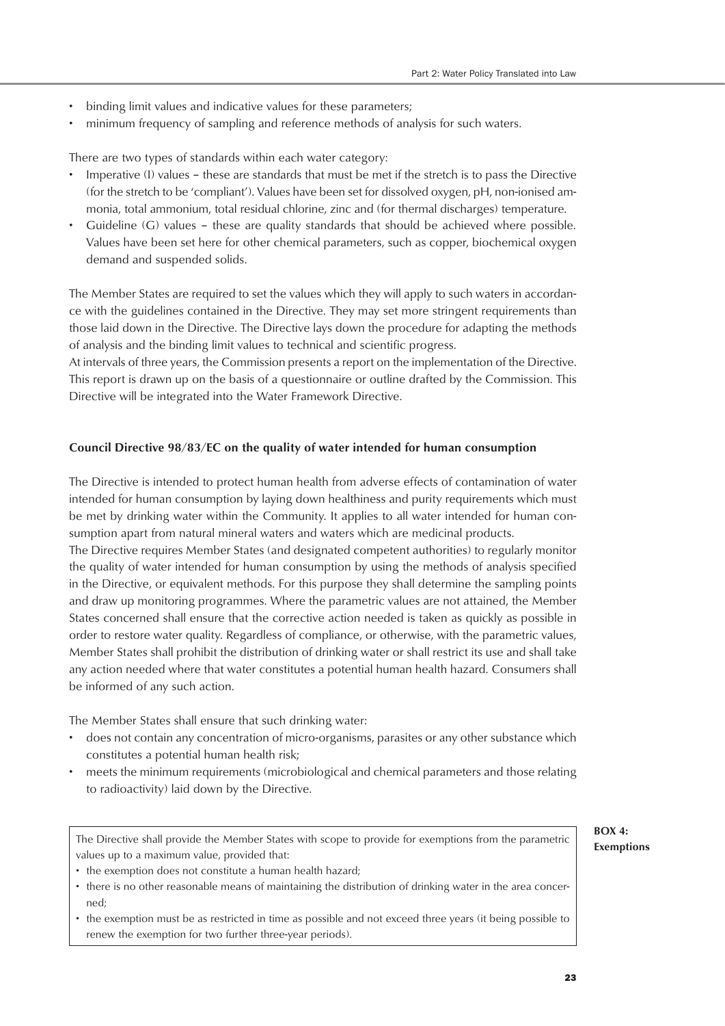- binding limit values and indicative values for these parameters;
- minimum frequency of sampling and reference methods of analysis for such waters.

There are two types of standards within each water category:

- Imperative (I) values these are standards that must be met if the stretch is to pass the Directive (for the stretch to be 'compliant'). Values have been set for dissolved oxygen, pH, non-ionised ammonia, total ammonium, total residual chlorine, zinc and (for thermal discharges) temperature.
- Guideline (G) values these are quality standards that should be achieved where possible. Values have been set here for other chemical parameters, such as copper, biochemical oxygen demand and suspended solids.

The Member States are required to set the values which they will apply to such waters in accordance with the guidelines contained in the Directive. They may set more stringent requirements than those laid down in the Directive. The Directive lays down the procedure for adapting the methods of analysis and the binding limit values to technical and scientific progress.

At intervals of three years, the Commission presents a report on the implementation of the Directive. This report is drawn up on the basis of a questionnaire or outline drafted by the Commission. This Directive will be integrated into the Water Framework Directive.

#### **Council Directive 98/83/EC on the quality of water intended for human consumption**

The Directive is intended to protect human health from adverse effects of contamination of water intended for human consumption by laying down healthiness and purity requirements which must be met by drinking water within the Community. It applies to all water intended for human consumption apart from natural mineral waters and waters which are medicinal products.

The Directive requires Member States (and designated competent authorities) to regularly monitor the quality of water intended for human consumption by using the methods of analysis specified in the Directive, or equivalent methods. For this purpose they shall determine the sampling points and draw up monitoring programmes. Where the parametric values are not attained, the Member States concerned shall ensure that the corrective action needed is taken as quickly as possible in order to restore water quality. Regardless of compliance, or otherwise, with the parametric values, Member States shall prohibit the distribution of drinking water or shall restrict its use and shall take any action needed where that water constitutes a potential human health hazard. Consumers shall be informed of any such action.

The Member States shall ensure that such drinking water:

- does not contain any concentration of micro-organisms, parasites or any other substance which constitutes a potential human health risk;
- meets the minimum requirements (microbiological and chemical parameters and those relating to radioactivity) laid down by the Directive.

The Directive shall provide the Member States with scope to provide for exemptions from the parametric values up to a maximum value, provided that:

- the exemption does not constitute a human health hazard;
- there is no other reasonable means of maintaining the distribution of drinking water in the area concerned;
- the exemption must be as restricted in time as possible and not exceed three years (it being possible to renew the exemption for two further three-year periods).

## **BOX 4: Exemptions**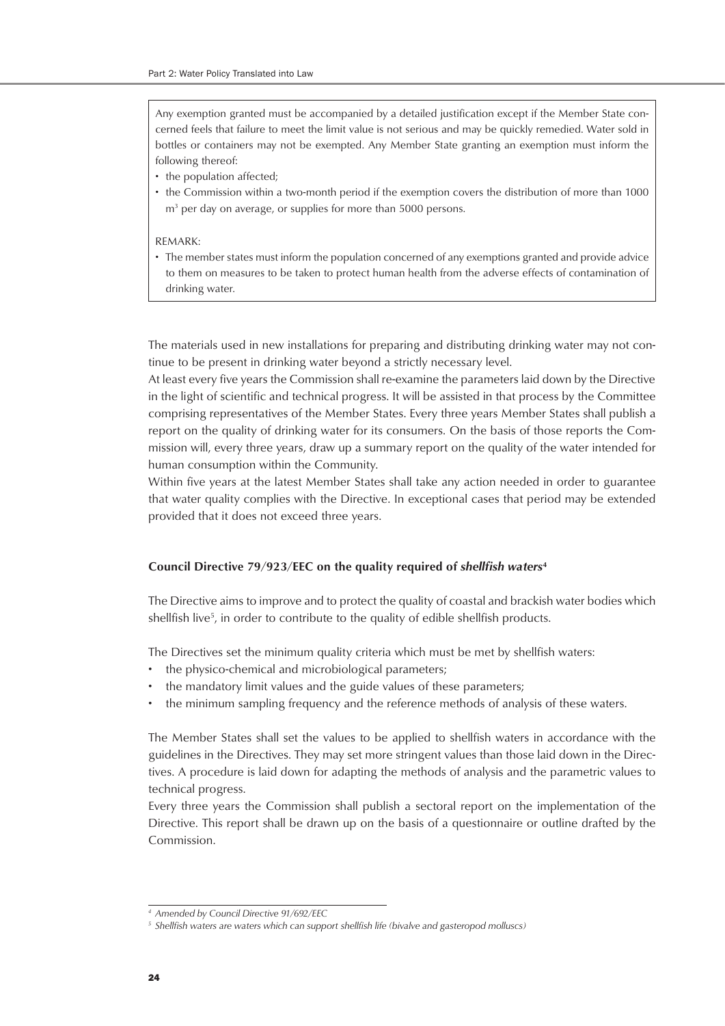Any exemption granted must be accompanied by a detailed justification except if the Member State concerned feels that failure to meet the limit value is not serious and may be quickly remedied. Water sold in bottles or containers may not be exempted. Any Member State granting an exemption must inform the following thereof:

- the population affected;
- the Commission within a two-month period if the exemption covers the distribution of more than 1000 m3 per day on average, or supplies for more than 5000 persons.

#### REMARK:

• The member states must inform the population concerned of any exemptions granted and provide advice to them on measures to be taken to protect human health from the adverse effects of contamination of drinking water.

The materials used in new installations for preparing and distributing drinking water may not continue to be present in drinking water beyond a strictly necessary level.

At least every five years the Commission shall re-examine the parameters laid down by the Directive in the light of scientific and technical progress. It will be assisted in that process by the Committee comprising representatives of the Member States. Every three years Member States shall publish a report on the quality of drinking water for its consumers. On the basis of those reports the Commission will, every three years, draw up a summary report on the quality of the water intended for human consumption within the Community.

Within five years at the latest Member States shall take any action needed in order to guarantee that water quality complies with the Directive. In exceptional cases that period may be extended provided that it does not exceed three years.

#### **Council Directive 79/923/EEC on the quality required of** *shellfish waters***<sup>4</sup>**

The Directive aims to improve and to protect the quality of coastal and brackish water bodies which shellfish live<sup>5</sup>, in order to contribute to the quality of edible shellfish products.

The Directives set the minimum quality criteria which must be met by shellfish waters:

- the physico-chemical and microbiological parameters;
- the mandatory limit values and the guide values of these parameters;
- the minimum sampling frequency and the reference methods of analysis of these waters.

The Member States shall set the values to be applied to shellfish waters in accordance with the guidelines in the Directives. They may set more stringent values than those laid down in the Directives. A procedure is laid down for adapting the methods of analysis and the parametric values to technical progress.

Every three years the Commission shall publish a sectoral report on the implementation of the Directive. This report shall be drawn up on the basis of a questionnaire or outline drafted by the Commission.

*<sup>4</sup> Amended by Council Directive 91/692/EEC*

*<sup>5</sup> Shellfish waters are waters which can support shellfish life (bivalve and gasteropod molluscs)*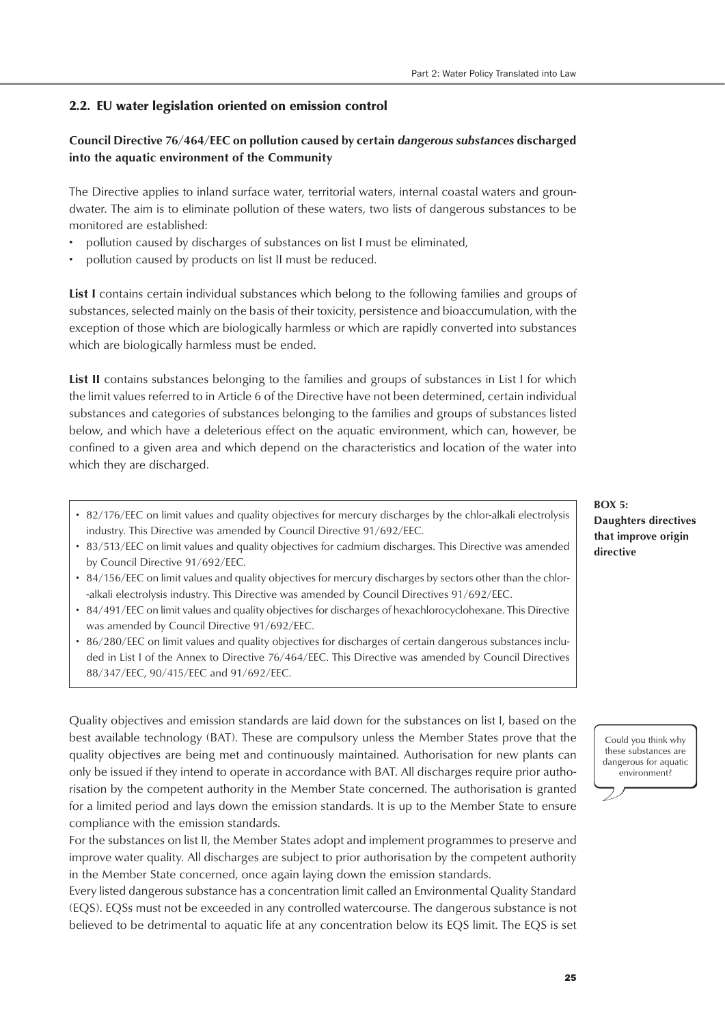# 2.2. EU water legislation oriented on emission control

# **Council Directive 76/464/EEC on pollution caused by certain** *dangerous substances* **discharged into the aquatic environment of the Community**

The Directive applies to inland surface water, territorial waters, internal coastal waters and groundwater. The aim is to eliminate pollution of these waters, two lists of dangerous substances to be monitored are established:

- pollution caused by discharges of substances on list I must be eliminated,
- pollution caused by products on list II must be reduced.

**List I** contains certain individual substances which belong to the following families and groups of substances, selected mainly on the basis of their toxicity, persistence and bioaccumulation, with the exception of those which are biologically harmless or which are rapidly converted into substances which are biologically harmless must be ended.

**List II** contains substances belonging to the families and groups of substances in List I for which the limit values referred to in Article 6 of the Directive have not been determined, certain individual substances and categories of substances belonging to the families and groups of substances listed below, and which have a deleterious effect on the aquatic environment, which can, however, be confined to a given area and which depend on the characteristics and location of the water into which they are discharged.

- 82/176/EEC on limit values and quality objectives for mercury discharges by the chlor-alkali electrolysis industry. This Directive was amended by Council Directive 91/692/EEC.
- 83/513/EEC on limit values and quality objectives for cadmium discharges. This Directive was amended by Council Directive 91/692/EEC.
- 84/156/EEC on limit values and quality objectives for mercury discharges by sectors other than the chlor- -alkali electrolysis industry. This Directive was amended by Council Directives 91/692/EEC.
- 84/491/EEC on limit values and quality objectives for discharges of hexachlorocyclohexane. This Directive was amended by Council Directive 91/692/EEC.
- 86/280/EEC on limit values and quality objectives for discharges of certain dangerous substances included in List I of the Annex to Directive 76/464/EEC. This Directive was amended by Council Directives 88/347/EEC, 90/415/EEC and 91/692/EEC.

Quality objectives and emission standards are laid down for the substances on list I, based on the best available technology (BAT). These are compulsory unless the Member States prove that the quality objectives are being met and continuously maintained. Authorisation for new plants can only be issued if they intend to operate in accordance with BAT. All discharges require prior authorisation by the competent authority in the Member State concerned. The authorisation is granted for a limited period and lays down the emission standards. It is up to the Member State to ensure compliance with the emission standards.

For the substances on list II, the Member States adopt and implement programmes to preserve and improve water quality. All discharges are subject to prior authorisation by the competent authority in the Member State concerned, once again laying down the emission standards.

Every listed dangerous substance has a concentration limit called an Environmental Quality Standard (EQS). EQSs must not be exceeded in any controlled watercourse. The dangerous substance is not believed to be detrimental to aquatic life at any concentration below its EQS limit. The EQS is set **BOX 5: Daughters directives that improve origin directive** 

Could you think why these substances are dangerous for aquatic environment?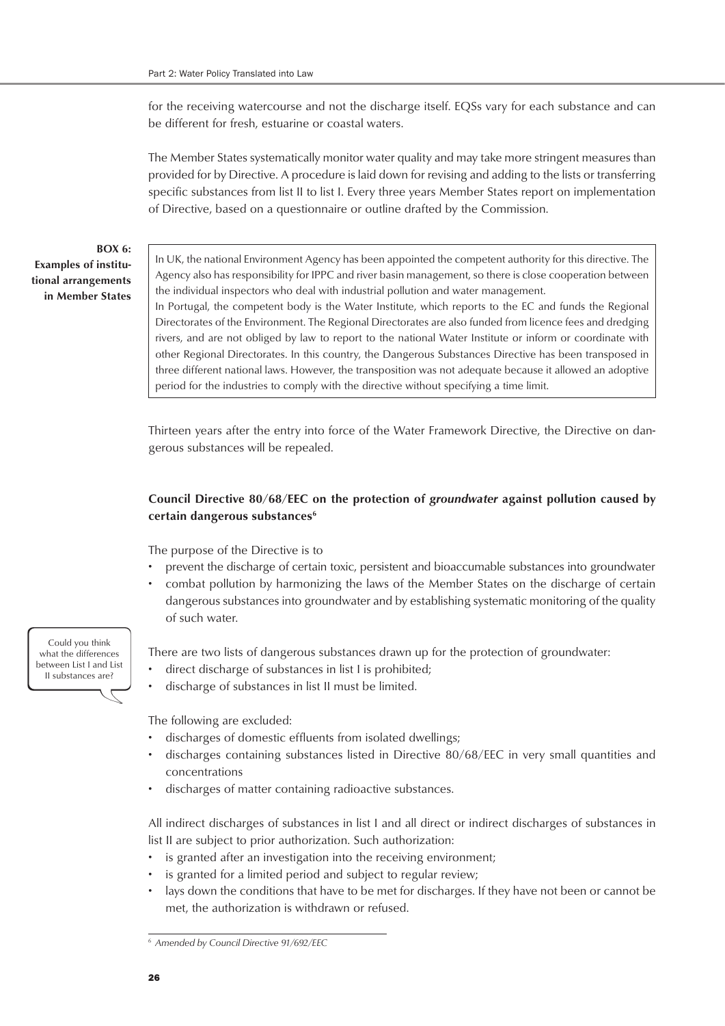for the receiving watercourse and not the discharge itself. EQSs vary for each substance and can be different for fresh, estuarine or coastal waters.

The Member States systematically monitor water quality and may take more stringent measures than provided for by Directive. A procedure is laid down for revising and adding to the lists or transferring specific substances from list II to list I. Every three years Member States report on implementation of Directive, based on a questionnaire or outline drafted by the Commission.

# **BOX 6:**

**Examples of institutional arrangements in Member States**

In UK, the national Environment Agency has been appointed the competent authority for this directive. The Agency also has responsibility for IPPC and river basin management, so there is close cooperation between the individual inspectors who deal with industrial pollution and water management.

In Portugal, the competent body is the Water Institute, which reports to the EC and funds the Regional Directorates of the Environment. The Regional Directorates are also funded from licence fees and dredging rivers, and are not obliged by law to report to the national Water Institute or inform or coordinate with other Regional Directorates. In this country, the Dangerous Substances Directive has been transposed in three different national laws. However, the transposition was not adequate because it allowed an adoptive period for the industries to comply with the directive without specifying a time limit.

Thirteen years after the entry into force of the Water Framework Directive, the Directive on dangerous substances will be repealed.

# **Council Directive 80/68/EEC on the protection of** *groundwater* **against pollution caused by certain dangerous substances6**

The purpose of the Directive is to

- prevent the discharge of certain toxic, persistent and bioaccumable substances into groundwater
- combat pollution by harmonizing the laws of the Member States on the discharge of certain dangerous substances into groundwater and by establishing systematic monitoring of the quality of such water.

There are two lists of dangerous substances drawn up for the protection of groundwater:

- direct discharge of substances in list I is prohibited;
- discharge of substances in list II must be limited.

The following are excluded:

- discharges of domestic effluents from isolated dwellings;
- discharges containing substances listed in Directive 80/68/EEC in very small quantities and concentrations
- discharges of matter containing radioactive substances.

All indirect discharges of substances in list I and all direct or indirect discharges of substances in list II are subject to prior authorization. Such authorization:

- is granted after an investigation into the receiving environment;
- is granted for a limited period and subject to regular review;
- lays down the conditions that have to be met for discharges. If they have not been or cannot be met, the authorization is withdrawn or refused.

*<sup>6</sup> Amended by Council Directive 91/692/EEC*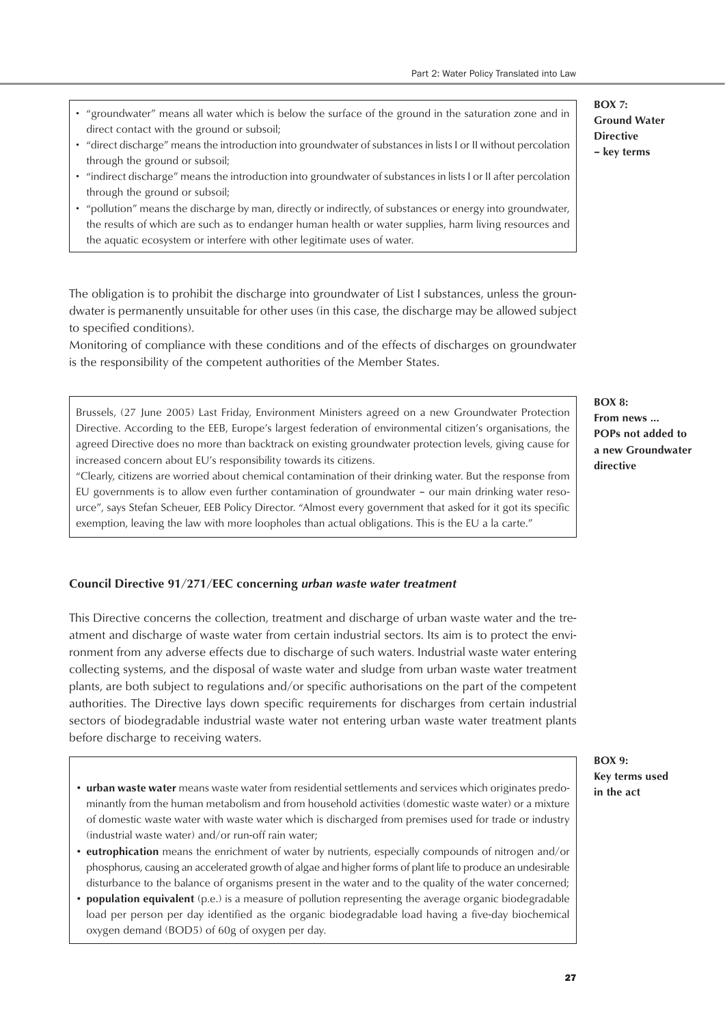- "groundwater" means all water which is below the surface of the ground in the saturation zone and in direct contact with the ground or subsoil;
- "direct discharge" means the introduction into groundwater of substances in lists I or II without percolation through the ground or subsoil;
- "indirect discharge" means the introduction into groundwater of substances in lists I or II after percolation through the ground or subsoil;
- "pollution" means the discharge by man, directly or indirectly, of substances or energy into groundwater, the results of which are such as to endanger human health or water supplies, harm living resources and the aquatic ecosystem or interfere with other legitimate uses of water.

The obligation is to prohibit the discharge into groundwater of List I substances, unless the groundwater is permanently unsuitable for other uses (in this case, the discharge may be allowed subject to specified conditions).

Monitoring of compliance with these conditions and of the effects of discharges on groundwater is the responsibility of the competent authorities of the Member States.

Brussels, (27 June 2005) Last Friday, Environment Ministers agreed on a new Groundwater Protection Directive. According to the EEB, Europe's largest federation of environmental citizen's organisations, the agreed Directive does no more than backtrack on existing groundwater protection levels, giving cause for increased concern about EU's responsibility towards its citizens.

"Clearly, citizens are worried about chemical contamination of their drinking water. But the response from EU governments is to allow even further contamination of groundwater – our main drinking water resource", says Stefan Scheuer, EEB Policy Director. "Almost every government that asked for it got its specific exemption, leaving the law with more loopholes than actual obligations. This is the EU a la carte."

#### **Council Directive 91/271/EEC concerning** *urban waste water treatment*

This Directive concerns the collection, treatment and discharge of urban waste water and the treatment and discharge of waste water from certain industrial sectors. Its aim is to protect the environment from any adverse effects due to discharge of such waters. Industrial waste water entering collecting systems, and the disposal of waste water and sludge from urban waste water treatment plants, are both subject to regulations and/or specific authorisations on the part of the competent authorities. The Directive lays down specific requirements for discharges from certain industrial sectors of biodegradable industrial waste water not entering urban waste water treatment plants before discharge to receiving waters.

- **urban waste water** means waste water from residential settlements and services which originates predominantly from the human metabolism and from household activities (domestic waste water) or a mixture of domestic waste water with waste water which is discharged from premises used for trade or industry (industrial waste water) and/or run-off rain water;
- **eutrophication** means the enrichment of water by nutrients, especially compounds of nitrogen and/or phosphorus, causing an accelerated growth of algae and higher forms of plant life to produce an undesirable disturbance to the balance of organisms present in the water and to the quality of the water concerned;
- **population equivalent** (p.e.) is a measure of pollution representing the average organic biodegradable load per person per day identified as the organic biodegradable load having a five-day biochemical oxygen demand (BOD5) of 60g of oxygen per day.

**BOX 7: Ground Water Directive – key terms**

**BOX 8: From news ... POPs not added to a new Groundwater directive**

**BOX 9: Key terms used in the act**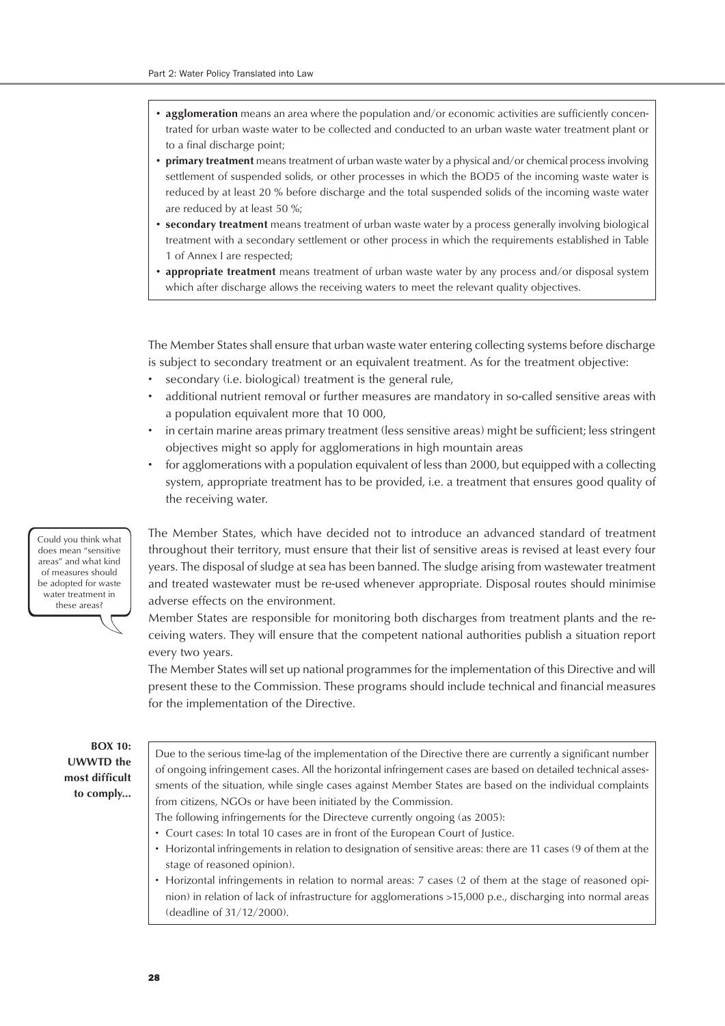- **agglomeration** means an area where the population and/or economic activities are sufficiently concentrated for urban waste water to be collected and conducted to an urban waste water treatment plant or to a final discharge point;
- **primary treatment** means treatment of urban waste water by a physical and/or chemical process involving settlement of suspended solids, or other processes in which the BOD5 of the incoming waste water is reduced by at least 20 % before discharge and the total suspended solids of the incoming waste water are reduced by at least 50 %;
- **secondary treatment** means treatment of urban waste water by a process generally involving biological treatment with a secondary settlement or other process in which the requirements established in Table 1 of Annex I are respected;
- **appropriate treatment** means treatment of urban waste water by any process and/or disposal system which after discharge allows the receiving waters to meet the relevant quality objectives.

The Member States shall ensure that urban waste water entering collecting systems before discharge is subject to secondary treatment or an equivalent treatment. As for the treatment objective:

- secondary (i.e. biological) treatment is the general rule,
- additional nutrient removal or further measures are mandatory in so-called sensitive areas with a population equivalent more that 10 000,
- in certain marine areas primary treatment (less sensitive areas) might be sufficient; less stringent objectives might so apply for agglomerations in high mountain areas
- for agglomerations with a population equivalent of less than 2000, but equipped with a collecting system, appropriate treatment has to be provided, i.e. a treatment that ensures good quality of the receiving water.

The Member States, which have decided not to introduce an advanced standard of treatment throughout their territory, must ensure that their list of sensitive areas is revised at least every four years. The disposal of sludge at sea has been banned. The sludge arising from wastewater treatment and treated wastewater must be re-used whenever appropriate. Disposal routes should minimise adverse effects on the environment.

Member States are responsible for monitoring both discharges from treatment plants and the receiving waters. They will ensure that the competent national authorities publish a situation report every two years.

The Member States will set up national programmes for the implementation of this Directive and will present these to the Commission. These programs should include technical and financial measures for the implementation of the Directive.

**BOX 10: UWWTD the most difficult to comply...**

Due to the serious time-lag of the implementation of the Directive there are currently a significant number of ongoing infringement cases. All the horizontal infringement cases are based on detailed technical assessments of the situation, while single cases against Member States are based on the individual complaints from citizens, NGOs or have been initiated by the Commission.

The following infringements for the Directeve currently ongoing (as 2005):

- Court cases: In total 10 cases are in front of the European Court of Justice.
- Horizontal infringements in relation to designation of sensitive areas: there are 11 cases (9 of them at the stage of reasoned opinion).
- Horizontal infringements in relation to normal areas: 7 cases (2 of them at the stage of reasoned opinion) in relation of lack of infrastructure for agglomerations >15,000 p.e., discharging into normal areas (deadline of 31/12/2000).

Could you think what does mean "sensitive areas" and what kind of measures should be adopted for waste water treatment in these areas?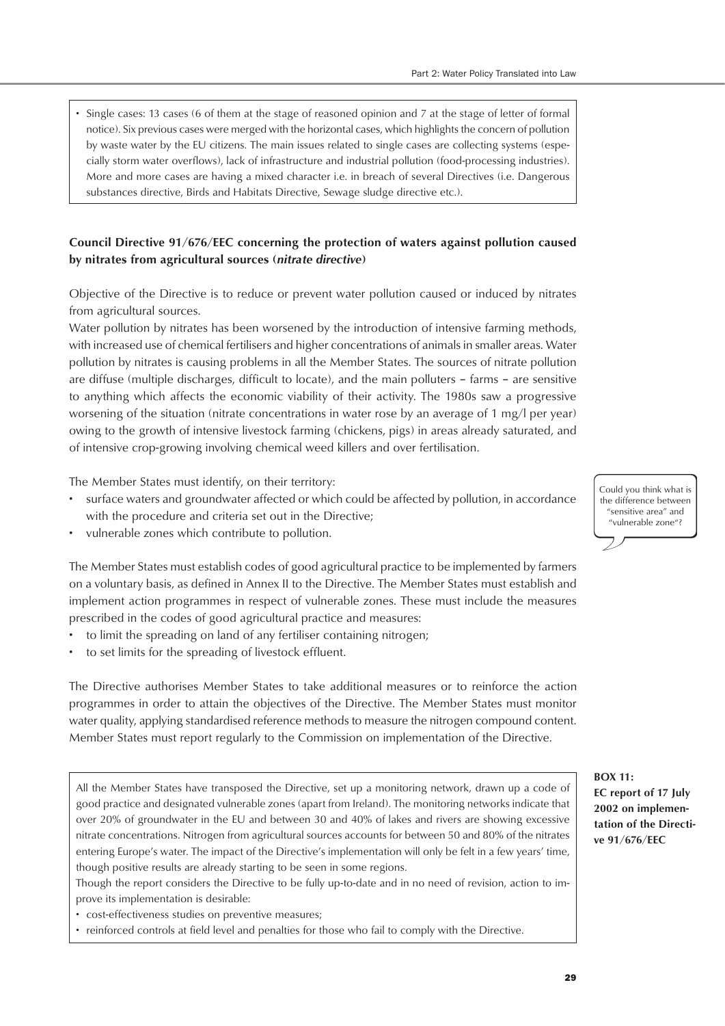• Single cases: 13 cases (6 of them at the stage of reasoned opinion and 7 at the stage of letter of formal notice). Six previous cases were merged with the horizontal cases, which highlights the concern of pollution by waste water by the EU citizens. The main issues related to single cases are collecting systems (especially storm water overflows), lack of infrastructure and industrial pollution (food-processing industries). More and more cases are having a mixed character i.e. in breach of several Directives (i.e. Dangerous substances directive, Birds and Habitats Directive, Sewage sludge directive etc.).

# **Council Directive 91/676/EEC concerning the protection of waters against pollution caused by nitrates from agricultural sources (***nitrate directive***)**

Objective of the Directive is to reduce or prevent water pollution caused or induced by nitrates from agricultural sources.

Water pollution by nitrates has been worsened by the introduction of intensive farming methods, with increased use of chemical fertilisers and higher concentrations of animals in smaller areas. Water pollution by nitrates is causing problems in all the Member States. The sources of nitrate pollution are diffuse (multiple discharges, difficult to locate), and the main polluters – farms – are sensitive to anything which affects the economic viability of their activity. The 1980s saw a progressive worsening of the situation (nitrate concentrations in water rose by an average of 1 mg/l per year) owing to the growth of intensive livestock farming (chickens, pigs) in areas already saturated, and of intensive crop-growing involving chemical weed killers and over fertilisation.

The Member States must identify, on their territory:

- surface waters and groundwater affected or which could be affected by pollution, in accordance with the procedure and criteria set out in the Directive;
- vulnerable zones which contribute to pollution.

The Member States must establish codes of good agricultural practice to be implemented by farmers on a voluntary basis, as defined in Annex II to the Directive. The Member States must establish and implement action programmes in respect of vulnerable zones. These must include the measures prescribed in the codes of good agricultural practice and measures:

- to limit the spreading on land of any fertiliser containing nitrogen;
- to set limits for the spreading of livestock effluent.

The Directive authorises Member States to take additional measures or to reinforce the action programmes in order to attain the objectives of the Directive. The Member States must monitor water quality, applying standardised reference methods to measure the nitrogen compound content. Member States must report regularly to the Commission on implementation of the Directive.

All the Member States have transposed the Directive, set up a monitoring network, drawn up a code of good practice and designated vulnerable zones (apart from Ireland). The monitoring networks indicate that over 20% of groundwater in the EU and between 30 and 40% of lakes and rivers are showing excessive nitrate concentrations. Nitrogen from agricultural sources accounts for between 50 and 80% of the nitrates entering Europe's water. The impact of the Directive's implementation will only be felt in a few years' time, though positive results are already starting to be seen in some regions.

Though the report considers the Directive to be fully up-to-date and in no need of revision, action to improve its implementation is desirable:

• cost-effectiveness studies on preventive measures;

• reinforced controls at field level and penalties for those who fail to comply with the Directive.

Could you think what is the difference between "sensitive area" and "vulnerable zone"?

**BOX 11:** 

**EC report of 17 July 2002 on implementation of the Directive 91/676/EEC**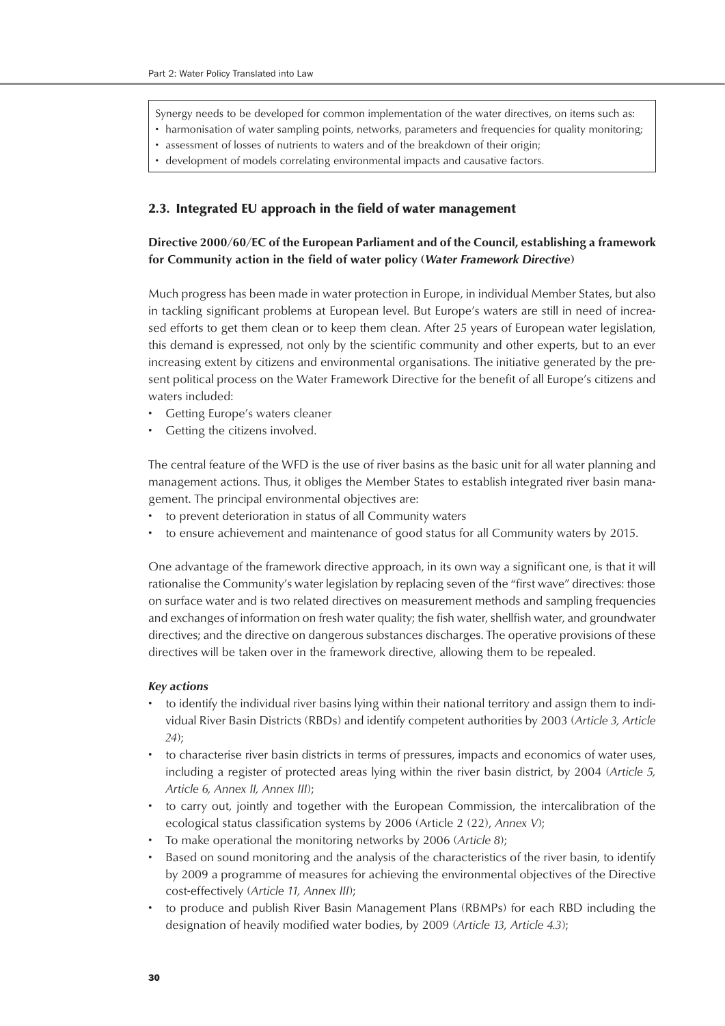Synergy needs to be developed for common implementation of the water directives, on items such as:

- harmonisation of water sampling points, networks, parameters and frequencies for quality monitoring;
- assessment of losses of nutrients to waters and of the breakdown of their origin;
- development of models correlating environmental impacts and causative factors.

# 2.3. Integrated EU approach in the field of water management

# **Directive 2000/60/EC of the European Parliament and of the Council, establishing a framework for Community action in the field of water policy (***Water Framework Directive***)**

Much progress has been made in water protection in Europe, in individual Member States, but also in tackling significant problems at European level. But Europe's waters are still in need of increased efforts to get them clean or to keep them clean. After 25 years of European water legislation, this demand is expressed, not only by the scientific community and other experts, but to an ever increasing extent by citizens and environmental organisations. The initiative generated by the present political process on the Water Framework Directive for the benefit of all Europe's citizens and waters included:

- Getting Europe's waters cleaner
- Getting the citizens involved.

The central feature of the WFD is the use of river basins as the basic unit for all water planning and management actions. Thus, it obliges the Member States to establish integrated river basin management. The principal environmental objectives are:

- to prevent deterioration in status of all Community waters
- to ensure achievement and maintenance of good status for all Community waters by 2015.

One advantage of the framework directive approach, in its own way a significant one, is that it will rationalise the Community's water legislation by replacing seven of the "first wave" directives: those on surface water and is two related directives on measurement methods and sampling frequencies and exchanges of information on fresh water quality; the fish water, shellfish water, and groundwater directives; and the directive on dangerous substances discharges. The operative provisions of these directives will be taken over in the framework directive, allowing them to be repealed.

#### *Key actions*

- to identify the individual river basins lying within their national territory and assign them to individual River Basin Districts (RBDs) and identify competent authorities by 2003 (*Article 3, Article 24*);
- to characterise river basin districts in terms of pressures, impacts and economics of water uses, including a register of protected areas lying within the river basin district, by 2004 (*Article 5, Article 6, Annex II, Annex III*);
- to carry out, jointly and together with the European Commission, the intercalibration of the ecological status classification systems by 2006 (Article 2 (22), *Annex V*);
- To make operational the monitoring networks by 2006 (*Article 8*);
- Based on sound monitoring and the analysis of the characteristics of the river basin, to identify by 2009 a programme of measures for achieving the environmental objectives of the Directive cost-effectively (*Article 11, Annex III*);
- to produce and publish River Basin Management Plans (RBMPs) for each RBD including the designation of heavily modified water bodies, by 2009 (*Article 13, Article 4.3*);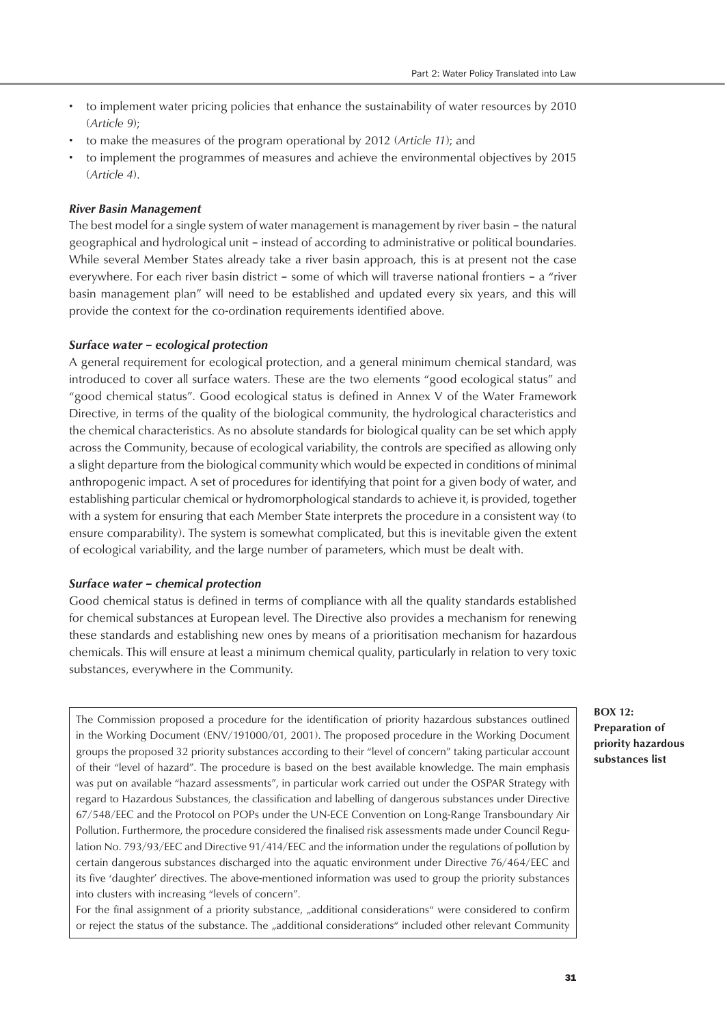- to implement water pricing policies that enhance the sustainability of water resources by 2010 (*Article 9*);
- to make the measures of the program operational by 2012 (*Article 11*); and
- to implement the programmes of measures and achieve the environmental objectives by 2015 (*Article 4*).

## *River Basin Management*

The best model for a single system of water management is management by river basin – the natural geographical and hydrological unit – instead of according to administrative or political boundaries. While several Member States already take a river basin approach, this is at present not the case everywhere. For each river basin district – some of which will traverse national frontiers – a "river basin management plan" will need to be established and updated every six years, and this will provide the context for the co-ordination requirements identified above.

#### *Surface water – ecological protection*

A general requirement for ecological protection, and a general minimum chemical standard, was introduced to cover all surface waters. These are the two elements "good ecological status" and "good chemical status". Good ecological status is defined in Annex V of the Water Framework Directive, in terms of the quality of the biological community, the hydrological characteristics and the chemical characteristics. As no absolute standards for biological quality can be set which apply across the Community, because of ecological variability, the controls are specified as allowing only a slight departure from the biological community which would be expected in conditions of minimal anthropogenic impact. A set of procedures for identifying that point for a given body of water, and establishing particular chemical or hydromorphological standards to achieve it, is provided, together with a system for ensuring that each Member State interprets the procedure in a consistent way (to ensure comparability). The system is somewhat complicated, but this is inevitable given the extent of ecological variability, and the large number of parameters, which must be dealt with.

#### *Surface water – chemical protection*

Good chemical status is defined in terms of compliance with all the quality standards established for chemical substances at European level. The Directive also provides a mechanism for renewing these standards and establishing new ones by means of a prioritisation mechanism for hazardous chemicals. This will ensure at least a minimum chemical quality, particularly in relation to very toxic substances, everywhere in the Community.

The Commission proposed a procedure for the identification of priority hazardous substances outlined in the Working Document (ENV/191000/01, 2001). The proposed procedure in the Working Document groups the proposed 32 priority substances according to their "level of concern" taking particular account of their "level of hazard". The procedure is based on the best available knowledge. The main emphasis was put on available "hazard assessments", in particular work carried out under the OSPAR Strategy with regard to Hazardous Substances, the classification and labelling of dangerous substances under Directive 67/548/EEC and the Protocol on POPs under the UN-ECE Convention on Long-Range Transboundary Air Pollution. Furthermore, the procedure considered the finalised risk assessments made under Council Regulation No. 793/93/EEC and Directive 91/414/EEC and the information under the regulations of pollution by certain dangerous substances discharged into the aquatic environment under Directive 76/464/EEC and its five 'daughter' directives. The above-mentioned information was used to group the priority substances into clusters with increasing "levels of concern".

For the final assignment of a priority substance, "additional considerations" were considered to confirm or reject the status of the substance. The "additional considerations" included other relevant Community **BOX 12: Preparation of priority hazardous substances list**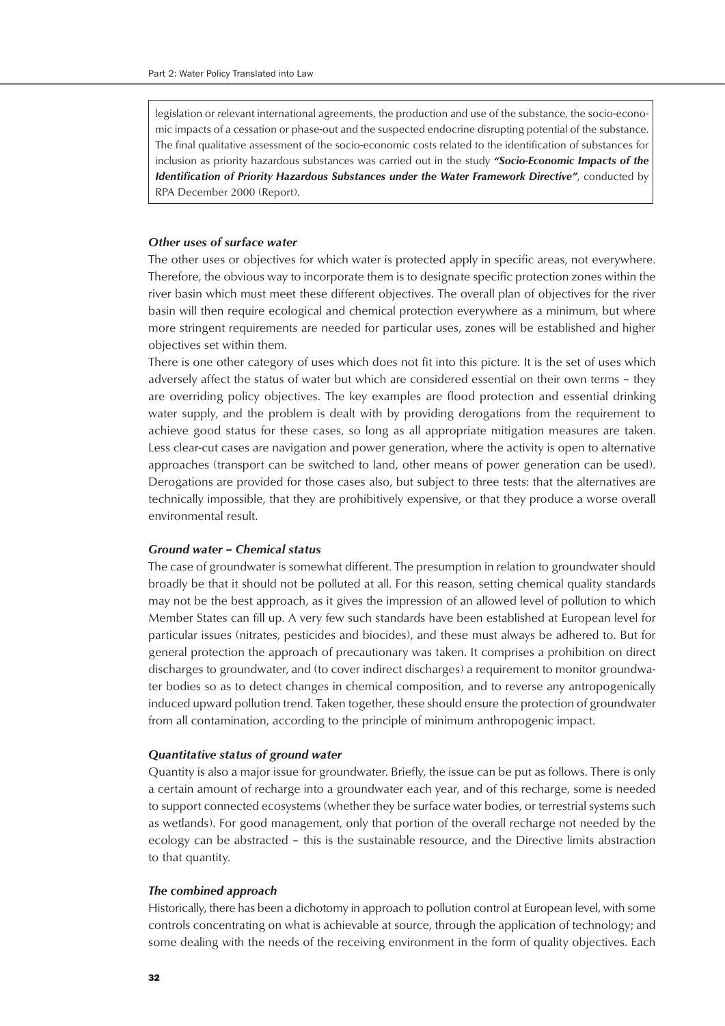legislation or relevant international agreements, the production and use of the substance, the socio-economic impacts of a cessation or phase-out and the suspected endocrine disrupting potential of the substance. The final qualitative assessment of the socio-economic costs related to the identification of substances for inclusion as priority hazardous substances was carried out in the study *"Socio-Economic Impacts of the Identification of Priority Hazardous Substances under the Water Framework Directive"*, conducted by RPA December 2000 (Report).

#### *Other uses of surface water*

The other uses or objectives for which water is protected apply in specific areas, not everywhere. Therefore, the obvious way to incorporate them is to designate specific protection zones within the river basin which must meet these different objectives. The overall plan of objectives for the river basin will then require ecological and chemical protection everywhere as a minimum, but where more stringent requirements are needed for particular uses, zones will be established and higher objectives set within them.

There is one other category of uses which does not fit into this picture. It is the set of uses which adversely affect the status of water but which are considered essential on their own terms – they are overriding policy objectives. The key examples are flood protection and essential drinking water supply, and the problem is dealt with by providing derogations from the requirement to achieve good status for these cases, so long as all appropriate mitigation measures are taken. Less clear-cut cases are navigation and power generation, where the activity is open to alternative approaches (transport can be switched to land, other means of power generation can be used). Derogations are provided for those cases also, but subject to three tests: that the alternatives are technically impossible, that they are prohibitively expensive, or that they produce a worse overall environmental result.

#### *Ground water – Chemical status*

The case of groundwater is somewhat different. The presumption in relation to groundwater should broadly be that it should not be polluted at all. For this reason, setting chemical quality standards may not be the best approach, as it gives the impression of an allowed level of pollution to which Member States can fill up. A very few such standards have been established at European level for particular issues (nitrates, pesticides and biocides), and these must always be adhered to. But for general protection the approach of precautionary was taken. It comprises a prohibition on direct discharges to groundwater, and (to cover indirect discharges) a requirement to monitor groundwater bodies so as to detect changes in chemical composition, and to reverse any antropogenically induced upward pollution trend. Taken together, these should ensure the protection of groundwater from all contamination, according to the principle of minimum anthropogenic impact.

#### *Quantitative status of ground water*

Quantity is also a major issue for groundwater. Briefly, the issue can be put as follows. There is only a certain amount of recharge into a groundwater each year, and of this recharge, some is needed to support connected ecosystems (whether they be surface water bodies, or terrestrial systems such as wetlands). For good management, only that portion of the overall recharge not needed by the ecology can be abstracted – this is the sustainable resource, and the Directive limits abstraction to that quantity.

#### *The combined approach*

Historically, there has been a dichotomy in approach to pollution control at European level, with some controls concentrating on what is achievable at source, through the application of technology; and some dealing with the needs of the receiving environment in the form of quality objectives. Each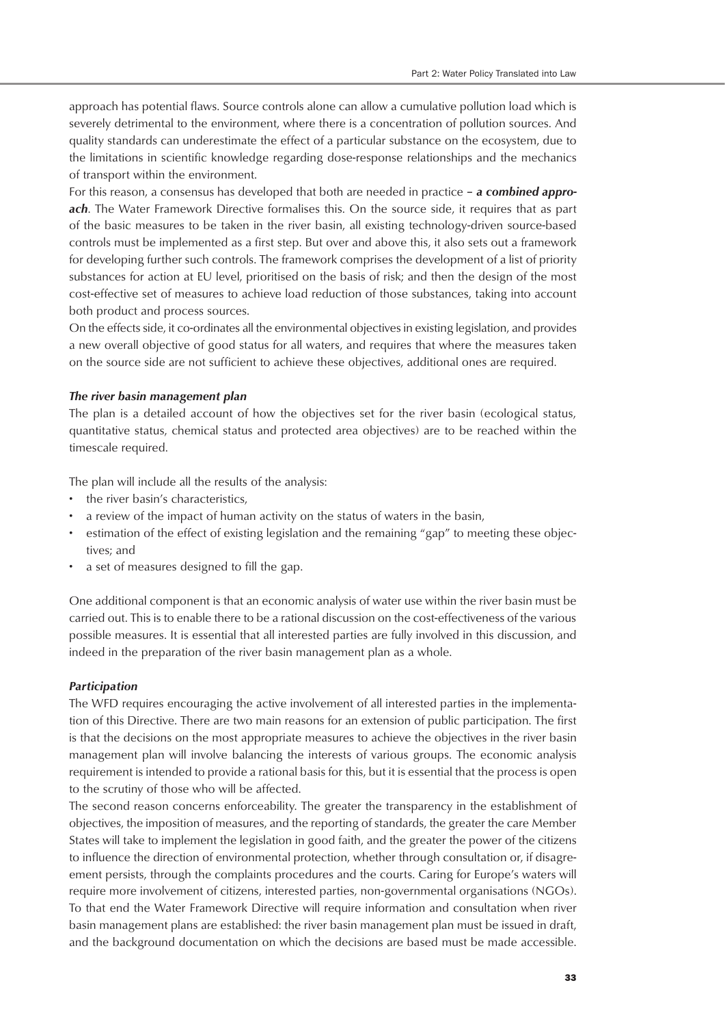approach has potential flaws. Source controls alone can allow a cumulative pollution load which is severely detrimental to the environment, where there is a concentration of pollution sources. And quality standards can underestimate the effect of a particular substance on the ecosystem, due to the limitations in scientific knowledge regarding dose-response relationships and the mechanics of transport within the environment.

For this reason, a consensus has developed that both are needed in practice – *a combined approach*. The Water Framework Directive formalises this. On the source side, it requires that as part of the basic measures to be taken in the river basin, all existing technology-driven source-based controls must be implemented as a first step. But over and above this, it also sets out a framework for developing further such controls. The framework comprises the development of a list of priority substances for action at EU level, prioritised on the basis of risk; and then the design of the most cost-effective set of measures to achieve load reduction of those substances, taking into account both product and process sources.

On the effects side, it co-ordinates all the environmental objectives in existing legislation, and provides a new overall objective of good status for all waters, and requires that where the measures taken on the source side are not sufficient to achieve these objectives, additional ones are required.

# *The river basin management plan*

The plan is a detailed account of how the objectives set for the river basin (ecological status, quantitative status, chemical status and protected area objectives) are to be reached within the timescale required.

The plan will include all the results of the analysis:

- the river basin's characteristics,
- a review of the impact of human activity on the status of waters in the basin,
- estimation of the effect of existing legislation and the remaining "gap" to meeting these objectives; and
- a set of measures designed to fill the gap.

One additional component is that an economic analysis of water use within the river basin must be carried out. This is to enable there to be a rational discussion on the cost-effectiveness of the various possible measures. It is essential that all interested parties are fully involved in this discussion, and indeed in the preparation of the river basin management plan as a whole.

# *Participation*

The WFD requires encouraging the active involvement of all interested parties in the implementation of this Directive. There are two main reasons for an extension of public participation. The first is that the decisions on the most appropriate measures to achieve the objectives in the river basin management plan will involve balancing the interests of various groups. The economic analysis requirement is intended to provide a rational basis for this, but it is essential that the process is open to the scrutiny of those who will be affected.

The second reason concerns enforceability. The greater the transparency in the establishment of objectives, the imposition of measures, and the reporting of standards, the greater the care Member States will take to implement the legislation in good faith, and the greater the power of the citizens to influence the direction of environmental protection, whether through consultation or, if disagreement persists, through the complaints procedures and the courts. Caring for Europe's waters will require more involvement of citizens, interested parties, non-governmental organisations (NGOs). To that end the Water Framework Directive will require information and consultation when river basin management plans are established: the river basin management plan must be issued in draft, and the background documentation on which the decisions are based must be made accessible.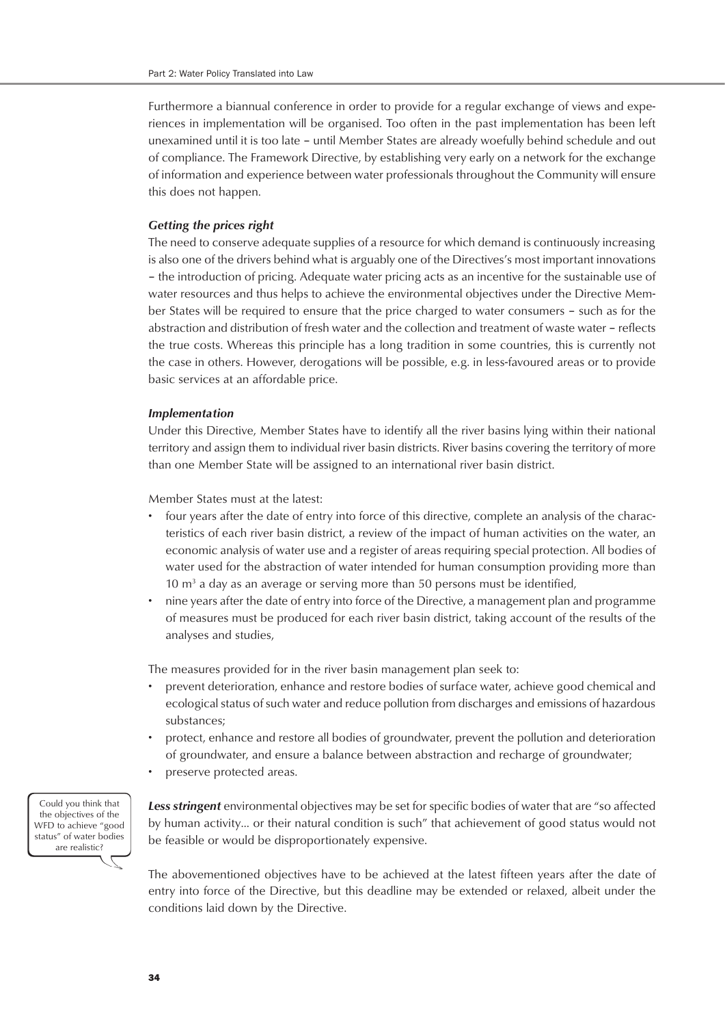Furthermore a biannual conference in order to provide for a regular exchange of views and experiences in implementation will be organised. Too often in the past implementation has been left unexamined until it is too late – until Member States are already woefully behind schedule and out of compliance. The Framework Directive, by establishing very early on a network for the exchange of information and experience between water professionals throughout the Community will ensure this does not happen.

#### *Getting the prices right*

The need to conserve adequate supplies of a resource for which demand is continuously increasing is also one of the drivers behind what is arguably one of the Directives's most important innovations – the introduction of pricing. Adequate water pricing acts as an incentive for the sustainable use of water resources and thus helps to achieve the environmental objectives under the Directive Member States will be required to ensure that the price charged to water consumers – such as for the abstraction and distribution of fresh water and the collection and treatment of waste water – reflects the true costs. Whereas this principle has a long tradition in some countries, this is currently not the case in others. However, derogations will be possible, e.g. in less-favoured areas or to provide basic services at an affordable price.

#### *Implementation*

Under this Directive, Member States have to identify all the river basins lying within their national territory and assign them to individual river basin districts. River basins covering the territory of more than one Member State will be assigned to an international river basin district.

Member States must at the latest:

- four years after the date of entry into force of this directive, complete an analysis of the characteristics of each river basin district, a review of the impact of human activities on the water, an economic analysis of water use and a register of areas requiring special protection. All bodies of water used for the abstraction of water intended for human consumption providing more than 10  $\mathrm{m}^3$  a day as an average or serving more than 50 persons must be identified,
- nine years after the date of entry into force of the Directive, a management plan and programme of measures must be produced for each river basin district, taking account of the results of the analyses and studies,

The measures provided for in the river basin management plan seek to:

- prevent deterioration, enhance and restore bodies of surface water, achieve good chemical and ecological status of such water and reduce pollution from discharges and emissions of hazardous substances;
- protect, enhance and restore all bodies of groundwater, prevent the pollution and deterioration of groundwater, and ensure a balance between abstraction and recharge of groundwater;
- preserve protected areas.

*Less stringent* environmental objectives may be set for specific bodies of water that are "so affected by human activity… or their natural condition is such" that achievement of good status would not be feasible or would be disproportionately expensive.

The abovementioned objectives have to be achieved at the latest fifteen years after the date of entry into force of the Directive, but this deadline may be extended or relaxed, albeit under the conditions laid down by the Directive.

Could you think that the objectives of the WFD to achieve "good status" of water bodies are realistic?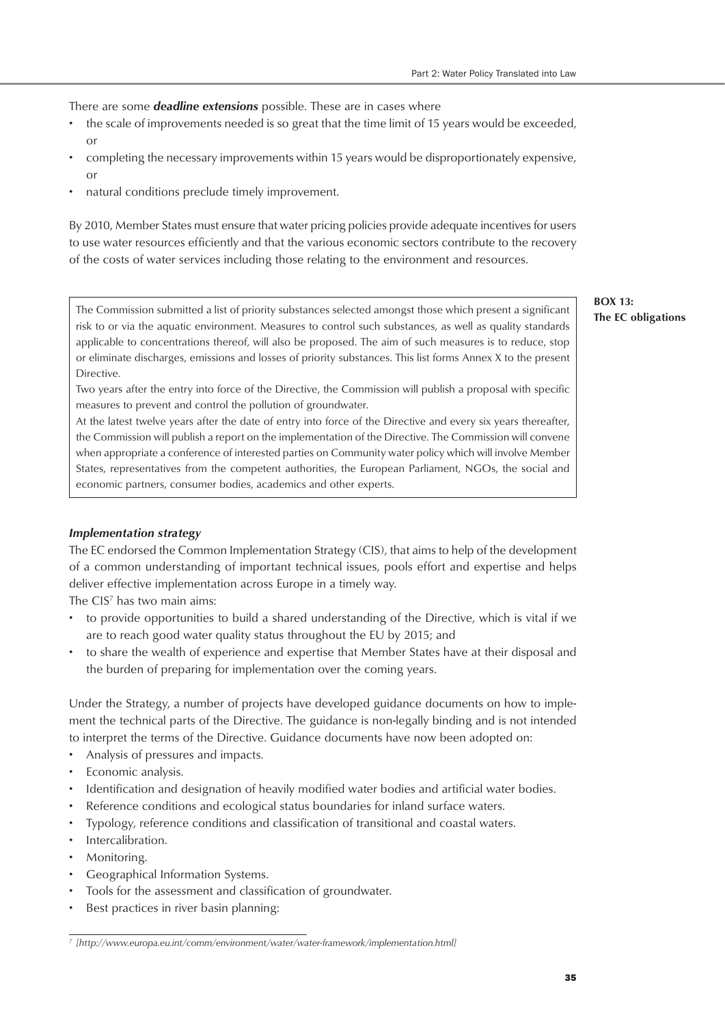There are some *deadline extensions* possible. These are in cases where

- the scale of improvements needed is so great that the time limit of 15 years would be exceeded, or
- completing the necessary improvements within 15 years would be disproportionately expensive, or
- natural conditions preclude timely improvement.

By 2010, Member States must ensure that water pricing policies provide adequate incentives for users to use water resources efficiently and that the various economic sectors contribute to the recovery of the costs of water services including those relating to the environment and resources.

The Commission submitted a list of priority substances selected amongst those which present a significant risk to or via the aquatic environment. Measures to control such substances, as well as quality standards applicable to concentrations thereof, will also be proposed. The aim of such measures is to reduce, stop or eliminate discharges, emissions and losses of priority substances. This list forms Annex X to the present Directive.

Two years after the entry into force of the Directive, the Commission will publish a proposal with specific measures to prevent and control the pollution of groundwater.

At the latest twelve years after the date of entry into force of the Directive and every six years thereafter, the Commission will publish a report on the implementation of the Directive. The Commission will convene when appropriate a conference of interested parties on Community water policy which will involve Member States, representatives from the competent authorities, the European Parliament, NGOs, the social and economic partners, consumer bodies, academics and other experts.

#### *Implementation strategy*

The EC endorsed the Common Implementation Strategy (CIS), that aims to help of the development of a common understanding of important technical issues, pools effort and expertise and helps deliver effective implementation across Europe in a timely way.

The CIS7 has two main aims:

- to provide opportunities to build a shared understanding of the Directive, which is vital if we are to reach good water quality status throughout the EU by 2015; and
- to share the wealth of experience and expertise that Member States have at their disposal and the burden of preparing for implementation over the coming years.

Under the Strategy, a number of projects have developed guidance documents on how to implement the technical parts of the Directive. The guidance is non-legally binding and is not intended to interpret the terms of the Directive. Guidance documents have now been adopted on:

- Analysis of pressures and impacts.
- Economic analysis.
- Identification and designation of heavily modified water bodies and artificial water bodies.
- Reference conditions and ecological status boundaries for inland surface waters.
- Typology, reference conditions and classification of transitional and coastal waters.
- Intercalibration.
- Monitoring.
- Geographical Information Systems.
- Tools for the assessment and classification of groundwater.
- Best practices in river basin planning:

*<sup>7</sup> [http://www.europa.eu.int/comm/environment/water/water-framework/implementation.html]*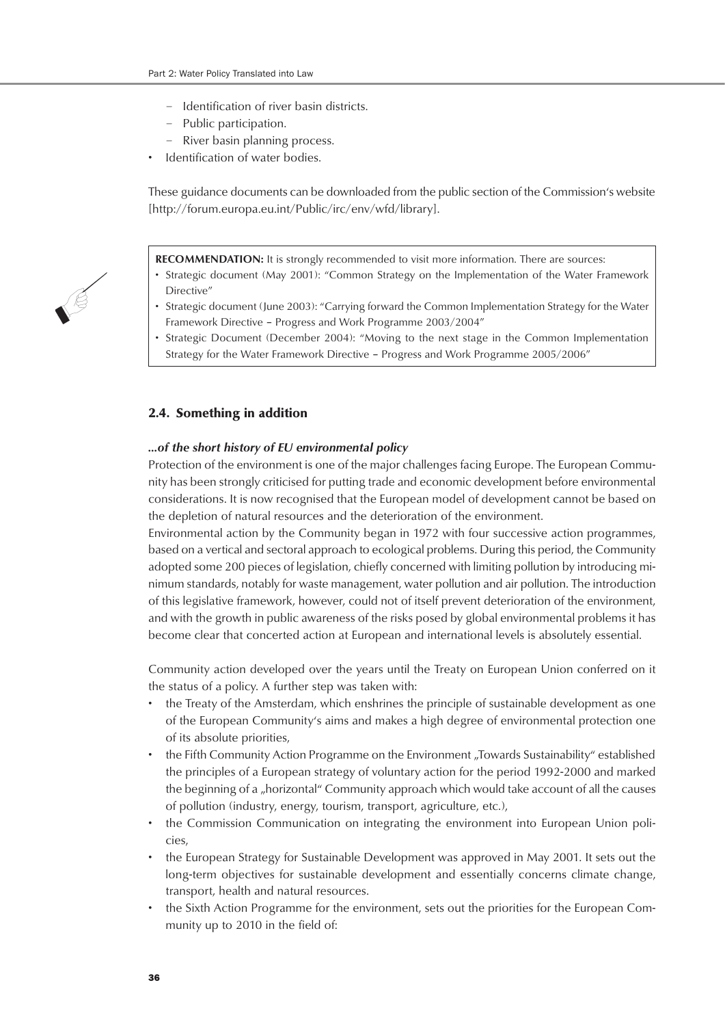- Identification of river basin districts.
- Public participation.
- River basin planning process.
- Identification of water bodies.

These guidance documents can be downloaded from the public section of the Commission's website [http://forum.europa.eu.int/Public/irc/env/wfd/library].



- **RECOMMENDATION:** It is strongly recommended to visit more information. There are sources:
- Strategic document (May 2001): "Common Strategy on the Implementation of the Water Framework Directive"
- Strategic document (June 2003): "Carrying forward the Common Implementation Strategy for the Water Framework Directive – Progress and Work Programme 2003/2004"
- Strategic Document (December 2004): "Moving to the next stage in the Common Implementation Strategy for the Water Framework Directive – Progress and Work Programme 2005/2006"

## 2.4. Something in addition

#### *…of the short history of EU environmental policy*

Protection of the environment is one of the major challenges facing Europe. The European Community has been strongly criticised for putting trade and economic development before environmental considerations. It is now recognised that the European model of development cannot be based on the depletion of natural resources and the deterioration of the environment.

Environmental action by the Community began in 1972 with four successive action programmes, based on a vertical and sectoral approach to ecological problems. During this period, the Community adopted some 200 pieces of legislation, chiefly concerned with limiting pollution by introducing minimum standards, notably for waste management, water pollution and air pollution. The introduction of this legislative framework, however, could not of itself prevent deterioration of the environment, and with the growth in public awareness of the risks posed by global environmental problems it has become clear that concerted action at European and international levels is absolutely essential.

Community action developed over the years until the Treaty on European Union conferred on it the status of a policy. A further step was taken with:

- the Treaty of the Amsterdam, which enshrines the principle of sustainable development as one of the European Community's aims and makes a high degree of environmental protection one of its absolute priorities,
- the Fifth Community Action Programme on the Environment "Towards Sustainability" established the principles of a European strategy of voluntary action for the period 1992-2000 and marked the beginning of a "horizontal" Community approach which would take account of all the causes of pollution (industry, energy, tourism, transport, agriculture, etc.),
- the Commission Communication on integrating the environment into European Union policies,
- the European Strategy for Sustainable Development was approved in May 2001. It sets out the long-term objectives for sustainable development and essentially concerns climate change, transport, health and natural resources.
- the Sixth Action Programme for the environment, sets out the priorities for the European Community up to 2010 in the field of: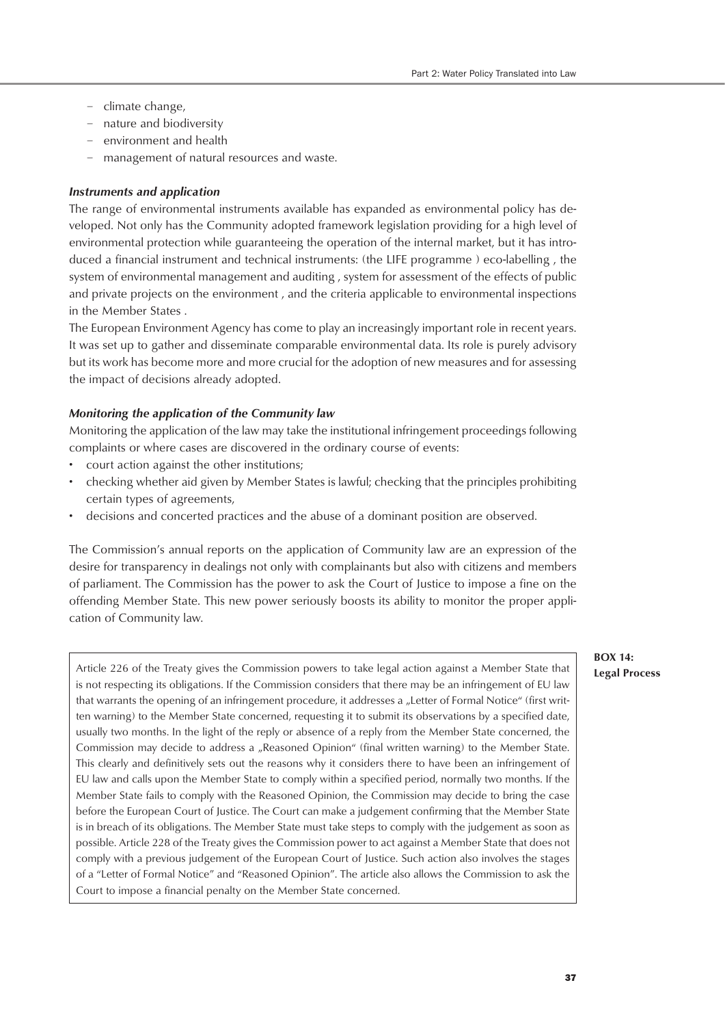- climate change,
- nature and biodiversity
- environment and health
- management of natural resources and waste.

#### *Instruments and application*

The range of environmental instruments available has expanded as environmental policy has developed. Not only has the Community adopted framework legislation providing for a high level of environmental protection while guaranteeing the operation of the internal market, but it has introduced a financial instrument and technical instruments: (the LIFE programme ) eco-labelling , the system of environmental management and auditing , system for assessment of the effects of public and private projects on the environment , and the criteria applicable to environmental inspections in the Member States .

The European Environment Agency has come to play an increasingly important role in recent years. It was set up to gather and disseminate comparable environmental data. Its role is purely advisory but its work has become more and more crucial for the adoption of new measures and for assessing the impact of decisions already adopted.

#### *Monitoring the application of the Community law*

Monitoring the application of the law may take the institutional infringement proceedings following complaints or where cases are discovered in the ordinary course of events:

- court action against the other institutions;
- checking whether aid given by Member States is lawful; checking that the principles prohibiting certain types of agreements,
- decisions and concerted practices and the abuse of a dominant position are observed.

The Commission's annual reports on the application of Community law are an expression of the desire for transparency in dealings not only with complainants but also with citizens and members of parliament. The Commission has the power to ask the Court of Justice to impose a fine on the offending Member State. This new power seriously boosts its ability to monitor the proper application of Community law.

Article 226 of the Treaty gives the Commission powers to take legal action against a Member State that is not respecting its obligations. If the Commission considers that there may be an infringement of EU law that warrants the opening of an infringement procedure, it addresses a "Letter of Formal Notice" (first written warning) to the Member State concerned, requesting it to submit its observations by a specified date, usually two months. In the light of the reply or absence of a reply from the Member State concerned, the Commission may decide to address a "Reasoned Opinion" (final written warning) to the Member State. This clearly and definitively sets out the reasons why it considers there to have been an infringement of EU law and calls upon the Member State to comply within a specified period, normally two months. If the Member State fails to comply with the Reasoned Opinion, the Commission may decide to bring the case before the European Court of Justice. The Court can make a judgement confirming that the Member State is in breach of its obligations. The Member State must take steps to comply with the judgement as soon as possible. Article 228 of the Treaty gives the Commission power to act against a Member State that does not comply with a previous judgement of the European Court of Justice. Such action also involves the stages of a "Letter of Formal Notice" and "Reasoned Opinion". The article also allows the Commission to ask the Court to impose a financial penalty on the Member State concerned.

## **BOX 14: Legal Process**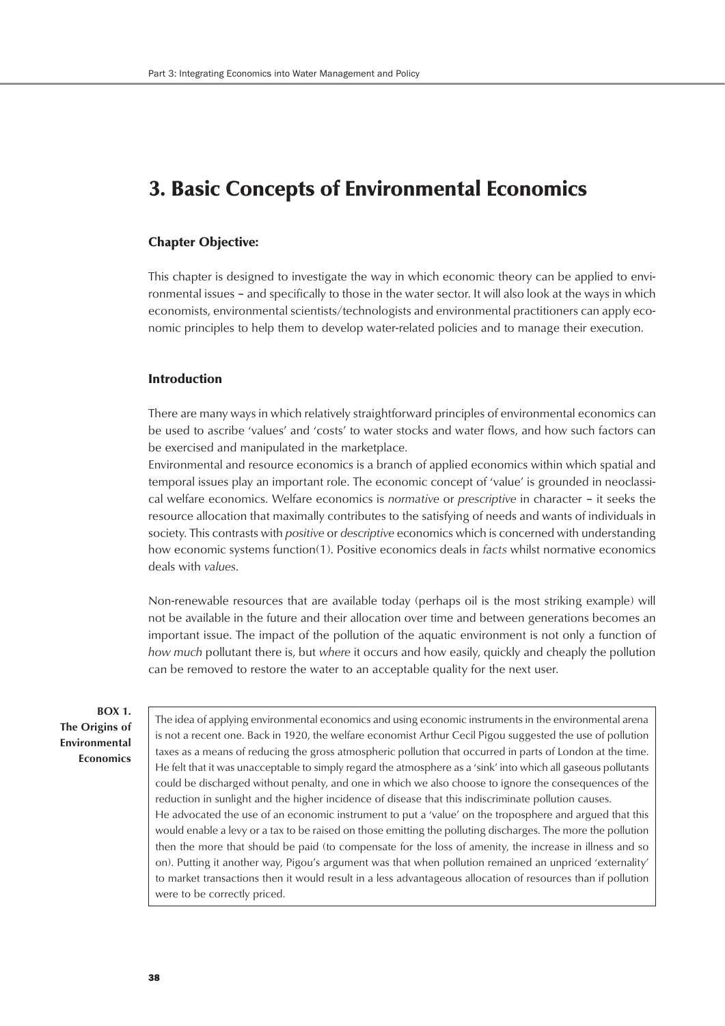# 3. Basic Concepts of Environmental Economics

#### Chapter Objective:

This chapter is designed to investigate the way in which economic theory can be applied to environmental issues – and specifically to those in the water sector. It will also look at the ways in which economists, environmental scientists/technologists and environmental practitioners can apply economic principles to help them to develop water-related policies and to manage their execution.

#### Introduction

There are many ways in which relatively straightforward principles of environmental economics can be used to ascribe 'values' and 'costs' to water stocks and water flows, and how such factors can be exercised and manipulated in the marketplace.

Environmental and resource economics is a branch of applied economics within which spatial and temporal issues play an important role. The economic concept of 'value' is grounded in neoclassical welfare economics. Welfare economics is *normative* or *prescriptive* in character – it seeks the resource allocation that maximally contributes to the satisfying of needs and wants of individuals in society. This contrasts with *positive* or *descriptive* economics which is concerned with understanding how economic systems function(1). Positive economics deals in *facts* whilst normative economics deals with *values*.

Non-renewable resources that are available today (perhaps oil is the most striking example) will not be available in the future and their allocation over time and between generations becomes an important issue. The impact of the pollution of the aquatic environment is not only a function of *how much* pollutant there is, but *where* it occurs and how easily, quickly and cheaply the pollution can be removed to restore the water to an acceptable quality for the next user.

**BOX 1. The Origins of Environmental Economics**

The idea of applying environmental economics and using economic instruments in the environmental arena is not a recent one. Back in 1920, the welfare economist Arthur Cecil Pigou suggested the use of pollution taxes as a means of reducing the gross atmospheric pollution that occurred in parts of London at the time. He felt that it was unacceptable to simply regard the atmosphere as a 'sink' into which all gaseous pollutants could be discharged without penalty, and one in which we also choose to ignore the consequences of the reduction in sunlight and the higher incidence of disease that this indiscriminate pollution causes. He advocated the use of an economic instrument to put a 'value' on the troposphere and argued that this would enable a levy or a tax to be raised on those emitting the polluting discharges. The more the pollution then the more that should be paid (to compensate for the loss of amenity, the increase in illness and so on). Putting it another way, Pigou's argument was that when pollution remained an unpriced 'externality' to market transactions then it would result in a less advantageous allocation of resources than if pollution were to be correctly priced.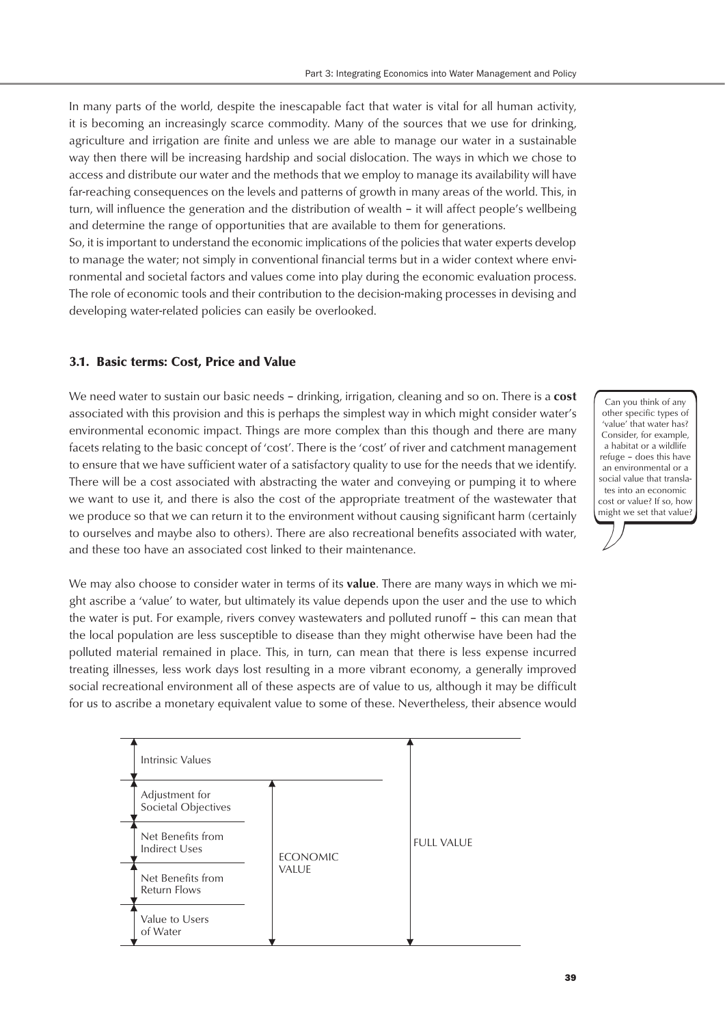In many parts of the world, despite the inescapable fact that water is vital for all human activity, it is becoming an increasingly scarce commodity. Many of the sources that we use for drinking, agriculture and irrigation are finite and unless we are able to manage our water in a sustainable way then there will be increasing hardship and social dislocation. The ways in which we chose to access and distribute our water and the methods that we employ to manage its availability will have far-reaching consequences on the levels and patterns of growth in many areas of the world. This, in turn, will influence the generation and the distribution of wealth – it will affect people's wellbeing and determine the range of opportunities that are available to them for generations.

So, it is important to understand the economic implications of the policies that water experts develop to manage the water; not simply in conventional financial terms but in a wider context where environmental and societal factors and values come into play during the economic evaluation process. The role of economic tools and their contribution to the decision-making processes in devising and developing water-related policies can easily be overlooked.

# 3.1. Basic terms: Cost, Price and Value

We need water to sustain our basic needs – drinking, irrigation, cleaning and so on. There is a **cost** associated with this provision and this is perhaps the simplest way in which might consider water's environmental economic impact. Things are more complex than this though and there are many facets relating to the basic concept of 'cost'. There is the 'cost' of river and catchment management to ensure that we have sufficient water of a satisfactory quality to use for the needs that we identify. There will be a cost associated with abstracting the water and conveying or pumping it to where we want to use it, and there is also the cost of the appropriate treatment of the wastewater that we produce so that we can return it to the environment without causing significant harm (certainly to ourselves and maybe also to others). There are also recreational benefits associated with water, and these too have an associated cost linked to their maintenance.

We may also choose to consider water in terms of its **value**. There are many ways in which we might ascribe a 'value' to water, but ultimately its value depends upon the user and the use to which the water is put. For example, rivers convey wastewaters and polluted runoff – this can mean that the local population are less susceptible to disease than they might otherwise have been had the polluted material remained in place. This, in turn, can mean that there is less expense incurred treating illnesses, less work days lost resulting in a more vibrant economy, a generally improved social recreational environment all of these aspects are of value to us, although it may be difficult for us to ascribe a monetary equivalent value to some of these. Nevertheless, their absence would

| <b>Intrinsic Values</b>                  |                 |                   |  |  |  |
|------------------------------------------|-----------------|-------------------|--|--|--|
| Adjustment for<br>Societal Objectives    |                 |                   |  |  |  |
| Net Benefits from<br>Indirect Uses       | <b>ECONOMIC</b> | <b>FULL VALUE</b> |  |  |  |
| Net Benefits from<br><b>Return Flows</b> | <b>VALUE</b>    |                   |  |  |  |
| Value to Users<br>of Water               |                 |                   |  |  |  |

Can you think of any other specific types of 'value' that water has? Consider, for example, a habitat or a wildlife refuge – does this have an environmental or a social value that translates into an economic cost or value? If so, how might we set that value?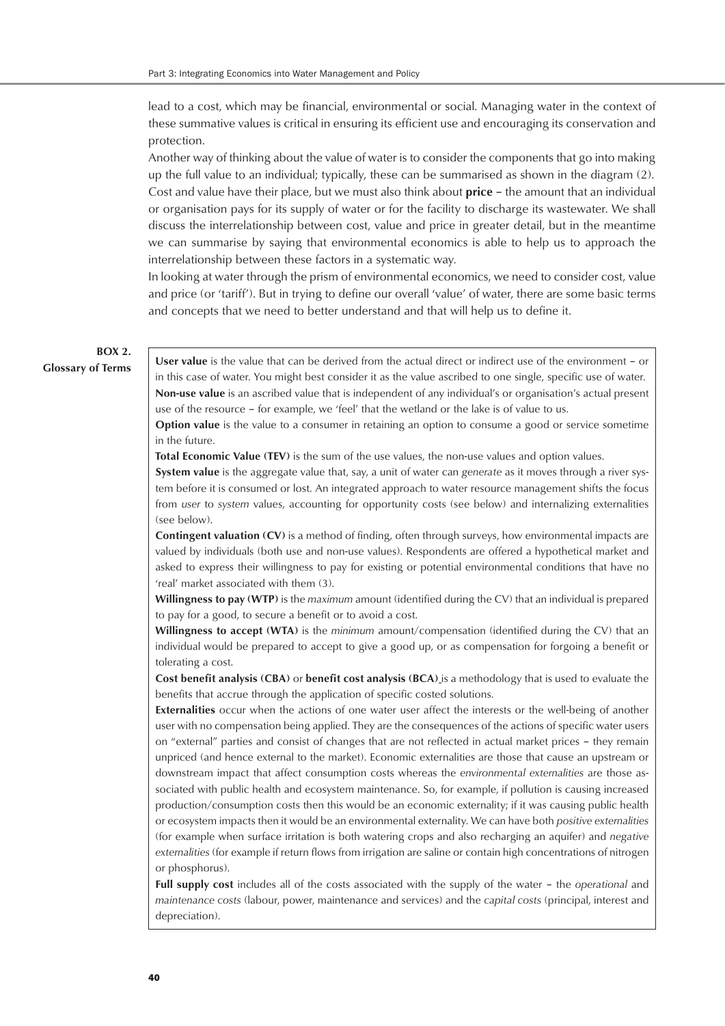lead to a cost, which may be financial, environmental or social. Managing water in the context of these summative values is critical in ensuring its efficient use and encouraging its conservation and protection.

Another way of thinking about the value of water is to consider the components that go into making up the full value to an individual; typically, these can be summarised as shown in the diagram (2). Cost and value have their place, but we must also think about **price** – the amount that an individual or organisation pays for its supply of water or for the facility to discharge its wastewater. We shall discuss the interrelationship between cost, value and price in greater detail, but in the meantime we can summarise by saying that environmental economics is able to help us to approach the interrelationship between these factors in a systematic way.

In looking at water through the prism of environmental economics, we need to consider cost, value and price (or 'tariff'). But in trying to define our overall 'value' of water, there are some basic terms and concepts that we need to better understand and that will help us to define it.

#### **BOX 2. Glossary of Terms**

**User value** is the value that can be derived from the actual direct or indirect use of the environment – or in this case of water. You might best consider it as the value ascribed to one single, specific use of water. **Non-use value** is an ascribed value that is independent of any individual's or organisation's actual present use of the resource – for example, we 'feel' that the wetland or the lake is of value to us.

**Option value** is the value to a consumer in retaining an option to consume a good or service sometime in the future.

**Total Economic Value (TEV)** is the sum of the use values, the non-use values and option values.

**System value** is the aggregate value that, say, a unit of water can *generate* as it moves through a river system before it is consumed or lost. An integrated approach to water resource management shifts the focus from *user* to *system* values, accounting for opportunity costs (see below) and internalizing externalities (see below).

**Contingent valuation (CV)** is a method of finding, often through surveys, how environmental impacts are valued by individuals (both use and non-use values). Respondents are offered a hypothetical market and asked to express their willingness to pay for existing or potential environmental conditions that have no 'real' market associated with them (3).

**Willingness to pay (WTP)** is the *maximum* amount (identified during the CV) that an individual is prepared to pay for a good, to secure a benefit or to avoid a cost.

**Willingness to accept (WTA)** is the *minimum* amount/compensation (identified during the CV) that an individual would be prepared to accept to give a good up, or as compensation for forgoing a benefit or tolerating a cost.

**Cost benefit analysis (CBA)** or **benefit cost analysis (BCA)** is a methodology that is used to evaluate the benefits that accrue through the application of specific costed solutions.

**Externalities** occur when the actions of one water user affect the interests or the well-being of another user with no compensation being applied. They are the consequences of the actions of specific water users on "external" parties and consist of changes that are not reflected in actual market prices – they remain unpriced (and hence external to the market). Economic externalities are those that cause an upstream or downstream impact that affect consumption costs whereas the *environmental externalities* are those associated with public health and ecosystem maintenance. So, for example, if pollution is causing increased production/consumption costs then this would be an economic externality; if it was causing public health or ecosystem impacts then it would be an environmental externality. We can have both *positive externalities* (for example when surface irritation is both watering crops and also recharging an aquifer) and *negative externalities* (for example if return flows from irrigation are saline or contain high concentrations of nitrogen or phosphorus).

**Full supply cost** includes all of the costs associated with the supply of the water – the *operational* and *maintenance costs* (labour, power, maintenance and services) and the *capital costs* (principal, interest and depreciation).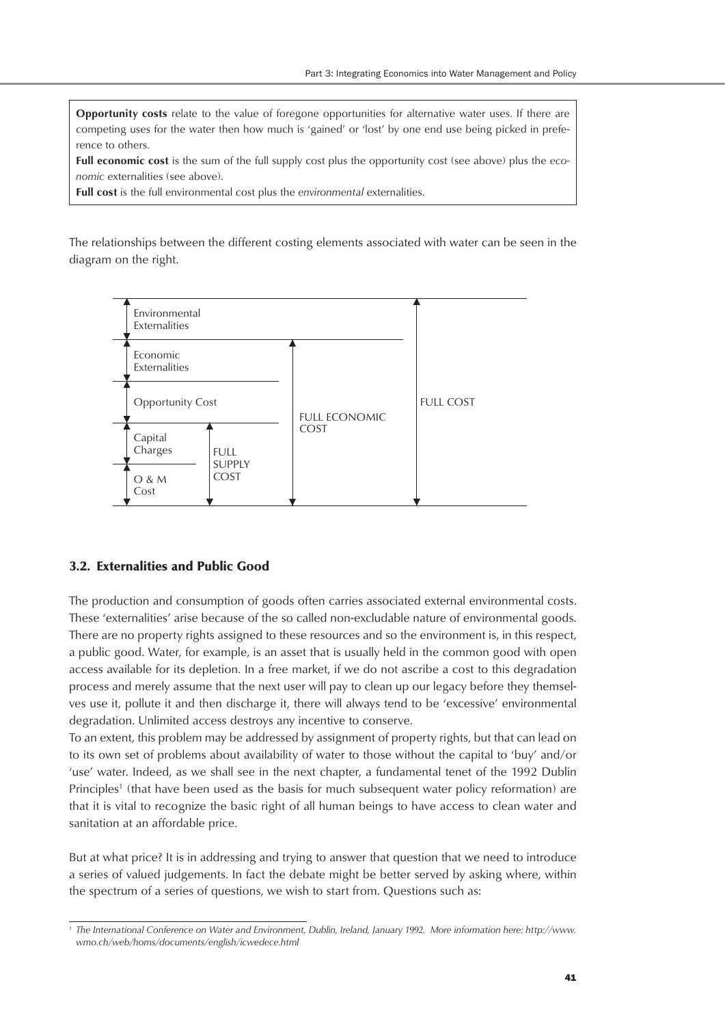**Opportunity costs** relate to the value of foregone opportunities for alternative water uses. If there are competing uses for the water then how much is 'gained' or 'lost' by one end use being picked in preference to others.

**Full economic cost** is the sum of the full supply cost plus the opportunity cost (see above) plus the *economic* externalities (see above).

**Full cost** is the full environmental cost plus the *environmental* externalities.

The relationships between the different costing elements associated with water can be seen in the diagram on the right.



# 3.2. Externalities and Public Good

The production and consumption of goods often carries associated external environmental costs. These 'externalities' arise because of the so called non-excludable nature of environmental goods. There are no property rights assigned to these resources and so the environment is, in this respect, a public good. Water, for example, is an asset that is usually held in the common good with open access available for its depletion. In a free market, if we do not ascribe a cost to this degradation process and merely assume that the next user will pay to clean up our legacy before they themselves use it, pollute it and then discharge it, there will always tend to be 'excessive' environmental degradation. Unlimited access destroys any incentive to conserve.

To an extent, this problem may be addressed by assignment of property rights, but that can lead on to its own set of problems about availability of water to those without the capital to 'buy' and/or 'use' water. Indeed, as we shall see in the next chapter, a fundamental tenet of the 1992 Dublin Principles<sup>1</sup> (that have been used as the basis for much subsequent water policy reformation) are that it is vital to recognize the basic right of all human beings to have access to clean water and sanitation at an affordable price.

But at what price? It is in addressing and trying to answer that question that we need to introduce a series of valued judgements. In fact the debate might be better served by asking where, within the spectrum of a series of questions, we wish to start from. Questions such as:

*<sup>1</sup> The International Conference on Water and Environment, Dublin, Ireland, January 1992. More information here: http://www. wmo.ch/web/homs/documents/english/icwedece.html*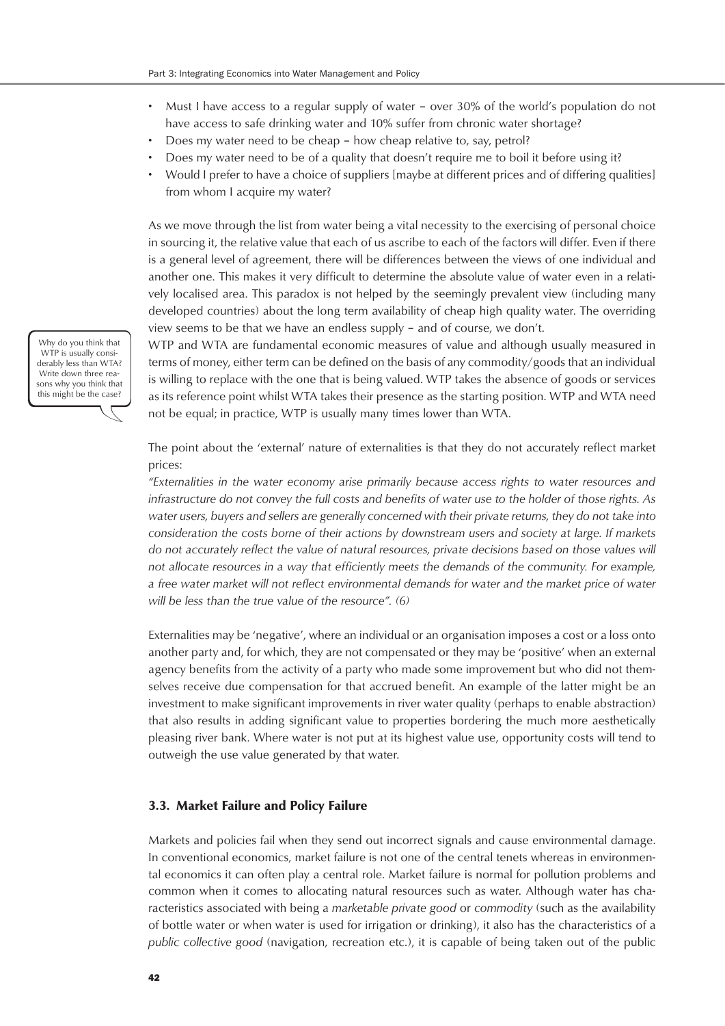- Must I have access to a regular supply of water over 30% of the world's population do not have access to safe drinking water and 10% suffer from chronic water shortage?
- Does my water need to be cheap how cheap relative to, say, petrol?
- Does my water need to be of a quality that doesn't require me to boil it before using it?
- Would I prefer to have a choice of suppliers [maybe at different prices and of differing qualities] from whom I acquire my water?

As we move through the list from water being a vital necessity to the exercising of personal choice in sourcing it, the relative value that each of us ascribe to each of the factors will differ. Even if there is a general level of agreement, there will be differences between the views of one individual and another one. This makes it very difficult to determine the absolute value of water even in a relatively localised area. This paradox is not helped by the seemingly prevalent view (including many developed countries) about the long term availability of cheap high quality water. The overriding view seems to be that we have an endless supply – and of course, we don't.

WTP and WTA are fundamental economic measures of value and although usually measured in terms of money, either term can be defined on the basis of any commodity/goods that an individual is willing to replace with the one that is being valued. WTP takes the absence of goods or services as its reference point whilst WTA takes their presence as the starting position. WTP and WTA need not be equal; in practice, WTP is usually many times lower than WTA.

The point about the 'external' nature of externalities is that they do not accurately reflect market prices:

*"Externalities in the water economy arise primarily because access rights to water resources and infrastructure do not convey the full costs and benefits of water use to the holder of those rights. As water users, buyers and sellers are generally concerned with their private returns, they do not take into consideration the costs borne of their actions by downstream users and society at large. If markets do not accurately reflect the value of natural resources, private decisions based on those values will not allocate resources in a way that efficiently meets the demands of the community. For example, a free water market will not reflect environmental demands for water and the market price of water will be less than the true value of the resource". (6)*

Externalities may be 'negative', where an individual or an organisation imposes a cost or a loss onto another party and, for which, they are not compensated or they may be 'positive' when an external agency benefits from the activity of a party who made some improvement but who did not themselves receive due compensation for that accrued benefit. An example of the latter might be an investment to make significant improvements in river water quality (perhaps to enable abstraction) that also results in adding significant value to properties bordering the much more aesthetically pleasing river bank. Where water is not put at its highest value use, opportunity costs will tend to outweigh the use value generated by that water.

### 3.3. Market Failure and Policy Failure

Markets and policies fail when they send out incorrect signals and cause environmental damage. In conventional economics, market failure is not one of the central tenets whereas in environmental economics it can often play a central role. Market failure is normal for pollution problems and common when it comes to allocating natural resources such as water. Although water has characteristics associated with being a *marketable private good* or *commodity* (such as the availability of bottle water or when water is used for irrigation or drinking), it also has the characteristics of a *public collective good* (navigation, recreation etc.), it is capable of being taken out of the public

Why do you think that WTP is usually considerably less than WTA? Write down three reasons why you think that this might be the case?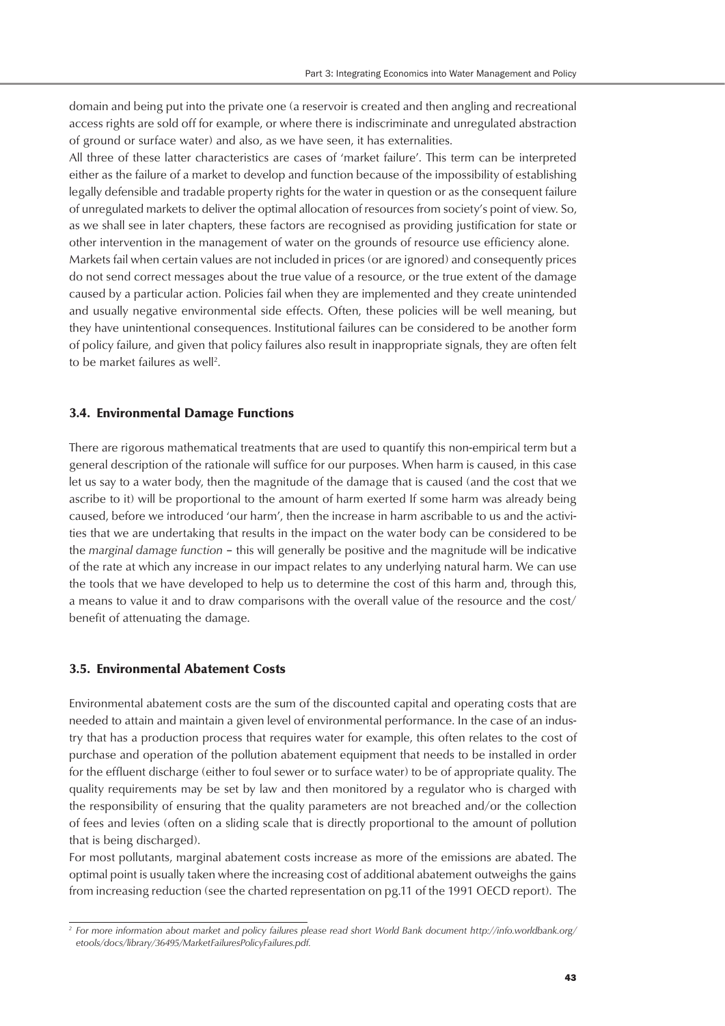domain and being put into the private one (a reservoir is created and then angling and recreational access rights are sold off for example, or where there is indiscriminate and unregulated abstraction of ground or surface water) and also, as we have seen, it has externalities.

All three of these latter characteristics are cases of 'market failure'. This term can be interpreted either as the failure of a market to develop and function because of the impossibility of establishing legally defensible and tradable property rights for the water in question or as the consequent failure of unregulated markets to deliver the optimal allocation of resources from society's point of view. So, as we shall see in later chapters, these factors are recognised as providing justification for state or other intervention in the management of water on the grounds of resource use efficiency alone. Markets fail when certain values are not included in prices (or are ignored) and consequently prices do not send correct messages about the true value of a resource, or the true extent of the damage caused by a particular action. Policies fail when they are implemented and they create unintended and usually negative environmental side effects. Often, these policies will be well meaning, but they have unintentional consequences. Institutional failures can be considered to be another form of policy failure, and given that policy failures also result in inappropriate signals, they are often felt to be market failures as well<sup>2</sup>.

#### 3.4. Environmental Damage Functions

There are rigorous mathematical treatments that are used to quantify this non-empirical term but a general description of the rationale will suffice for our purposes. When harm is caused, in this case let us say to a water body, then the magnitude of the damage that is caused (and the cost that we ascribe to it) will be proportional to the amount of harm exerted If some harm was already being caused, before we introduced 'our harm', then the increase in harm ascribable to us and the activities that we are undertaking that results in the impact on the water body can be considered to be the *marginal damage function* – this will generally be positive and the magnitude will be indicative of the rate at which any increase in our impact relates to any underlying natural harm. We can use the tools that we have developed to help us to determine the cost of this harm and, through this, a means to value it and to draw comparisons with the overall value of the resource and the cost/ benefit of attenuating the damage.

#### 3.5. Environmental Abatement Costs

Environmental abatement costs are the sum of the discounted capital and operating costs that are needed to attain and maintain a given level of environmental performance. In the case of an industry that has a production process that requires water for example, this often relates to the cost of purchase and operation of the pollution abatement equipment that needs to be installed in order for the effluent discharge (either to foul sewer or to surface water) to be of appropriate quality. The quality requirements may be set by law and then monitored by a regulator who is charged with the responsibility of ensuring that the quality parameters are not breached and/or the collection of fees and levies (often on a sliding scale that is directly proportional to the amount of pollution that is being discharged).

For most pollutants, marginal abatement costs increase as more of the emissions are abated. The optimal point is usually taken where the increasing cost of additional abatement outweighs the gains from increasing reduction (see the charted representation on pg.11 of the 1991 OECD report). The

*<sup>2</sup> For more information about market and policy failures please read short World Bank document http://info.worldbank.org/ etools/docs/library/36495/MarketFailuresPolicyFailures.pdf.*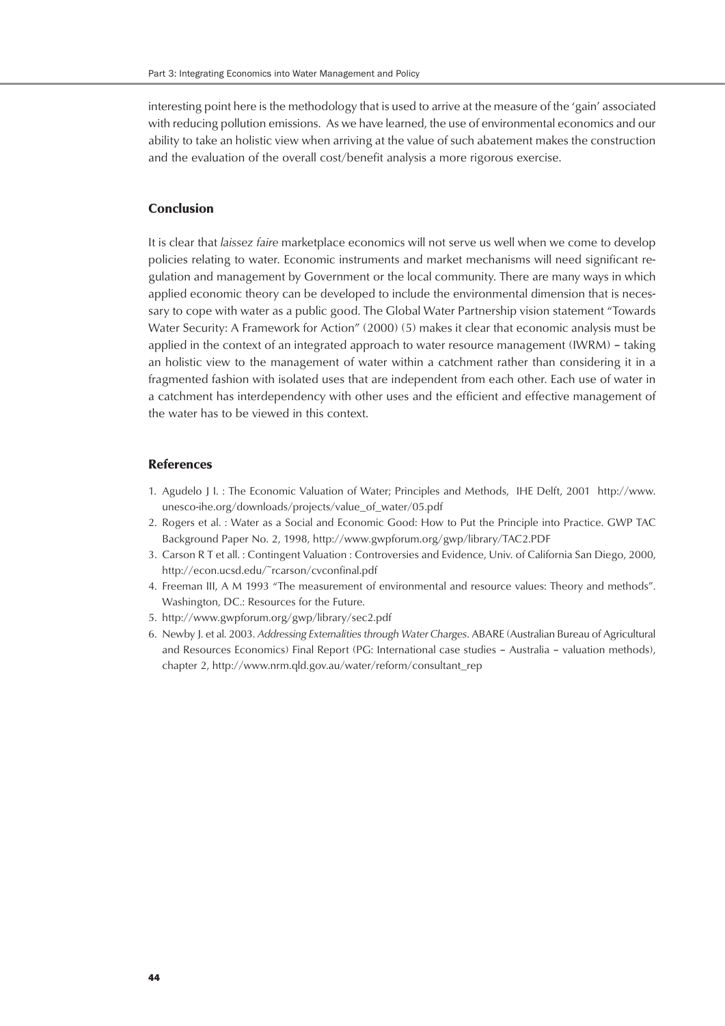interesting point here is the methodology that is used to arrive at the measure of the 'gain' associated with reducing pollution emissions. As we have learned, the use of environmental economics and our ability to take an holistic view when arriving at the value of such abatement makes the construction and the evaluation of the overall cost/benefit analysis a more rigorous exercise.

# Conclusion

It is clear that *laissez faire* marketplace economics will not serve us well when we come to develop policies relating to water. Economic instruments and market mechanisms will need significant regulation and management by Government or the local community. There are many ways in which applied economic theory can be developed to include the environmental dimension that is necessary to cope with water as a public good. The Global Water Partnership vision statement "Towards Water Security: A Framework for Action" (2000) (5) makes it clear that economic analysis must be applied in the context of an integrated approach to water resource management (IWRM) – taking an holistic view to the management of water within a catchment rather than considering it in a fragmented fashion with isolated uses that are independent from each other. Each use of water in a catchment has interdependency with other uses and the efficient and effective management of the water has to be viewed in this context.

#### References

- 1. Agudelo J I. : The Economic Valuation of Water; Principles and Methods, IHE Delft, 2001 http://www. unesco-ihe.org/downloads/projects/value\_of\_water/05.pdf
- 2. Rogers et al. : Water as a Social and Economic Good: How to Put the Principle into Practice. GWP TAC Background Paper No. 2, 1998, http://www.gwpforum.org/gwp/library/TAC2.PDF
- 3. Carson R T et all. : Contingent Valuation : Controversies and Evidence, Univ. of California San Diego, 2000, http://econ.ucsd.edu/~rcarson/cvconfinal.pdf
- 4. Freeman III, A M 1993 "The measurement of environmental and resource values: Theory and methods". Washington, DC.: Resources for the Future.
- 5. http://www.gwpforum.org/gwp/library/sec2.pdf
- 6. Newby J. et al. 2003. *Addressing Externalities through Water Charges*. ABARE (Australian Bureau of Agricultural and Resources Economics) Final Report (PG: International case studies – Australia – valuation methods), chapter 2, http://www.nrm.qld.gov.au/water/reform/consultant\_rep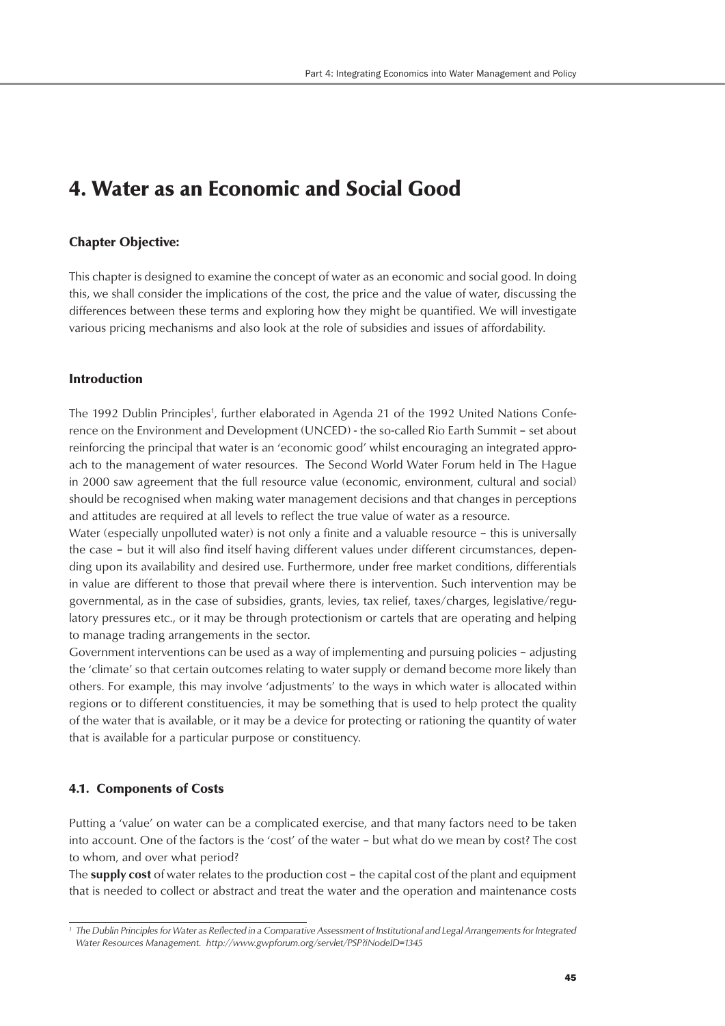# 4. Water as an Economic and Social Good

# Chapter Objective:

This chapter is designed to examine the concept of water as an economic and social good. In doing this, we shall consider the implications of the cost, the price and the value of water, discussing the differences between these terms and exploring how they might be quantified. We will investigate various pricing mechanisms and also look at the role of subsidies and issues of affordability.

# Introduction

The 1992 Dublin Principles<sup>1</sup>, further elaborated in Agenda 21 of the 1992 United Nations Conference on the Environment and Development (UNCED) - the so-called Rio Earth Summit – set about reinforcing the principal that water is an 'economic good' whilst encouraging an integrated approach to the management of water resources. The Second World Water Forum held in The Hague in 2000 saw agreement that the full resource value (economic, environment, cultural and social) should be recognised when making water management decisions and that changes in perceptions and attitudes are required at all levels to reflect the true value of water as a resource.

Water (especially unpolluted water) is not only a finite and a valuable resource – this is universally the case – but it will also find itself having different values under different circumstances, depending upon its availability and desired use. Furthermore, under free market conditions, differentials in value are different to those that prevail where there is intervention. Such intervention may be governmental, as in the case of subsidies, grants, levies, tax relief, taxes/charges, legislative/regulatory pressures etc., or it may be through protectionism or cartels that are operating and helping to manage trading arrangements in the sector.

Government interventions can be used as a way of implementing and pursuing policies – adjusting the 'climate' so that certain outcomes relating to water supply or demand become more likely than others. For example, this may involve 'adjustments' to the ways in which water is allocated within regions or to different constituencies, it may be something that is used to help protect the quality of the water that is available, or it may be a device for protecting or rationing the quantity of water that is available for a particular purpose or constituency.

# 4.1. Components of Costs

Putting a 'value' on water can be a complicated exercise, and that many factors need to be taken into account. One of the factors is the 'cost' of the water – but what do we mean by cost? The cost to whom, and over what period?

The **supply cost** of water relates to the production cost – the capital cost of the plant and equipment that is needed to collect or abstract and treat the water and the operation and maintenance costs

*<sup>1</sup> The Dublin Principles for Water as Reflected in a Comparative Assessment of Institutional and Legal Arrangements for Integrated Water Resources Management. http://www.gwpforum.org/servlet/PSP?iNodeID=1345*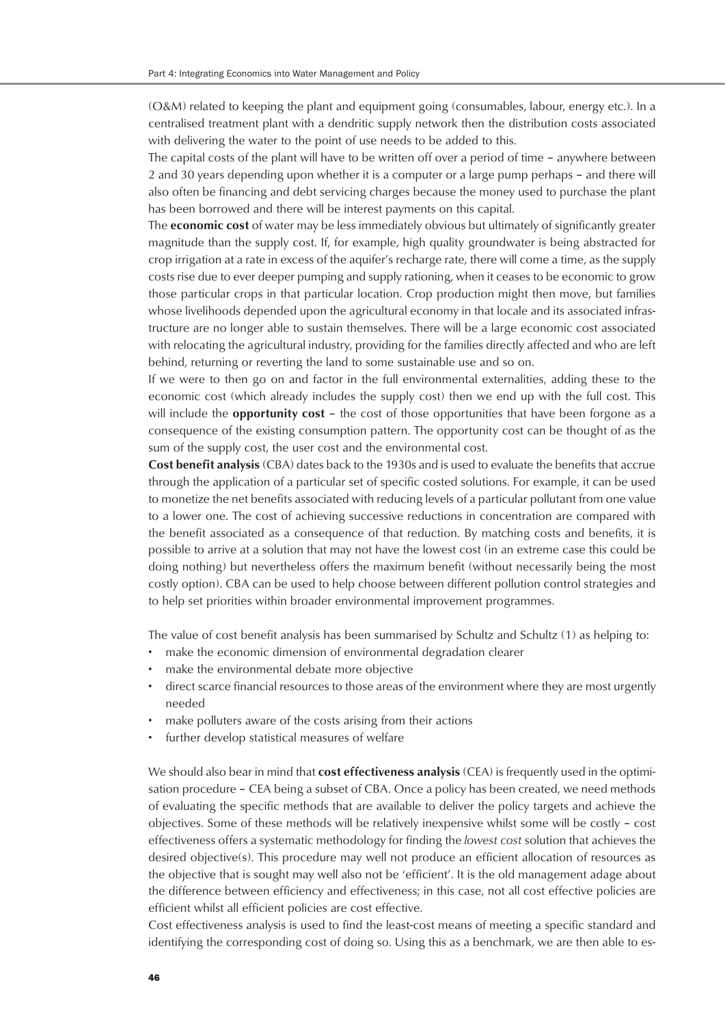(O&M) related to keeping the plant and equipment going (consumables, labour, energy etc.). In a centralised treatment plant with a dendritic supply network then the distribution costs associated with delivering the water to the point of use needs to be added to this.

The capital costs of the plant will have to be written off over a period of time – anywhere between 2 and 30 years depending upon whether it is a computer or a large pump perhaps – and there will also often be financing and debt servicing charges because the money used to purchase the plant has been borrowed and there will be interest payments on this capital.

The **economic cost** of water may be less immediately obvious but ultimately of significantly greater magnitude than the supply cost. If, for example, high quality groundwater is being abstracted for crop irrigation at a rate in excess of the aquifer's recharge rate, there will come a time, as the supply costs rise due to ever deeper pumping and supply rationing, when it ceases to be economic to grow those particular crops in that particular location. Crop production might then move, but families whose livelihoods depended upon the agricultural economy in that locale and its associated infrastructure are no longer able to sustain themselves. There will be a large economic cost associated with relocating the agricultural industry, providing for the families directly affected and who are left behind, returning or reverting the land to some sustainable use and so on.

If we were to then go on and factor in the full environmental externalities, adding these to the economic cost (which already includes the supply cost) then we end up with the full cost. This will include the **opportunity cost** – the cost of those opportunities that have been forgone as a consequence of the existing consumption pattern. The opportunity cost can be thought of as the sum of the supply cost, the user cost and the environmental cost.

**Cost benefit analysis** (CBA) dates back to the 1930s and is used to evaluate the benefits that accrue through the application of a particular set of specific costed solutions. For example, it can be used to monetize the net benefits associated with reducing levels of a particular pollutant from one value to a lower one. The cost of achieving successive reductions in concentration are compared with the benefit associated as a consequence of that reduction. By matching costs and benefits, it is possible to arrive at a solution that may not have the lowest cost (in an extreme case this could be doing nothing) but nevertheless offers the maximum benefit (without necessarily being the most costly option). CBA can be used to help choose between different pollution control strategies and to help set priorities within broader environmental improvement programmes.

The value of cost benefit analysis has been summarised by Schultz and Schultz (1) as helping to:

- make the economic dimension of environmental degradation clearer
- make the environmental debate more objective
- direct scarce financial resources to those areas of the environment where they are most urgently needed
- make polluters aware of the costs arising from their actions
- further develop statistical measures of welfare

We should also bear in mind that **cost effectiveness analysis** (CEA) is frequently used in the optimisation procedure – CEA being a subset of CBA. Once a policy has been created, we need methods of evaluating the specific methods that are available to deliver the policy targets and achieve the objectives. Some of these methods will be relatively inexpensive whilst some will be costly – cost effectiveness offers a systematic methodology for finding the *lowest cost* solution that achieves the desired objective(s). This procedure may well not produce an efficient allocation of resources as the objective that is sought may well also not be 'efficient'. It is the old management adage about the difference between efficiency and effectiveness; in this case, not all cost effective policies are efficient whilst all efficient policies are cost effective.

Cost effectiveness analysis is used to find the least-cost means of meeting a specific standard and identifying the corresponding cost of doing so. Using this as a benchmark, we are then able to es-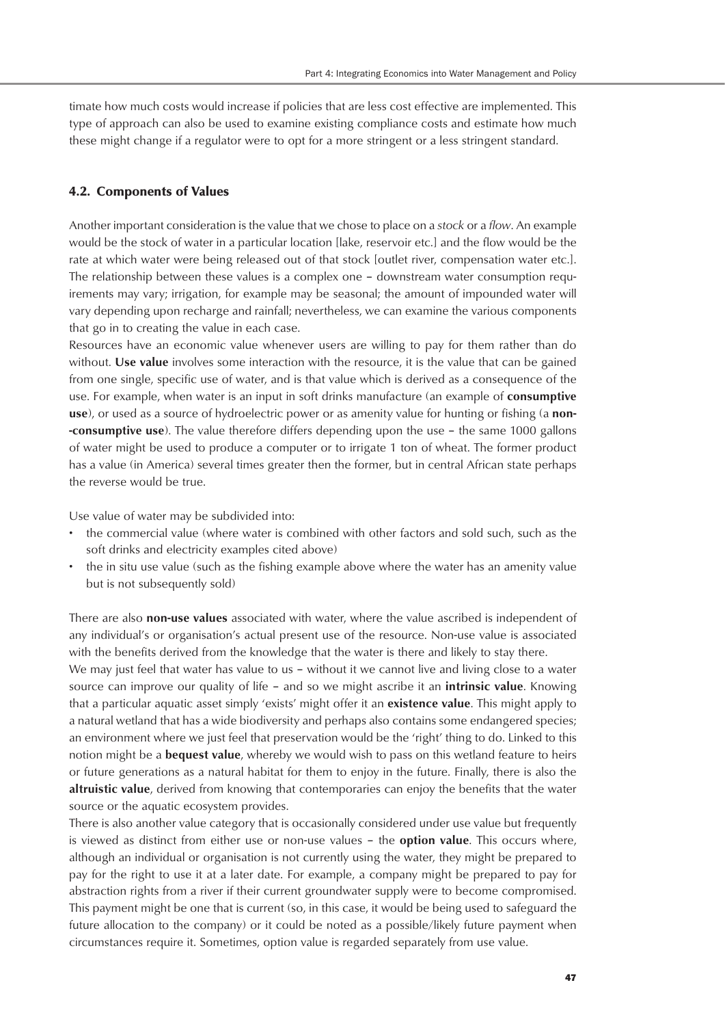timate how much costs would increase if policies that are less cost effective are implemented. This type of approach can also be used to examine existing compliance costs and estimate how much these might change if a regulator were to opt for a more stringent or a less stringent standard.

## 4.2. Components of Values

Another important consideration is the value that we chose to place on a *stock* or a *flow*. An example would be the stock of water in a particular location [lake, reservoir etc.] and the flow would be the rate at which water were being released out of that stock [outlet river, compensation water etc.]. The relationship between these values is a complex one – downstream water consumption requirements may vary; irrigation, for example may be seasonal; the amount of impounded water will vary depending upon recharge and rainfall; nevertheless, we can examine the various components that go in to creating the value in each case.

Resources have an economic value whenever users are willing to pay for them rather than do without. **Use value** involves some interaction with the resource, it is the value that can be gained from one single, specific use of water, and is that value which is derived as a consequence of the use. For example, when water is an input in soft drinks manufacture (an example of **consumptive use**), or used as a source of hydroelectric power or as amenity value for hunting or fishing (a **non- -consumptive use**). The value therefore differs depending upon the use – the same 1000 gallons of water might be used to produce a computer or to irrigate 1 ton of wheat. The former product has a value (in America) several times greater then the former, but in central African state perhaps the reverse would be true.

Use value of water may be subdivided into:

- the commercial value (where water is combined with other factors and sold such, such as the soft drinks and electricity examples cited above)
- the in situ use value (such as the fishing example above where the water has an amenity value but is not subsequently sold)

There are also **non-use values** associated with water, where the value ascribed is independent of any individual's or organisation's actual present use of the resource. Non-use value is associated with the benefits derived from the knowledge that the water is there and likely to stay there.

We may just feel that water has value to us – without it we cannot live and living close to a water source can improve our quality of life – and so we might ascribe it an **intrinsic value**. Knowing that a particular aquatic asset simply 'exists' might offer it an **existence value**. This might apply to a natural wetland that has a wide biodiversity and perhaps also contains some endangered species; an environment where we just feel that preservation would be the 'right' thing to do. Linked to this notion might be a **bequest value**, whereby we would wish to pass on this wetland feature to heirs or future generations as a natural habitat for them to enjoy in the future. Finally, there is also the **altruistic value**, derived from knowing that contemporaries can enjoy the benefits that the water source or the aquatic ecosystem provides.

There is also another value category that is occasionally considered under use value but frequently is viewed as distinct from either use or non-use values – the **option value**. This occurs where, although an individual or organisation is not currently using the water, they might be prepared to pay for the right to use it at a later date. For example, a company might be prepared to pay for abstraction rights from a river if their current groundwater supply were to become compromised. This payment might be one that is current (so, in this case, it would be being used to safeguard the future allocation to the company) or it could be noted as a possible/likely future payment when circumstances require it. Sometimes, option value is regarded separately from use value.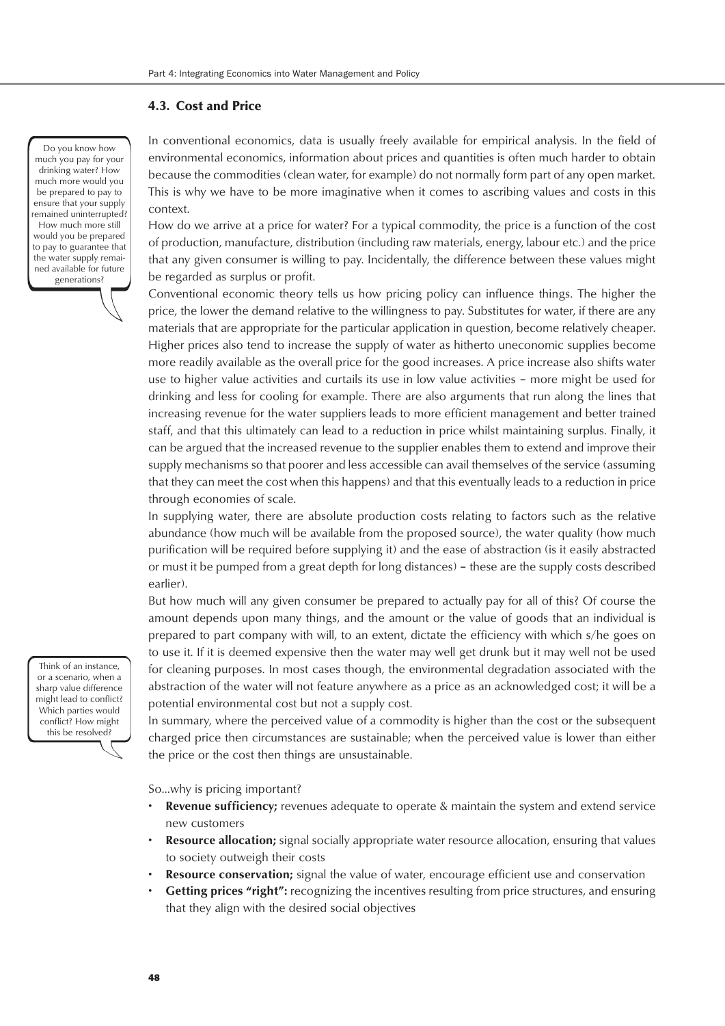# 4.3. Cost and Price

Do you know how much you pay for your drinking water? How much more would you be prepared to pay to ensure that your supply remained uninterrupted? How much more still would you be prepared to pay to guarantee that the water supply remained available for future generations?

In conventional economics, data is usually freely available for empirical analysis. In the field of environmental economics, information about prices and quantities is often much harder to obtain because the commodities (clean water, for example) do not normally form part of any open market. This is why we have to be more imaginative when it comes to ascribing values and costs in this context.

How do we arrive at a price for water? For a typical commodity, the price is a function of the cost of production, manufacture, distribution (including raw materials, energy, labour etc.) and the price that any given consumer is willing to pay. Incidentally, the difference between these values might be regarded as surplus or profit.

Conventional economic theory tells us how pricing policy can influence things. The higher the price, the lower the demand relative to the willingness to pay. Substitutes for water, if there are any materials that are appropriate for the particular application in question, become relatively cheaper. Higher prices also tend to increase the supply of water as hitherto uneconomic supplies become more readily available as the overall price for the good increases. A price increase also shifts water use to higher value activities and curtails its use in low value activities – more might be used for drinking and less for cooling for example. There are also arguments that run along the lines that increasing revenue for the water suppliers leads to more efficient management and better trained staff, and that this ultimately can lead to a reduction in price whilst maintaining surplus. Finally, it can be argued that the increased revenue to the supplier enables them to extend and improve their supply mechanisms so that poorer and less accessible can avail themselves of the service (assuming that they can meet the cost when this happens) and that this eventually leads to a reduction in price through economies of scale.

In supplying water, there are absolute production costs relating to factors such as the relative abundance (how much will be available from the proposed source), the water quality (how much purification will be required before supplying it) and the ease of abstraction (is it easily abstracted or must it be pumped from a great depth for long distances) – these are the supply costs described earlier).

But how much will any given consumer be prepared to actually pay for all of this? Of course the amount depends upon many things, and the amount or the value of goods that an individual is prepared to part company with will, to an extent, dictate the efficiency with which s/he goes on to use it. If it is deemed expensive then the water may well get drunk but it may well not be used for cleaning purposes. In most cases though, the environmental degradation associated with the abstraction of the water will not feature anywhere as a price as an acknowledged cost; it will be a potential environmental cost but not a supply cost.

In summary, where the perceived value of a commodity is higher than the cost or the subsequent charged price then circumstances are sustainable; when the perceived value is lower than either the price or the cost then things are unsustainable.

So…why is pricing important?

- **Revenue sufficiency;** revenues adequate to operate & maintain the system and extend service new customers
- **Resource allocation;** signal socially appropriate water resource allocation, ensuring that values to society outweigh their costs
- **Resource conservation:** signal the value of water, encourage efficient use and conservation
- **Getting prices "right":** recognizing the incentives resulting from price structures, and ensuring that they align with the desired social objectives

Think of an instance, or a scenario, when a sharp value difference might lead to conflict? Which parties would conflict? How might this be resolved?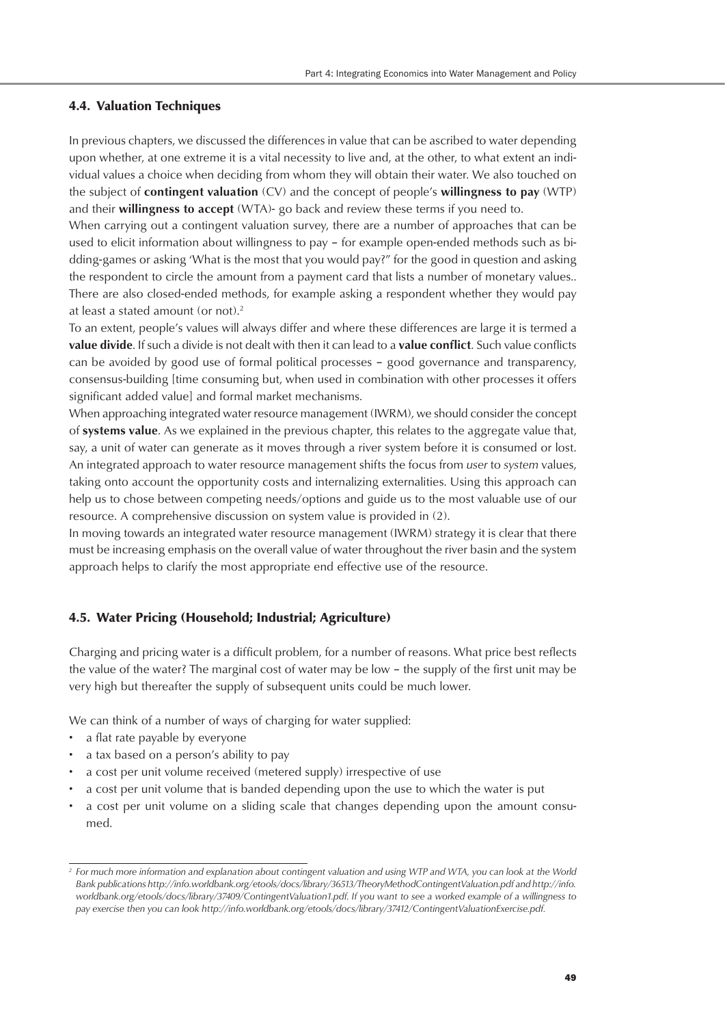# 4.4. Valuation Techniques

In previous chapters, we discussed the differences in value that can be ascribed to water depending upon whether, at one extreme it is a vital necessity to live and, at the other, to what extent an individual values a choice when deciding from whom they will obtain their water. We also touched on the subject of **contingent valuation** (CV) and the concept of people's **willingness to pay** (WTP) and their **willingness to accept** (WTA)- go back and review these terms if you need to.

When carrying out a contingent valuation survey, there are a number of approaches that can be used to elicit information about willingness to pay – for example open-ended methods such as bidding-games or asking 'What is the most that you would pay?" for the good in question and asking the respondent to circle the amount from a payment card that lists a number of monetary values.. There are also closed-ended methods, for example asking a respondent whether they would pay at least a stated amount (or not).2

To an extent, people's values will always differ and where these differences are large it is termed a **value divide**. If such a divide is not dealt with then it can lead to a **value conflict**. Such value conflicts can be avoided by good use of formal political processes – good governance and transparency, consensus-building [time consuming but, when used in combination with other processes it offers significant added value] and formal market mechanisms.

When approaching integrated water resource management (IWRM), we should consider the concept of **systems value**. As we explained in the previous chapter, this relates to the aggregate value that, say, a unit of water can generate as it moves through a river system before it is consumed or lost. An integrated approach to water resource management shifts the focus from *user* to *system* values, taking onto account the opportunity costs and internalizing externalities. Using this approach can help us to chose between competing needs/options and guide us to the most valuable use of our resource. A comprehensive discussion on system value is provided in (2).

In moving towards an integrated water resource management (IWRM) strategy it is clear that there must be increasing emphasis on the overall value of water throughout the river basin and the system approach helps to clarify the most appropriate end effective use of the resource.

# 4.5. Water Pricing (Household; Industrial; Agriculture)

Charging and pricing water is a difficult problem, for a number of reasons. What price best reflects the value of the water? The marginal cost of water may be low – the supply of the first unit may be very high but thereafter the supply of subsequent units could be much lower.

We can think of a number of ways of charging for water supplied:

- a flat rate payable by everyone
- a tax based on a person's ability to pay
- a cost per unit volume received (metered supply) irrespective of use
- a cost per unit volume that is banded depending upon the use to which the water is put
- a cost per unit volume on a sliding scale that changes depending upon the amount consumed.

*<sup>2</sup> For much more information and explanation about contingent valuation and using WTP and WTA, you can look at the World Bank publications http://info.worldbank.org/etools/docs/library/36513/TheoryMethodContingentValuation.pdf and http://info. worldbank.org/etools/docs/library/37409/ContingentValuation1.pdf. If you want to see a worked example of a willingness to pay exercise then you can look http://info.worldbank.org/etools/docs/library/37412/ContingentValuationExercise.pdf.*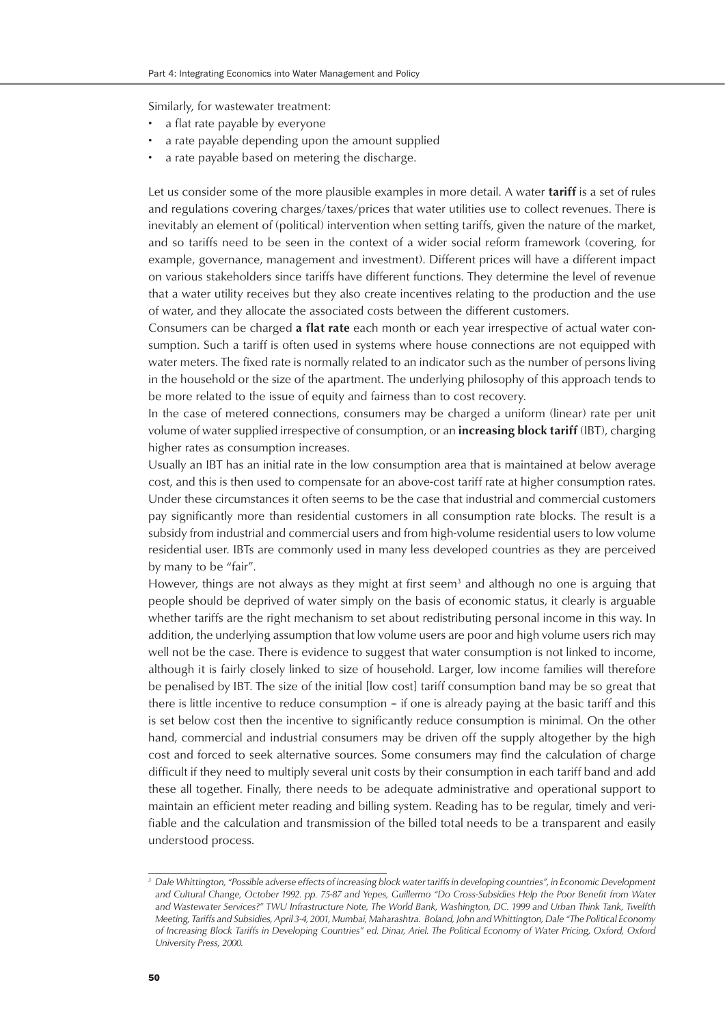Similarly, for wastewater treatment:

- a flat rate payable by everyone
- a rate payable depending upon the amount supplied
- a rate payable based on metering the discharge.

Let us consider some of the more plausible examples in more detail. A water **tariff** is a set of rules and regulations covering charges/taxes/prices that water utilities use to collect revenues. There is inevitably an element of (political) intervention when setting tariffs, given the nature of the market, and so tariffs need to be seen in the context of a wider social reform framework (covering, for example, governance, management and investment). Different prices will have a different impact on various stakeholders since tariffs have different functions. They determine the level of revenue that a water utility receives but they also create incentives relating to the production and the use of water, and they allocate the associated costs between the different customers.

Consumers can be charged **a flat rate** each month or each year irrespective of actual water consumption. Such a tariff is often used in systems where house connections are not equipped with water meters. The fixed rate is normally related to an indicator such as the number of persons living in the household or the size of the apartment. The underlying philosophy of this approach tends to be more related to the issue of equity and fairness than to cost recovery.

In the case of metered connections, consumers may be charged a uniform (linear) rate per unit volume of water supplied irrespective of consumption, or an **increasing block tariff** (IBT), charging higher rates as consumption increases.

Usually an IBT has an initial rate in the low consumption area that is maintained at below average cost, and this is then used to compensate for an above-cost tariff rate at higher consumption rates. Under these circumstances it often seems to be the case that industrial and commercial customers pay significantly more than residential customers in all consumption rate blocks. The result is a subsidy from industrial and commercial users and from high-volume residential users to low volume residential user. IBTs are commonly used in many less developed countries as they are perceived by many to be "fair".

However, things are not always as they might at first seem<sup>3</sup> and although no one is arguing that people should be deprived of water simply on the basis of economic status, it clearly is arguable whether tariffs are the right mechanism to set about redistributing personal income in this way. In addition, the underlying assumption that low volume users are poor and high volume users rich may well not be the case. There is evidence to suggest that water consumption is not linked to income, although it is fairly closely linked to size of household. Larger, low income families will therefore be penalised by IBT. The size of the initial [low cost] tariff consumption band may be so great that there is little incentive to reduce consumption – if one is already paying at the basic tariff and this is set below cost then the incentive to significantly reduce consumption is minimal. On the other hand, commercial and industrial consumers may be driven off the supply altogether by the high cost and forced to seek alternative sources. Some consumers may find the calculation of charge difficult if they need to multiply several unit costs by their consumption in each tariff band and add these all together. Finally, there needs to be adequate administrative and operational support to maintain an efficient meter reading and billing system. Reading has to be regular, timely and verifiable and the calculation and transmission of the billed total needs to be a transparent and easily understood process.

<sup>&</sup>lt;sup>3</sup> Dale Whittington, "Possible adverse effects of increasing block water tariffs in developing countries", in Economic Development *and Cultural Change, October 1992. pp. 75-87 and Yepes, Guillermo "Do Cross-Subsidies Help the Poor Benefit from Water and Wastewater Services?" TWU Infrastructure Note, The World Bank, Washington, DC. 1999 and Urban Think Tank, Twelfth Meeting, Tariffs and Subsidies, April 3-4, 2001, Mumbai, Maharashtra. Boland, John and Whittington, Dale "The Political Economy of Increasing Block Tariffs in Developing Countries" ed. Dinar, Ariel. The Political Economy of Water Pricing, Oxford, Oxford University Press, 2000.*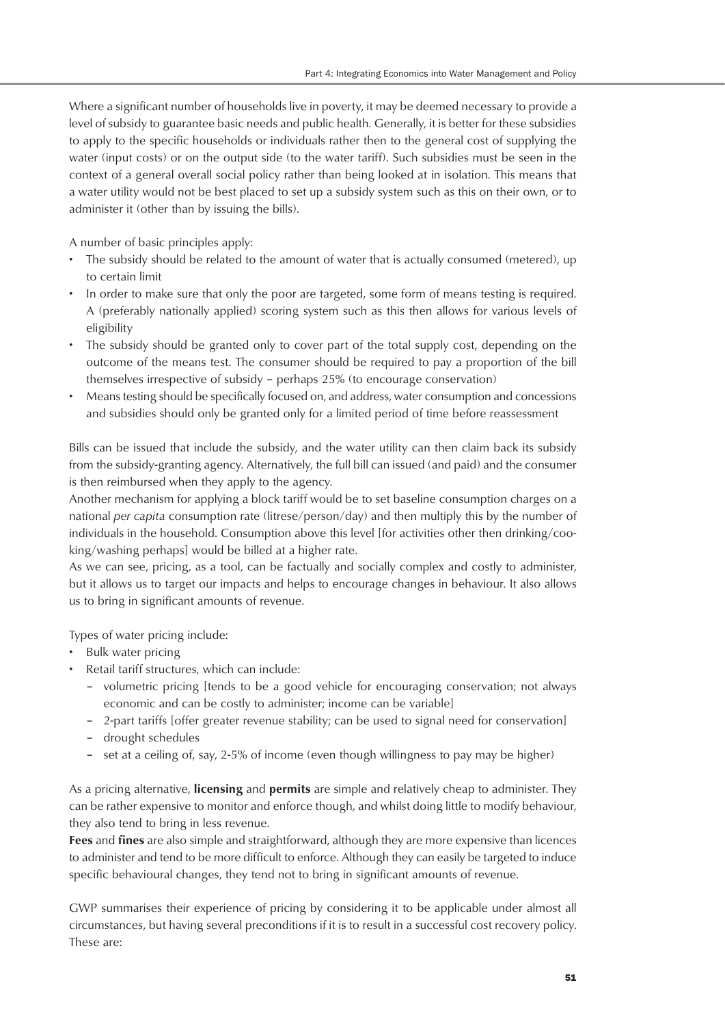Where a significant number of households live in poverty, it may be deemed necessary to provide a level of subsidy to guarantee basic needs and public health. Generally, it is better for these subsidies to apply to the specific households or individuals rather then to the general cost of supplying the water (input costs) or on the output side (to the water tariff). Such subsidies must be seen in the context of a general overall social policy rather than being looked at in isolation. This means that a water utility would not be best placed to set up a subsidy system such as this on their own, or to administer it (other than by issuing the bills).

A number of basic principles apply:

- The subsidy should be related to the amount of water that is actually consumed (metered), up to certain limit
- In order to make sure that only the poor are targeted, some form of means testing is required. A (preferably nationally applied) scoring system such as this then allows for various levels of eligibility
- The subsidy should be granted only to cover part of the total supply cost, depending on the outcome of the means test. The consumer should be required to pay a proportion of the bill themselves irrespective of subsidy – perhaps 25% (to encourage conservation)
- Means testing should be specifically focused on, and address, water consumption and concessions and subsidies should only be granted only for a limited period of time before reassessment

Bills can be issued that include the subsidy, and the water utility can then claim back its subsidy from the subsidy-granting agency. Alternatively, the full bill can issued (and paid) and the consumer is then reimbursed when they apply to the agency.

Another mechanism for applying a block tariff would be to set baseline consumption charges on a national *per capita* consumption rate (litrese/person/day) and then multiply this by the number of individuals in the household. Consumption above this level [for activities other then drinking/cooking/washing perhaps] would be billed at a higher rate.

As we can see, pricing, as a tool, can be factually and socially complex and costly to administer, but it allows us to target our impacts and helps to encourage changes in behaviour. It also allows us to bring in significant amounts of revenue.

Types of water pricing include:

- Bulk water pricing
- Retail tariff structures, which can include:
	- volumetric pricing [tends to be a good vehicle for encouraging conservation; not always economic and can be costly to administer; income can be variable]
	- 2-part tariffs [offer greater revenue stability; can be used to signal need for conservation]
	- drought schedules
	- set at a ceiling of, say, 2-5% of income (even though willingness to pay may be higher)

As a pricing alternative, **licensing** and **permits** are simple and relatively cheap to administer. They can be rather expensive to monitor and enforce though, and whilst doing little to modify behaviour, they also tend to bring in less revenue.

**Fees** and **fines** are also simple and straightforward, although they are more expensive than licences to administer and tend to be more difficult to enforce. Although they can easily be targeted to induce specific behavioural changes, they tend not to bring in significant amounts of revenue.

GWP summarises their experience of pricing by considering it to be applicable under almost all circumstances, but having several preconditions if it is to result in a successful cost recovery policy. These are: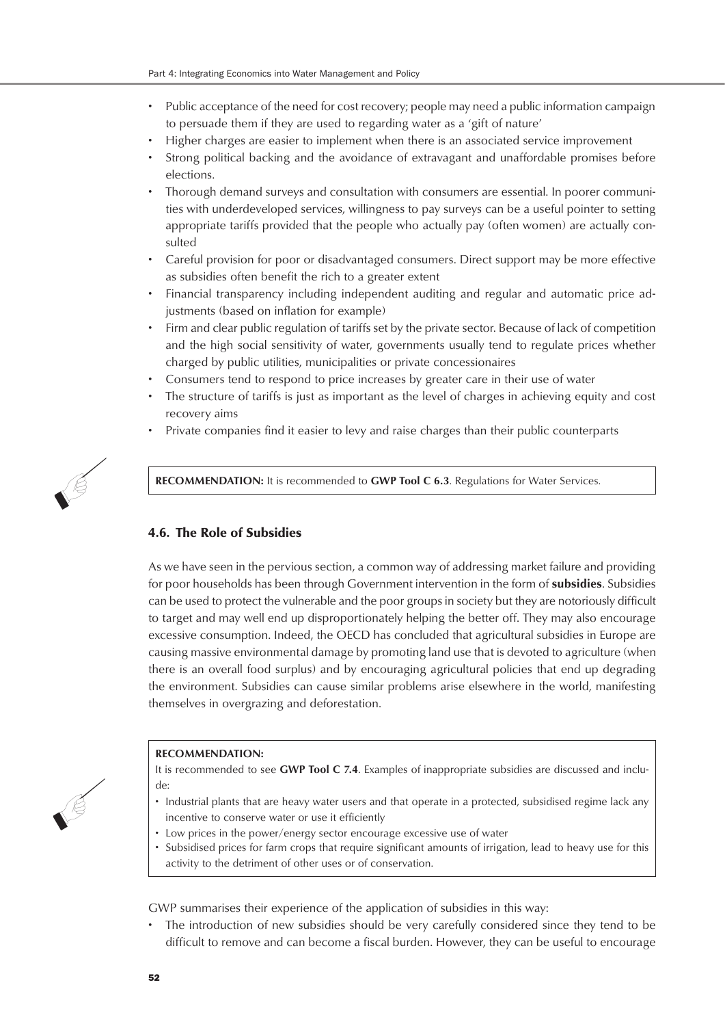- Public acceptance of the need for cost recovery; people may need a public information campaign to persuade them if they are used to regarding water as a 'gift of nature'
- Higher charges are easier to implement when there is an associated service improvement
- Strong political backing and the avoidance of extravagant and unaffordable promises before elections.
- Thorough demand surveys and consultation with consumers are essential. In poorer communities with underdeveloped services, willingness to pay surveys can be a useful pointer to setting appropriate tariffs provided that the people who actually pay (often women) are actually consulted
- Careful provision for poor or disadvantaged consumers. Direct support may be more effective as subsidies often benefit the rich to a greater extent
- Financial transparency including independent auditing and regular and automatic price adjustments (based on inflation for example)
- Firm and clear public regulation of tariffs set by the private sector. Because of lack of competition and the high social sensitivity of water, governments usually tend to regulate prices whether charged by public utilities, municipalities or private concessionaires
- Consumers tend to respond to price increases by greater care in their use of water
- The structure of tariffs is just as important as the level of charges in achieving equity and cost recovery aims
- Private companies find it easier to levy and raise charges than their public counterparts



**RECOMMENDATION:** It is recommended to **GWP Tool C 6.3**. Regulations for Water Services.

# 4.6. The Role of Subsidies

As we have seen in the pervious section, a common way of addressing market failure and providing for poor households has been through Government intervention in the form of **subsidies**. Subsidies can be used to protect the vulnerable and the poor groups in society but they are notoriously difficult to target and may well end up disproportionately helping the better off. They may also encourage excessive consumption. Indeed, the OECD has concluded that agricultural subsidies in Europe are causing massive environmental damage by promoting land use that is devoted to agriculture (when there is an overall food surplus) and by encouraging agricultural policies that end up degrading the environment. Subsidies can cause similar problems arise elsewhere in the world, manifesting themselves in overgrazing and deforestation.



# **RECOMMENDATION:**

It is recommended to see **GWP Tool C 7.4**. Examples of inappropriate subsidies are discussed and include:

- Industrial plants that are heavy water users and that operate in a protected, subsidised regime lack any incentive to conserve water or use it efficiently
- Low prices in the power/energy sector encourage excessive use of water
- Subsidised prices for farm crops that require significant amounts of irrigation, lead to heavy use for this activity to the detriment of other uses or of conservation.

GWP summarises their experience of the application of subsidies in this way:

• The introduction of new subsidies should be very carefully considered since they tend to be difficult to remove and can become a fiscal burden. However, they can be useful to encourage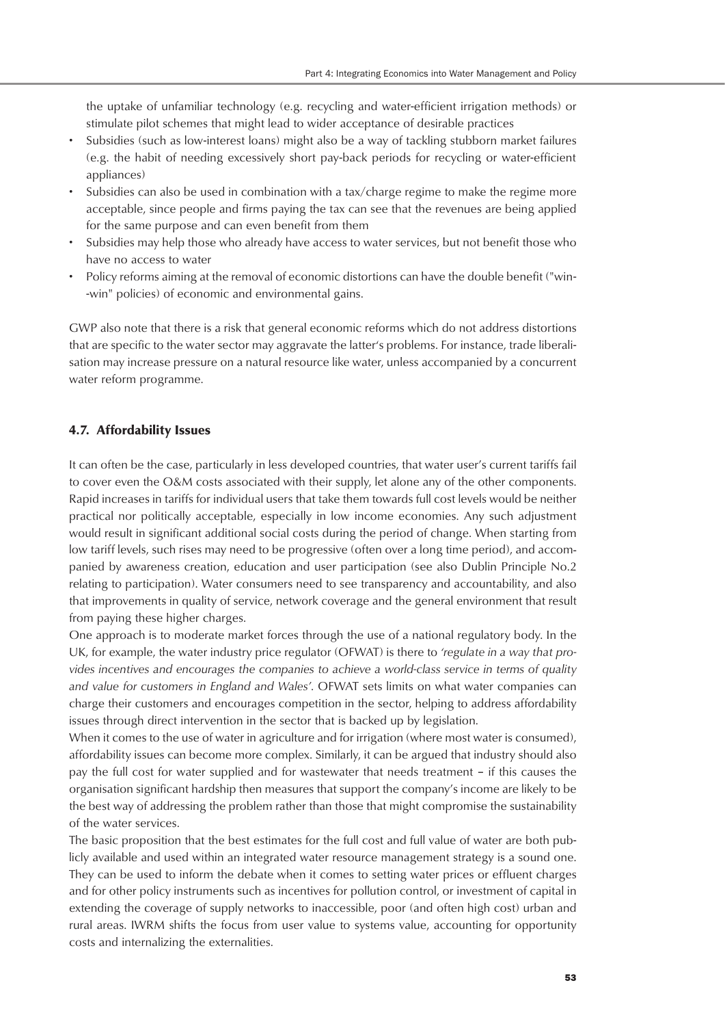the uptake of unfamiliar technology (e.g. recycling and water-efficient irrigation methods) or stimulate pilot schemes that might lead to wider acceptance of desirable practices

- Subsidies (such as low-interest loans) might also be a way of tackling stubborn market failures (e.g. the habit of needing excessively short pay-back periods for recycling or water-efficient appliances)
- Subsidies can also be used in combination with a tax/charge regime to make the regime more acceptable, since people and firms paying the tax can see that the revenues are being applied for the same purpose and can even benefit from them
- Subsidies may help those who already have access to water services, but not benefit those who have no access to water
- Policy reforms aiming at the removal of economic distortions can have the double benefit ("win- -win" policies) of economic and environmental gains.

GWP also note that there is a risk that general economic reforms which do not address distortions that are specific to the water sector may aggravate the latter's problems. For instance, trade liberalisation may increase pressure on a natural resource like water, unless accompanied by a concurrent water reform programme.

#### 4.7. Affordability Issues

It can often be the case, particularly in less developed countries, that water user's current tariffs fail to cover even the O&M costs associated with their supply, let alone any of the other components. Rapid increases in tariffs for individual users that take them towards full cost levels would be neither practical nor politically acceptable, especially in low income economies. Any such adjustment would result in significant additional social costs during the period of change. When starting from low tariff levels, such rises may need to be progressive (often over a long time period), and accompanied by awareness creation, education and user participation (see also Dublin Principle No.2 relating to participation). Water consumers need to see transparency and accountability, and also that improvements in quality of service, network coverage and the general environment that result from paying these higher charges.

One approach is to moderate market forces through the use of a national regulatory body. In the UK, for example, the water industry price regulator (OFWAT) is there to *'regulate in a way that provides incentives and encourages the companies to achieve a world-class service in terms of quality and value for customers in England and Wales'*. OFWAT sets limits on what water companies can charge their customers and encourages competition in the sector, helping to address affordability issues through direct intervention in the sector that is backed up by legislation.

When it comes to the use of water in agriculture and for irrigation (where most water is consumed), affordability issues can become more complex. Similarly, it can be argued that industry should also pay the full cost for water supplied and for wastewater that needs treatment – if this causes the organisation significant hardship then measures that support the company's income are likely to be the best way of addressing the problem rather than those that might compromise the sustainability of the water services.

The basic proposition that the best estimates for the full cost and full value of water are both publicly available and used within an integrated water resource management strategy is a sound one. They can be used to inform the debate when it comes to setting water prices or effluent charges and for other policy instruments such as incentives for pollution control, or investment of capital in extending the coverage of supply networks to inaccessible, poor (and often high cost) urban and rural areas. IWRM shifts the focus from user value to systems value, accounting for opportunity costs and internalizing the externalities.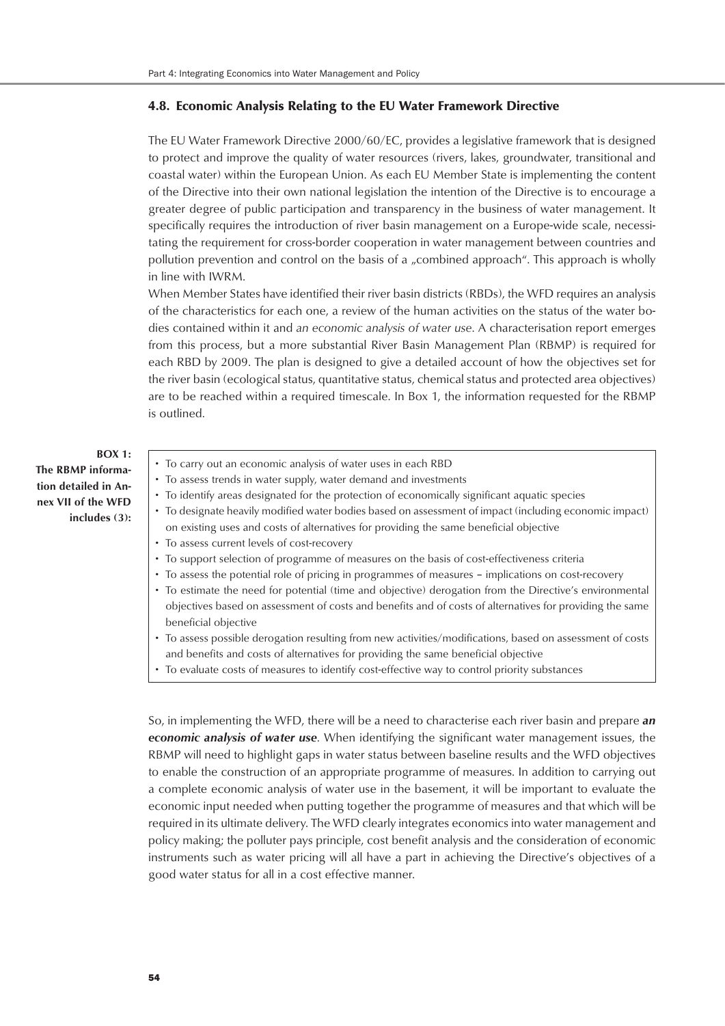#### 4.8. Economic Analysis Relating to the EU Water Framework Directive

The EU Water Framework Directive 2000/60/EC, provides a legislative framework that is designed to protect and improve the quality of water resources (rivers, lakes, groundwater, transitional and coastal water) within the European Union. As each EU Member State is implementing the content of the Directive into their own national legislation the intention of the Directive is to encourage a greater degree of public participation and transparency in the business of water management. It specifically requires the introduction of river basin management on a Europe-wide scale, necessitating the requirement for cross-border cooperation in water management between countries and pollution prevention and control on the basis of a "combined approach". This approach is wholly in line with IWRM.

When Member States have identified their river basin districts (RBDs), the WFD requires an analysis of the characteristics for each one, a review of the human activities on the status of the water bodies contained within it and *an economic analysis of water use*. A characterisation report emerges from this process, but a more substantial River Basin Management Plan (RBMP) is required for each RBD by 2009. The plan is designed to give a detailed account of how the objectives set for the river basin (ecological status, quantitative status, chemical status and protected area objectives) are to be reached within a required timescale. In Box 1, the information requested for the RBMP is outlined.

# **BOX 1: The RBMP information detailed in Annex VII of the WFD includes (3):**

- To carry out an economic analysis of water uses in each RBD • To assess trends in water supply, water demand and investments • To identify areas designated for the protection of economically significant aquatic species • To designate heavily modified water bodies based on assessment of impact (including economic impact) on existing uses and costs of alternatives for providing the same beneficial objective • To assess current levels of cost-recovery • To support selection of programme of measures on the basis of cost-effectiveness criteria • To assess the potential role of pricing in programmes of measures – implications on cost-recovery • To estimate the need for potential (time and objective) derogation from the Directive's environmental objectives based on assessment of costs and benefits and of costs of alternatives for providing the same beneficial objective • To assess possible derogation resulting from new activities/modifications, based on assessment of costs and benefits and costs of alternatives for providing the same beneficial objective
- To evaluate costs of measures to identify cost-effective way to control priority substances

So, in implementing the WFD, there will be a need to characterise each river basin and prepare *an economic analysis of water use*. When identifying the significant water management issues, the RBMP will need to highlight gaps in water status between baseline results and the WFD objectives to enable the construction of an appropriate programme of measures. In addition to carrying out a complete economic analysis of water use in the basement, it will be important to evaluate the economic input needed when putting together the programme of measures and that which will be required in its ultimate delivery. The WFD clearly integrates economics into water management and policy making; the polluter pays principle, cost benefit analysis and the consideration of economic instruments such as water pricing will all have a part in achieving the Directive's objectives of a good water status for all in a cost effective manner.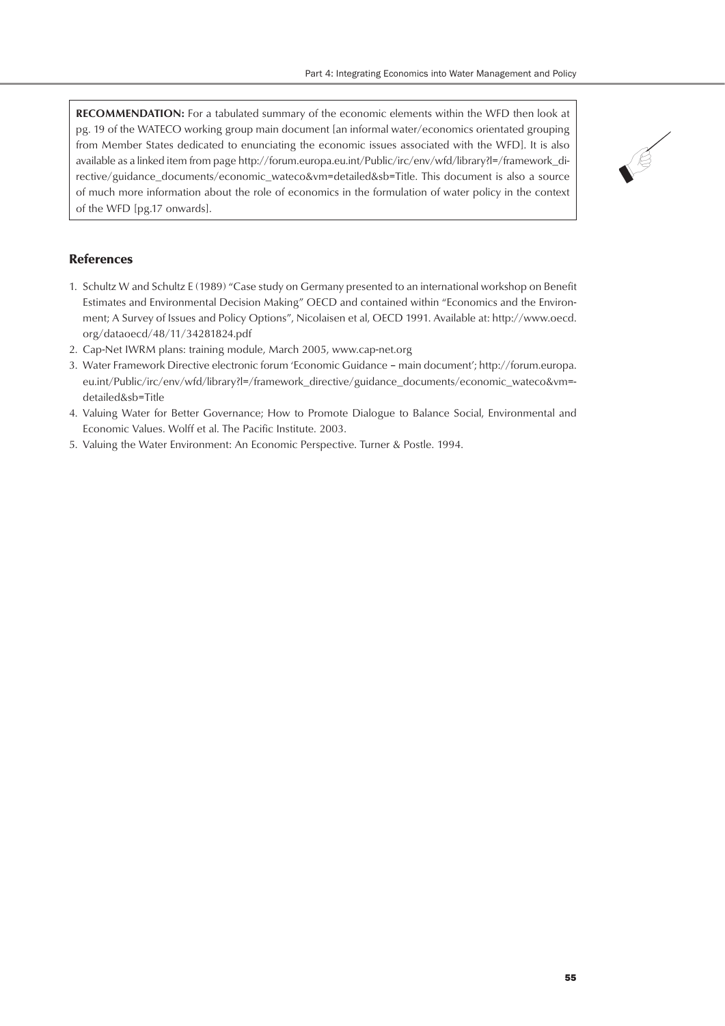**RECOMMENDATION:** For a tabulated summary of the economic elements within the WFD then look at pg. 19 of the WATECO working group main document [an informal water/economics orientated grouping from Member States dedicated to enunciating the economic issues associated with the WFD]. It is also available as a linked item from page http://forum.europa.eu.int/Public/irc/env/wfd/library?l=/framework\_directive/guidance\_documents/economic\_wateco&vm=detailed&sb=Title. This document is also a source of much more information about the role of economics in the formulation of water policy in the context of the WFD [pg.17 onwards].



# References

- 1. Schultz W and Schultz E (1989) "Case study on Germany presented to an international workshop on Benefit Estimates and Environmental Decision Making" OECD and contained within "Economics and the Environment; A Survey of Issues and Policy Options", Nicolaisen et al, OECD 1991. Available at: http://www.oecd. org/dataoecd/48/11/34281824.pdf
- 2. Cap-Net IWRM plans: training module, March 2005, www.cap-net.org
- 3. Water Framework Directive electronic forum 'Economic Guidance main document'; http://forum.europa. eu.int/Public/irc/env/wfd/library?l=/framework\_directive/guidance\_documents/economic\_wateco&vm= detailed&sb=Title
- 4. Valuing Water for Better Governance; How to Promote Dialogue to Balance Social, Environmental and Economic Values. Wolff et al. The Pacific Institute. 2003.
- 5. Valuing the Water Environment: An Economic Perspective. Turner & Postle. 1994.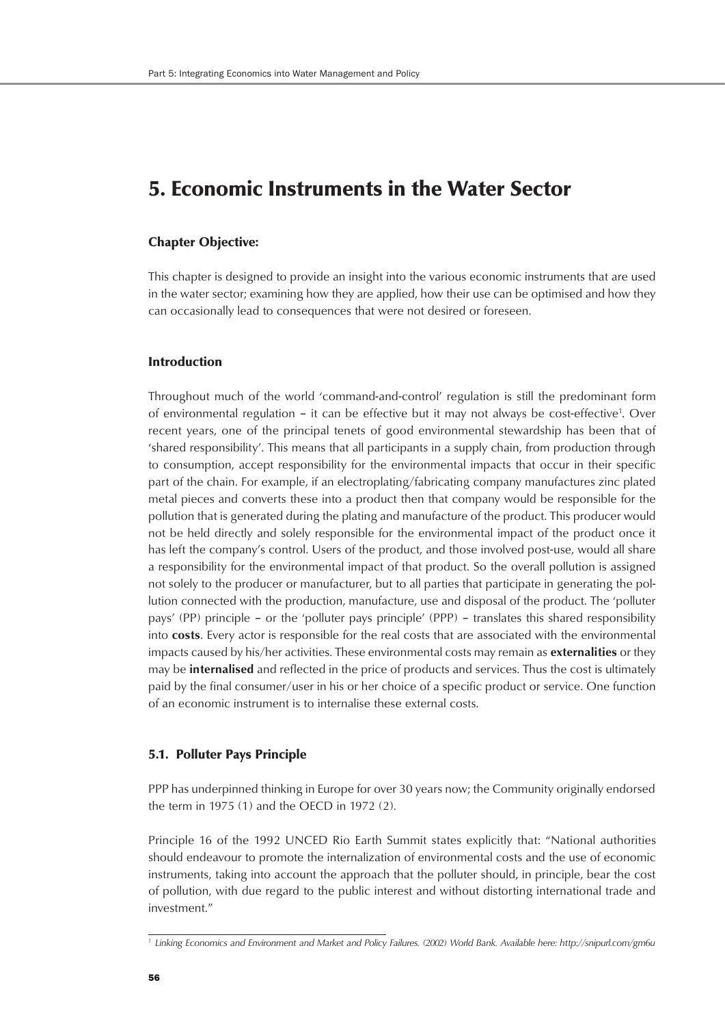# 5. Economic Instruments in the Water Sector

## Chapter Objective:

This chapter is designed to provide an insight into the various economic instruments that are used in the water sector; examining how they are applied, how their use can be optimised and how they can occasionally lead to consequences that were not desired or foreseen.

#### Introduction

Throughout much of the world 'command-and-control' regulation is still the predominant form of environmental regulation - it can be effective but it may not always be cost-effective<sup>1</sup>. Over recent years, one of the principal tenets of good environmental stewardship has been that of 'shared responsibility'. This means that all participants in a supply chain, from production through to consumption, accept responsibility for the environmental impacts that occur in their specific part of the chain. For example, if an electroplating/fabricating company manufactures zinc plated metal pieces and converts these into a product then that company would be responsible for the pollution that is generated during the plating and manufacture of the product. This producer would not be held directly and solely responsible for the environmental impact of the product once it has left the company's control. Users of the product, and those involved post-use, would all share a responsibility for the environmental impact of that product. So the overall pollution is assigned not solely to the producer or manufacturer, but to all parties that participate in generating the pollution connected with the production, manufacture, use and disposal of the product. The 'polluter pays' (PP) principle – or the 'polluter pays principle' (PPP) – translates this shared responsibility into **costs**. Every actor is responsible for the real costs that are associated with the environmental impacts caused by his/her activities. These environmental costs may remain as **externalities** or they may be **internalised** and reflected in the price of products and services. Thus the cost is ultimately paid by the final consumer/user in his or her choice of a specific product or service. One function of an economic instrument is to internalise these external costs.

# 5.1. Polluter Pays Principle

PPP has underpinned thinking in Europe for over 30 years now; the Community originally endorsed the term in 1975 (1) and the OECD in 1972 (2).

Principle 16 of the 1992 UNCED Rio Earth Summit states explicitly that: "National authorities should endeavour to promote the internalization of environmental costs and the use of economic instruments, taking into account the approach that the polluter should, in principle, bear the cost of pollution, with due regard to the public interest and without distorting international trade and investment."

*<sup>1</sup> Linking Economics and Environment and Market and Policy Failures. (2002) World Bank. Available here: http://snipurl.com/gm6u*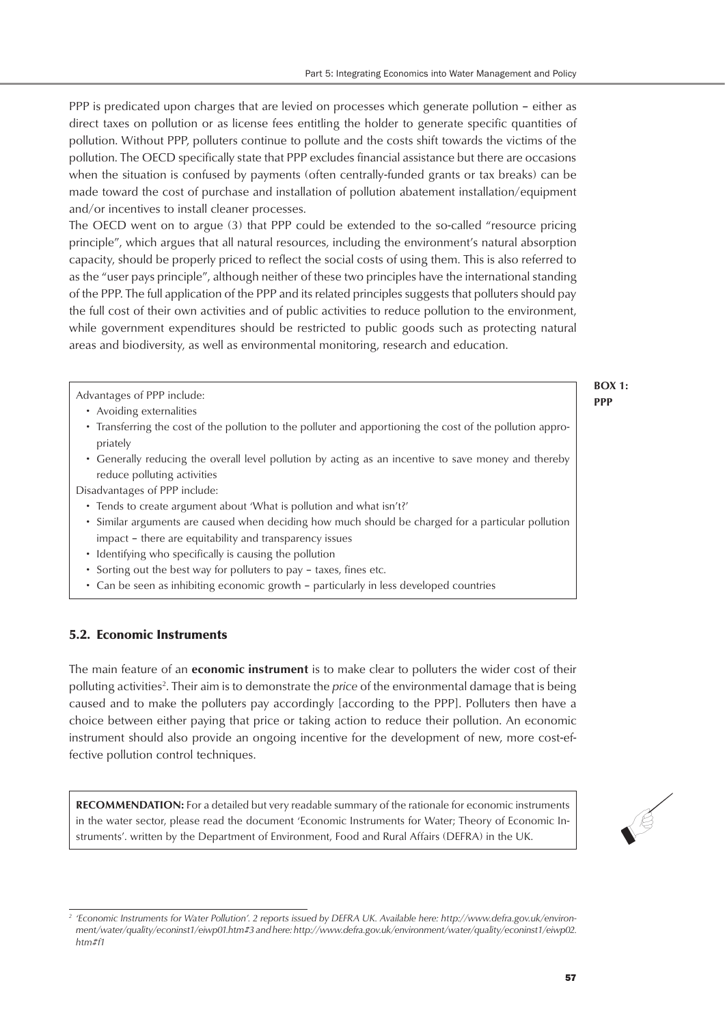PPP is predicated upon charges that are levied on processes which generate pollution – either as direct taxes on pollution or as license fees entitling the holder to generate specific quantities of pollution. Without PPP, polluters continue to pollute and the costs shift towards the victims of the pollution. The OECD specifically state that PPP excludes financial assistance but there are occasions when the situation is confused by payments (often centrally-funded grants or tax breaks) can be made toward the cost of purchase and installation of pollution abatement installation/equipment and/or incentives to install cleaner processes.

The OECD went on to argue (3) that PPP could be extended to the so-called "resource pricing principle", which argues that all natural resources, including the environment's natural absorption capacity, should be properly priced to reflect the social costs of using them. This is also referred to as the "user pays principle", although neither of these two principles have the international standing of the PPP. The full application of the PPP and its related principles suggests that polluters should pay the full cost of their own activities and of public activities to reduce pollution to the environment, while government expenditures should be restricted to public goods such as protecting natural areas and biodiversity, as well as environmental monitoring, research and education.

Advantages of PPP include:

- Avoiding externalities
- Transferring the cost of the pollution to the polluter and apportioning the cost of the pollution appropriately
- Generally reducing the overall level pollution by acting as an incentive to save money and thereby reduce polluting activities

Disadvantages of PPP include:

- Tends to create argument about 'What is pollution and what isn't?'
- Similar arguments are caused when deciding how much should be charged for a particular pollution impact – there are equitability and transparency issues
- Identifying who specifically is causing the pollution
- Sorting out the best way for polluters to pay taxes, fines etc.
- Can be seen as inhibiting economic growth particularly in less developed countries

# 5.2. Economic Instruments

The main feature of an **economic instrument** is to make clear to polluters the wider cost of their polluting activities<sup>2</sup>. Their aim is to demonstrate the *price* of the environmental damage that is being caused and to make the polluters pay accordingly [according to the PPP]. Polluters then have a choice between either paying that price or taking action to reduce their pollution. An economic instrument should also provide an ongoing incentive for the development of new, more cost-effective pollution control techniques.

**RECOMMENDATION:** For a detailed but very readable summary of the rationale for economic instruments in the water sector, please read the document 'Economic Instruments for Water; Theory of Economic Instruments'. written by the Department of Environment, Food and Rural Affairs (DEFRA) in the UK.



**BOX 1: PPP**

*<sup>2</sup> 'Economic Instruments for Water Pollution'. 2 reports issued by DEFRA UK. Available here: http://www.defra.gov.uk/environment/water/quality/econinst1/eiwp01.htm#3 and here: http://www.defra.gov.uk/environment/water/quality/econinst1/eiwp02. htm#f1*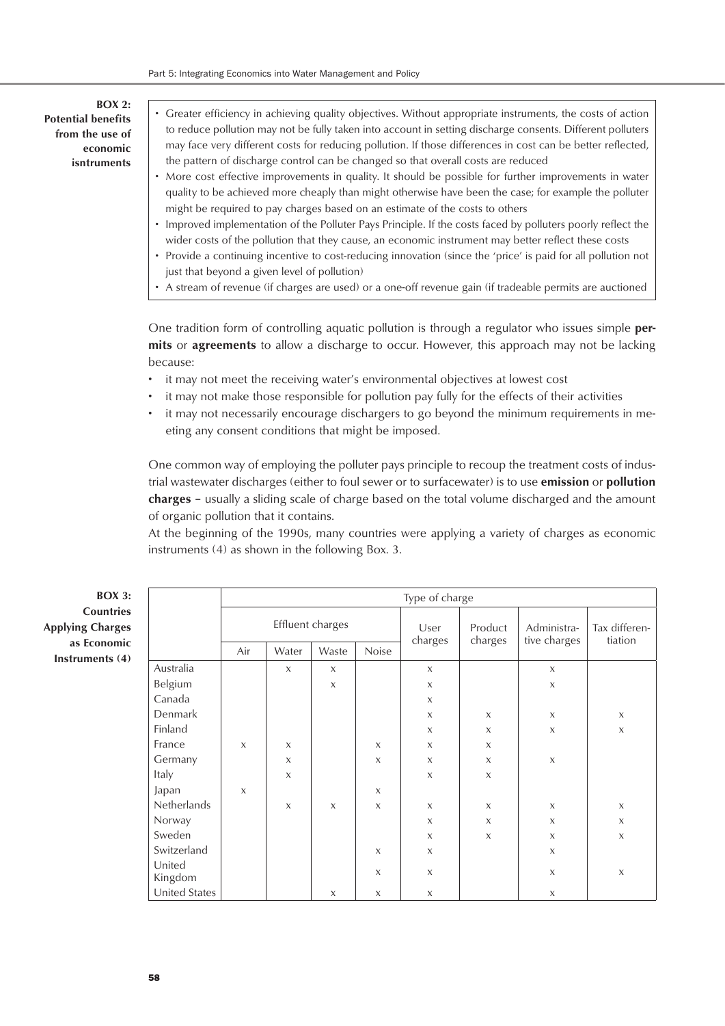**BOX 2: Potential benefits from the use of economic isntruments**

- Greater efficiency in achieving quality objectives. Without appropriate instruments, the costs of action to reduce pollution may not be fully taken into account in setting discharge consents. Different polluters may face very different costs for reducing pollution. If those differences in cost can be better reflected, the pattern of discharge control can be changed so that overall costs are reduced
- More cost effective improvements in quality. It should be possible for further improvements in water quality to be achieved more cheaply than might otherwise have been the case; for example the polluter might be required to pay charges based on an estimate of the costs to others
- Improved implementation of the Polluter Pays Principle. If the costs faced by polluters poorly reflect the wider costs of the pollution that they cause, an economic instrument may better reflect these costs
- Provide a continuing incentive to cost-reducing innovation (since the 'price' is paid for all pollution not just that beyond a given level of pollution)
- A stream of revenue (if charges are used) or a one-off revenue gain (if tradeable permits are auctioned

One tradition form of controlling aquatic pollution is through a regulator who issues simple **permits** or **agreements** to allow a discharge to occur. However, this approach may not be lacking because:

- it may not meet the receiving water's environmental objectives at lowest cost
- it may not make those responsible for pollution pay fully for the effects of their activities
- it may not necessarily encourage dischargers to go beyond the minimum requirements in meeting any consent conditions that might be imposed.

One common way of employing the polluter pays principle to recoup the treatment costs of industrial wastewater discharges (either to foul sewer or to surfacewater) is to use **emission** or **pollution charges** – usually a sliding scale of charge based on the total volume discharged and the amount of organic pollution that it contains.

At the beginning of the 1990s, many countries were applying a variety of charges as economic instruments (4) as shown in the following Box. 3.

| <b>BOX 3:</b>                               | Type of charge                                                                                |                           |                                                 |                                          |                                           |                                                                             |                                                     |                                                                                                                                                |                                                          |
|---------------------------------------------|-----------------------------------------------------------------------------------------------|---------------------------|-------------------------------------------------|------------------------------------------|-------------------------------------------|-----------------------------------------------------------------------------|-----------------------------------------------------|------------------------------------------------------------------------------------------------------------------------------------------------|----------------------------------------------------------|
| <b>Countries</b><br><b>Applying Charges</b> |                                                                                               | Effluent charges          |                                                 |                                          | User                                      | Product                                                                     | Administra-                                         | Tax differen-                                                                                                                                  |                                                          |
| as Economic                                 |                                                                                               | Air                       | Water                                           | Waste                                    | Noise                                     | charges                                                                     | charges                                             | tive charges                                                                                                                                   | tiation                                                  |
| Instruments (4)                             | Australia<br>Belgium<br>Canada<br>Denmark<br>Finland<br>France<br>Germany<br>Italy            | $\mathsf X$               | $\mathsf{X}$<br>$\mathsf X$<br>$\mathsf X$<br>X | $\boldsymbol{\mathsf{X}}$<br>$\mathsf X$ | X<br>$\mathsf X$                          | $\mathsf X$<br>X<br>X<br>$\boldsymbol{\mathsf{X}}$<br>X<br>X<br>X<br>X      | X<br>$\mathsf X$<br>$\mathsf X$<br>$\mathsf X$<br>X | $\mathsf X$<br>$\mathsf X$<br>$\mathsf X$<br>$\mathsf X$<br>$\mathsf X$                                                                        | X<br>X                                                   |
|                                             | Japan<br>Netherlands<br>Norway<br>Sweden<br>Switzerland<br>United<br>Kingdom<br>United States | $\boldsymbol{\mathsf{X}}$ | $\mathsf{X}$                                    | X<br>X                                   | X<br>X<br>$\mathsf X$<br>$\mathsf X$<br>X | $\mathsf X$<br>X<br>$\boldsymbol{\mathsf{X}}$<br>$\mathsf X$<br>X<br>$\chi$ | X<br>$\mathsf X$<br>$\mathsf X$                     | $\mathsf X$<br>$\boldsymbol{\mathsf{X}}$<br>$\boldsymbol{\mathsf{X}}$<br>$\boldsymbol{\mathsf{X}}$<br>$\boldsymbol{\mathsf{X}}$<br>$\mathsf X$ | $\mathsf X$<br>$\mathsf X$<br>$\mathsf X$<br>$\mathsf X$ |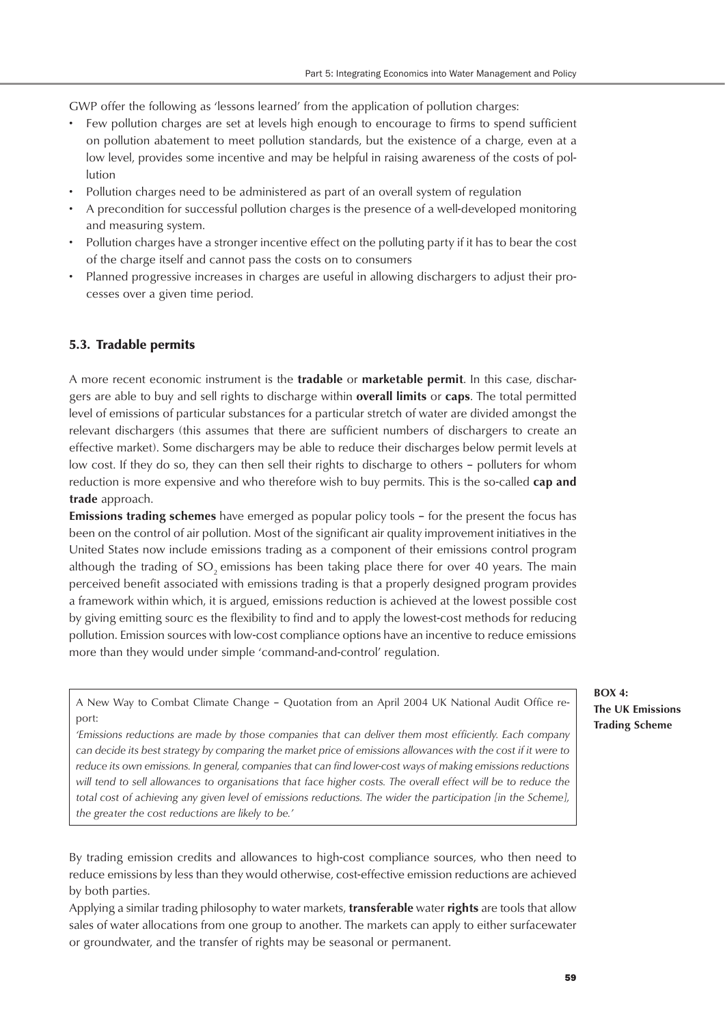GWP offer the following as 'lessons learned' from the application of pollution charges:

- Few pollution charges are set at levels high enough to encourage to firms to spend sufficient on pollution abatement to meet pollution standards, but the existence of a charge, even at a low level, provides some incentive and may be helpful in raising awareness of the costs of pollution
- Pollution charges need to be administered as part of an overall system of regulation
- A precondition for successful pollution charges is the presence of a well-developed monitoring and measuring system.
- Pollution charges have a stronger incentive effect on the polluting party if it has to bear the cost of the charge itself and cannot pass the costs on to consumers
- Planned progressive increases in charges are useful in allowing dischargers to adjust their processes over a given time period.

# 5.3. Tradable permits

A more recent economic instrument is the **tradable** or **marketable permit**. In this case, dischargers are able to buy and sell rights to discharge within **overall limits** or **caps**. The total permitted level of emissions of particular substances for a particular stretch of water are divided amongst the relevant dischargers (this assumes that there are sufficient numbers of dischargers to create an effective market). Some dischargers may be able to reduce their discharges below permit levels at low cost. If they do so, they can then sell their rights to discharge to others – polluters for whom reduction is more expensive and who therefore wish to buy permits. This is the so-called **cap and trade** approach.

**Emissions trading schemes** have emerged as popular policy tools – for the present the focus has been on the control of air pollution. Most of the significant air quality improvement initiatives in the United States now include emissions trading as a component of their emissions control program although the trading of  $SO<sub>2</sub>$  emissions has been taking place there for over 40 years. The main perceived benefit associated with emissions trading is that a properly designed program provides a framework within which, it is argued, emissions reduction is achieved at the lowest possible cost by giving emitting sourc es the flexibility to find and to apply the lowest-cost methods for reducing pollution. Emission sources with low-cost compliance options have an incentive to reduce emissions more than they would under simple 'command-and-control' regulation.

A New Way to Combat Climate Change – Quotation from an April 2004 UK National Audit Office report:

*'Emissions reductions are made by those companies that can deliver them most efficiently. Each company can decide its best strategy by comparing the market price of emissions allowances with the cost if it were to reduce its own emissions. In general, companies that can find lower-cost ways of making emissions reductions will tend to sell allowances to organisations that face higher costs. The overall effect will be to reduce the total cost of achieving any given level of emissions reductions. The wider the participation [in the Scheme], the greater the cost reductions are likely to be.'*

By trading emission credits and allowances to high-cost compliance sources, who then need to reduce emissions by less than they would otherwise, cost-effective emission reductions are achieved by both parties.

Applying a similar trading philosophy to water markets, **transferable** water **rights** are tools that allow sales of water allocations from one group to another. The markets can apply to either surfacewater or groundwater, and the transfer of rights may be seasonal or permanent.

**BOX 4: The UK Emissions Trading Scheme**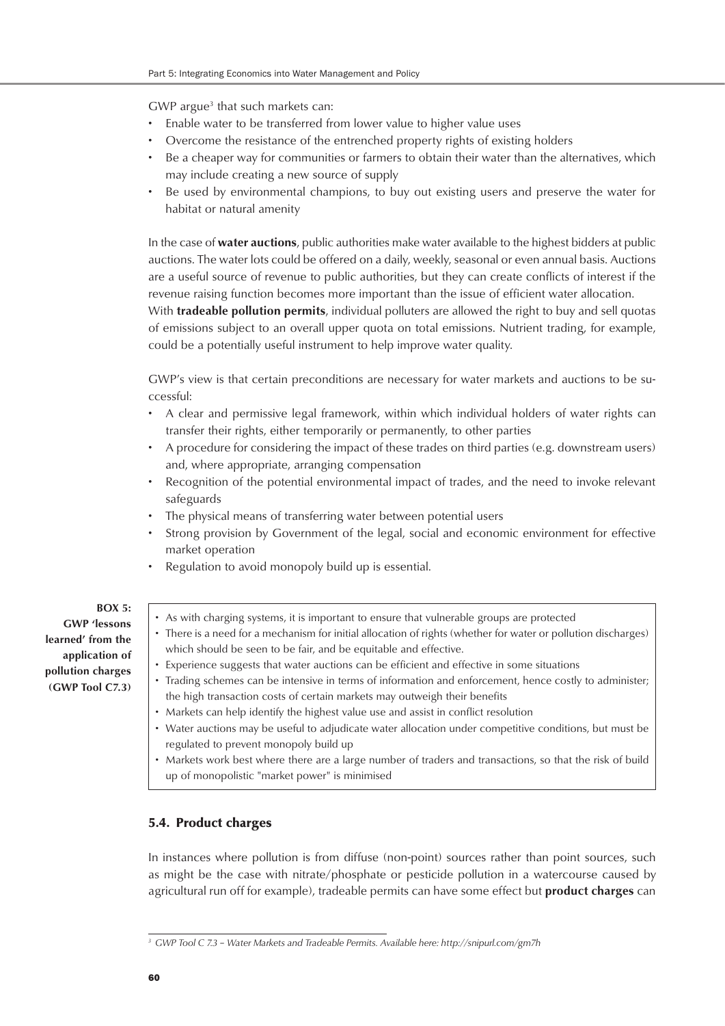GWP argue<sup>3</sup> that such markets can:

- Enable water to be transferred from lower value to higher value uses
- Overcome the resistance of the entrenched property rights of existing holders
- Be a cheaper way for communities or farmers to obtain their water than the alternatives, which may include creating a new source of supply
- Be used by environmental champions, to buy out existing users and preserve the water for habitat or natural amenity

In the case of **water auctions**, public authorities make water available to the highest bidders at public auctions. The water lots could be offered on a daily, weekly, seasonal or even annual basis. Auctions are a useful source of revenue to public authorities, but they can create conflicts of interest if the revenue raising function becomes more important than the issue of efficient water allocation.

With **tradeable pollution permits**, individual polluters are allowed the right to buy and sell quotas of emissions subject to an overall upper quota on total emissions. Nutrient trading, for example, could be a potentially useful instrument to help improve water quality.

GWP's view is that certain preconditions are necessary for water markets and auctions to be successful:

- A clear and permissive legal framework, within which individual holders of water rights can transfer their rights, either temporarily or permanently, to other parties
- A procedure for considering the impact of these trades on third parties (e.g. downstream users) and, where appropriate, arranging compensation
- Recognition of the potential environmental impact of trades, and the need to invoke relevant safeguards
- The physical means of transferring water between potential users
- Strong provision by Government of the legal, social and economic environment for effective market operation
- Regulation to avoid monopoly build up is essential.

# **BOX 5:**

**GWP 'lessons learned' from the application of pollution charges (GWP Tool C7.3)**

- As with charging systems, it is important to ensure that vulnerable groups are protected
- There is a need for a mechanism for initial allocation of rights (whether for water or pollution discharges) which should be seen to be fair, and be equitable and effective.
- Experience suggests that water auctions can be efficient and effective in some situations
- Trading schemes can be intensive in terms of information and enforcement, hence costly to administer; the high transaction costs of certain markets may outweigh their benefits
- Markets can help identify the highest value use and assist in conflict resolution
- Water auctions may be useful to adjudicate water allocation under competitive conditions, but must be regulated to prevent monopoly build up
- Markets work best where there are a large number of traders and transactions, so that the risk of build up of monopolistic "market power" is minimised

# 5.4. Product charges

In instances where pollution is from diffuse (non-point) sources rather than point sources, such as might be the case with nitrate/phosphate or pesticide pollution in a watercourse caused by agricultural run off for example), tradeable permits can have some effect but **product charges** can

*<sup>3</sup> GWP Tool C 7.3 – Water Markets and Tradeable Permits. Available here: http://snipurl.com/gm7h*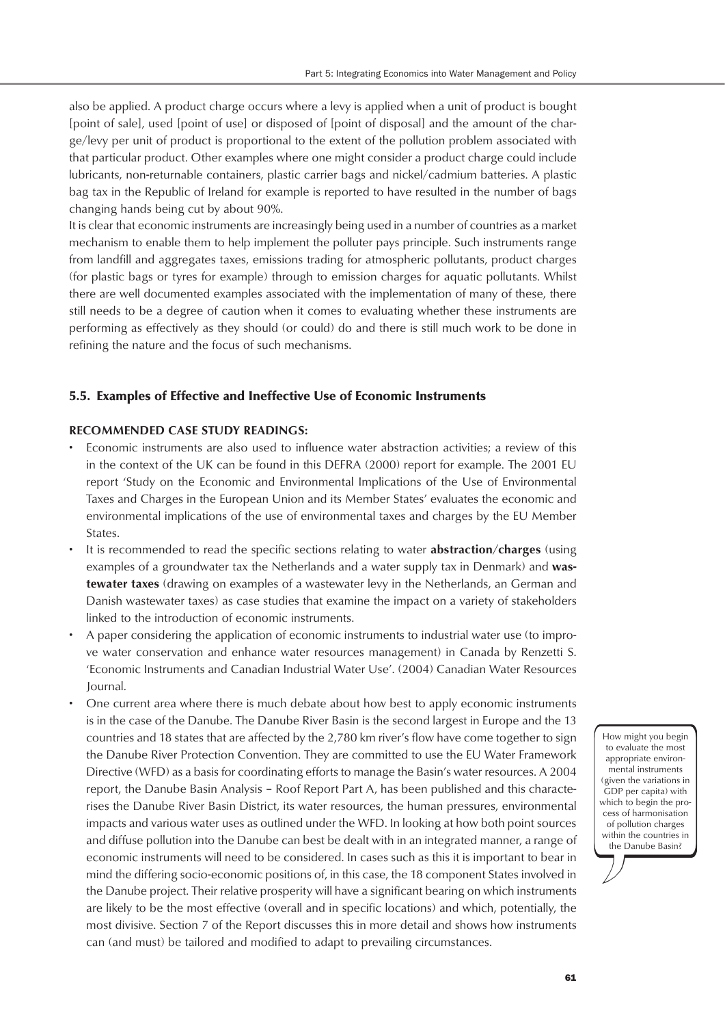also be applied. A product charge occurs where a levy is applied when a unit of product is bought [point of sale], used [point of use] or disposed of [point of disposal] and the amount of the charge/levy per unit of product is proportional to the extent of the pollution problem associated with that particular product. Other examples where one might consider a product charge could include lubricants, non-returnable containers, plastic carrier bags and nickel/cadmium batteries. A plastic bag tax in the Republic of Ireland for example is reported to have resulted in the number of bags changing hands being cut by about 90%.

It is clear that economic instruments are increasingly being used in a number of countries as a market mechanism to enable them to help implement the polluter pays principle. Such instruments range from landfill and aggregates taxes, emissions trading for atmospheric pollutants, product charges (for plastic bags or tyres for example) through to emission charges for aquatic pollutants. Whilst there are well documented examples associated with the implementation of many of these, there still needs to be a degree of caution when it comes to evaluating whether these instruments are performing as effectively as they should (or could) do and there is still much work to be done in refining the nature and the focus of such mechanisms.

## 5.5. Examples of Effective and Ineffective Use of Economic Instruments

#### **RECOMMENDED CASE STUDY READINGS:**

- Economic instruments are also used to influence water abstraction activities; a review of this in the context of the UK can be found in this DEFRA (2000) report for example. The 2001 EU report 'Study on the Economic and Environmental Implications of the Use of Environmental Taxes and Charges in the European Union and its Member States' evaluates the economic and environmental implications of the use of environmental taxes and charges by the EU Member States.
- It is recommended to read the specific sections relating to water **abstraction/charges** (using examples of a groundwater tax the Netherlands and a water supply tax in Denmark) and **wastewater taxes** (drawing on examples of a wastewater levy in the Netherlands, an German and Danish wastewater taxes) as case studies that examine the impact on a variety of stakeholders linked to the introduction of economic instruments.
- A paper considering the application of economic instruments to industrial water use (to improve water conservation and enhance water resources management) in Canada by Renzetti S. 'Economic Instruments and Canadian Industrial Water Use'. (2004) Canadian Water Resources Journal.
- One current area where there is much debate about how best to apply economic instruments is in the case of the Danube. The Danube River Basin is the second largest in Europe and the 13 countries and 18 states that are affected by the 2,780 km river's flow have come together to sign the Danube River Protection Convention. They are committed to use the EU Water Framework Directive (WFD) as a basis for coordinating efforts to manage the Basin's water resources. A 2004 report, the Danube Basin Analysis – Roof Report Part A, has been published and this characterises the Danube River Basin District, its water resources, the human pressures, environmental impacts and various water uses as outlined under the WFD. In looking at how both point sources and diffuse pollution into the Danube can best be dealt with in an integrated manner, a range of economic instruments will need to be considered. In cases such as this it is important to bear in mind the differing socio-economic positions of, in this case, the 18 component States involved in the Danube project. Their relative prosperity will have a significant bearing on which instruments are likely to be the most effective (overall and in specific locations) and which, potentially, the most divisive. Section 7 of the Report discusses this in more detail and shows how instruments can (and must) be tailored and modified to adapt to prevailing circumstances.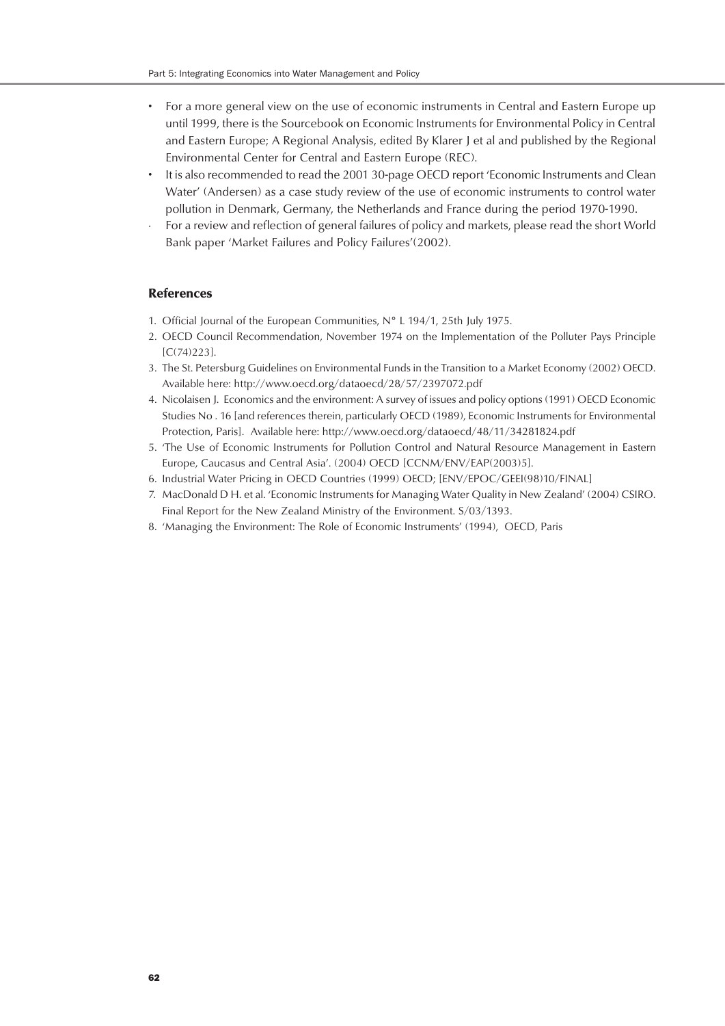- For a more general view on the use of economic instruments in Central and Eastern Europe up until 1999, there is the Sourcebook on Economic Instruments for Environmental Policy in Central and Eastern Europe; A Regional Analysis, edited By Klarer J et al and published by the Regional Environmental Center for Central and Eastern Europe (REC).
- It is also recommended to read the 2001 30-page OECD report 'Economic Instruments and Clean Water' (Andersen) as a case study review of the use of economic instruments to control water pollution in Denmark, Germany, the Netherlands and France during the period 1970-1990.
- For a review and reflection of general failures of policy and markets, please read the short World Bank paper 'Market Failures and Policy Failures'(2002).

## References

- 1. Official Journal of the European Communities, N° L 194/1, 25th July 1975.
- 2. OECD Council Recommendation, November 1974 on the Implementation of the Polluter Pays Principle [C(74)223].
- 3. The St. Petersburg Guidelines on Environmental Funds in the Transition to a Market Economy (2002) OECD. Available here: http://www.oecd.org/dataoecd/28/57/2397072.pdf
- 4. Nicolaisen J. Economics and the environment: A survey of issues and policy options (1991) OECD Economic Studies No . 16 [and references therein, particularly OECD (1989), Economic Instruments for Environmental Protection, Paris]. Available here: http://www.oecd.org/dataoecd/48/11/34281824.pdf
- 5. 'The Use of Economic Instruments for Pollution Control and Natural Resource Management in Eastern Europe, Caucasus and Central Asia'. (2004) OECD [CCNM/ENV/EAP(2003)5].
- 6. Industrial Water Pricing in OECD Countries (1999) OECD; [ENV/EPOC/GEEI(98)10/FINAL]
- 7. MacDonald D H. et al. 'Economic Instruments for Managing Water Quality in New Zealand' (2004) CSIRO. Final Report for the New Zealand Ministry of the Environment. S/03/1393.
- 8. 'Managing the Environment: The Role of Economic Instruments' (1994), OECD, Paris